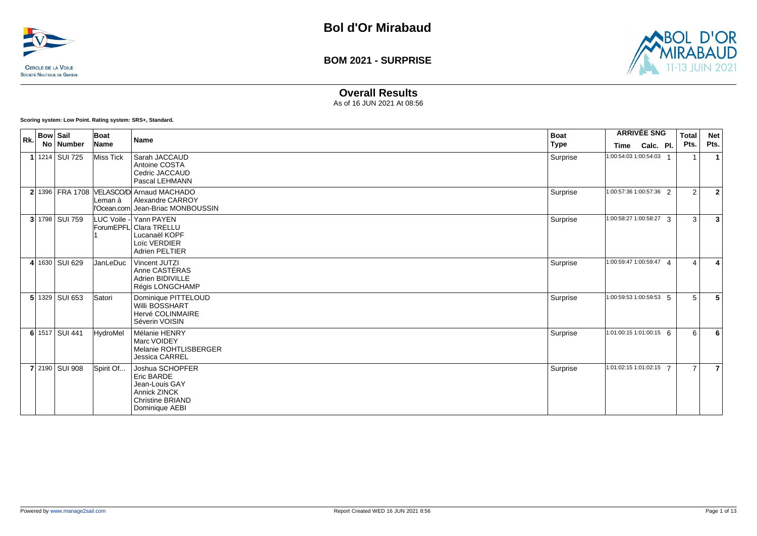



### **Overall Results**

As of 16 JUN 2021 At 08:56

**Scoring system: Low Point. Rating system: SRS+, Standard.**

| Rk. | <b>Bow Sail</b> | No Number      | Boat<br>Name | <b>Name</b>                                                                                                        | <b>Boat</b><br><b>Type</b> | <b>Time</b>                   | <b>ARRIVÉE SNG</b><br>Calc. Pl. | <b>Total</b><br>Pts. | <b>Net</b><br>Pts. |
|-----|-----------------|----------------|--------------|--------------------------------------------------------------------------------------------------------------------|----------------------------|-------------------------------|---------------------------------|----------------------|--------------------|
|     |                 | 1 1214 SUI 725 | Miss Tick    | Sarah JACCAUD<br>Antoine COSTA<br>Cedric JACCAUD<br>Pascal LEHMANN                                                 | Surprise                   | 1:00:54:03 1:00:54:03 $\cdot$ |                                 |                      | $\mathbf{1}$       |
|     |                 |                | Leman à      | 2 1396   FRA 1708   VELASCO/D Arnaud MACHADO<br>Alexandre CARROY<br>ll'Ocean.com Jean-Briac MONBOUSSIN             | Surprise                   | 1:00:57:36 1:00:57:36 2       |                                 | 2                    | $\overline{2}$     |
|     |                 | 3 1798 SUI 759 |              | LUC Voile - Yann PAYEN<br><b>ForumEPFLI Clara TRELLU</b><br>Lucanaël KOPF<br>Loïc VERDIER<br><b>Adrien PELTIER</b> | Surprise                   | 1:00:58:27 1:00:58:27 3       |                                 | 3                    | $\overline{3}$     |
|     |                 | 4 1630 SUI 629 | JanLeDuc     | Vincent JUTZI<br>Anne CASTÉRAS<br>Adrien BIDIVILLE<br>Régis LONGCHAMP                                              | Surprise                   | 1:00:59:47 1:00:59:47 4       |                                 | $\Delta$             |                    |
|     |                 | 5 1329 SUI 653 | Satori       | Dominique PITTELOUD<br><b>Willi BOSSHART</b><br>Hervé COLINMAIRE<br>Séverin VOISIN                                 | Surprise                   | 1:00:59:53 1:00:59:53 5       |                                 | 5                    | 5                  |
|     |                 | 6 1517 SUI 441 | HydroMel     | Mélanie HENRY<br>Marc VOIDEY<br>Melanie ROHTLISBERGER<br><b>Jessica CARREL</b>                                     | Surprise                   | $1:01:00:15$ 1:01:00:15 6     |                                 | 6                    | 6                  |
|     |                 | 7 2190 SUI 908 | Spirit Of    | Joshua SCHOPFER<br>Eric BARDE<br>Jean-Louis GAY<br>Annick ZINCK<br><b>Christine BRIAND</b><br>Dominique AEBI       | Surprise                   | 1:01:02:15 1:01:02:15 7       |                                 | $\overline{7}$       | $\overline{7}$     |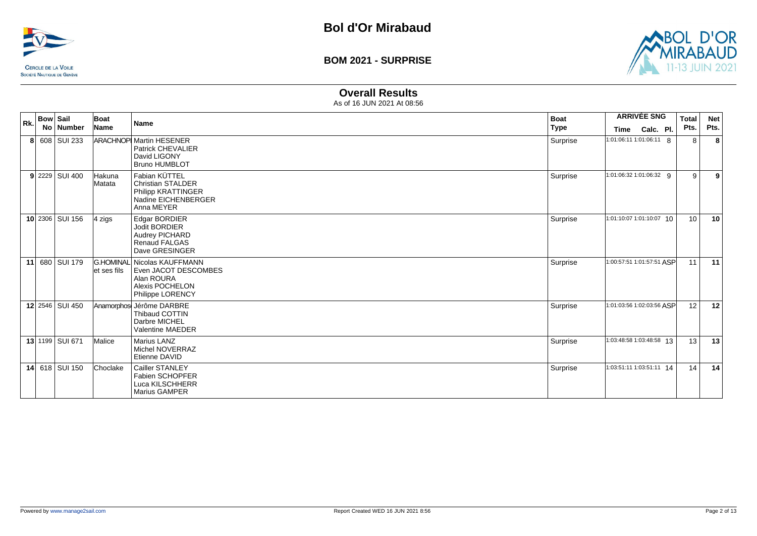



#### **Overall Results**

| Rk. | <b>Bow Sail</b><br>No Number | Boat<br>Name      | <b>Name</b>                                                                                              | <b>Boat</b><br>Type | Time                      | <b>ARRIVÉE SNG</b><br>Calc. Pl. | <b>Total</b><br>Pts. | <b>Net</b><br>Pts. |
|-----|------------------------------|-------------------|----------------------------------------------------------------------------------------------------------|---------------------|---------------------------|---------------------------------|----------------------|--------------------|
|     | 8 608 SUI 233                |                   | <b>ARACHNOP Martin HESENER</b><br><b>Patrick CHEVALIER</b><br>David LIGONY<br><b>Bruno HUMBLOT</b>       | Surprise            | 1:01:06:11 1:01:06:11 8   |                                 | 8                    | 8                  |
|     | $9$ 2229 SUI 400             | Hakuna<br>Matata  | Fabian KÜTTEL<br><b>Christian STALDER</b><br>Philipp KRATTINGER<br>Nadine EICHENBERGER<br>Anna MEYER     | Surprise            | 1:01:06:32 1:01:06:32 9   |                                 | 9                    | 9                  |
|     | 10 2306 SUI 156              | $ 4 \rangle$ zigs | Edgar BORDIER<br><b>Jodit BORDIER</b><br><b>Audrey PICHARD</b><br><b>Renaud FALGAS</b><br>Dave GRESINGER | Surprise            | 1:01:10:07 1:01:10:07 10  |                                 | 10                   | 10                 |
|     | 11 680 SUI 179               | let ses fils      | G.HOMINAL Nicolas KAUFFMANN<br>Even JACOT DESCOMBES<br>Alan ROURA<br>Alexis POCHELON<br>Philippe LORENCY | Surprise            | 1:00:57:51 1:01:57:51 ASP |                                 | 11                   | 11                 |
|     | 12 2546 SUI 450              |                   | Anamorphos Jérôme DARBRE<br><b>Thibaud COTTIN</b><br>Darbre MICHEL<br>Valentine MAEDER                   | Surprise            | 1:01:03:56 1:02:03:56 ASP |                                 | 12                   | 12                 |
|     | 13 1199 SUI 671              | Malice            | <b>Marius LANZ</b><br>Michel NOVERRAZ<br>Etienne DAVID                                                   | Surprise            | 1:03:48:58 1:03:48:58 13  |                                 | 13                   | 13                 |
|     | 14 618 SUI 150               | Choclake          | Cailler STANLEY<br>Fabien SCHOPFER<br>Luca KILSCHHERR<br>Marius GAMPER                                   | Surprise            | 1:03:51:11 1:03:51:11 14  |                                 | 14                   | 14                 |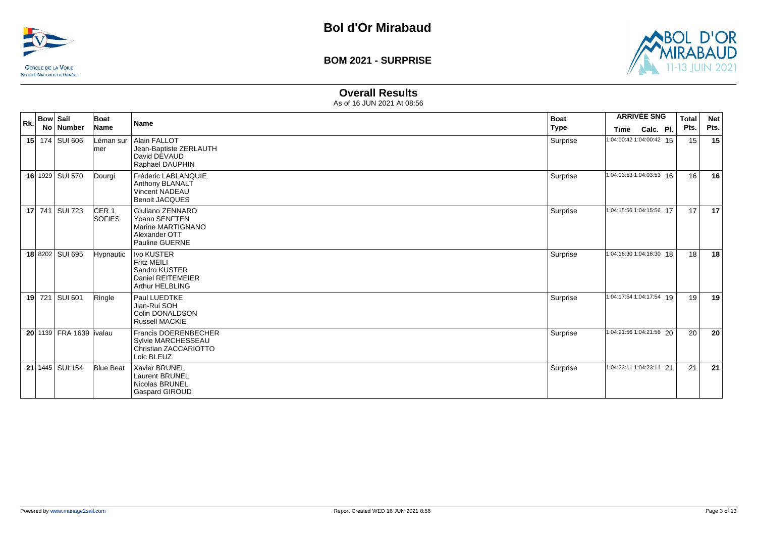



### **Overall Results**

| Rk. | <b>Bow Sail</b><br>No   Number | Boat<br>Name                      | <b>Name</b>                                                                                             | <b>Boat</b><br><b>Type</b> |                                         | <b>ARRIVÉE SNG</b> | <b>Total</b><br>Pts. | <b>Net</b><br>Pts. |
|-----|--------------------------------|-----------------------------------|---------------------------------------------------------------------------------------------------------|----------------------------|-----------------------------------------|--------------------|----------------------|--------------------|
|     | 15 174 SUI 606                 | Léman sur<br> mer                 | Alain FALLOT<br>Jean-Baptiste ZERLAUTH<br>David DEVAUD<br>Raphael DAUPHIN                               | Surprise                   | <b>Time</b><br>1:04:00:42 1:04:00:42 15 | Calc. Pl.          | 15                   | 15                 |
|     | 16 1929 SUI 570                | Dourgi                            | Fréderic LABLANQUIE<br>Anthony BLANALT<br><b>Vincent NADEAU</b><br><b>Benoit JACQUES</b>                | Surprise                   | 1:04:03:53 1:04:03:53 16                |                    | 16                   | 16                 |
|     | 17 741 SUI 723                 | CER <sub>1</sub><br><b>SOFIES</b> | Giuliano ZENNARO<br>Yoann SENFTEN<br>Marine MARTIGNANO<br>Alexander OTT<br><b>Pauline GUERNE</b>        | Surprise                   | 1:04:15:56 1:04:15:56 17                |                    | 17                   | 17                 |
|     | 18 8202 SUI 695                | <b>Hypnautic</b>                  | <b>Ivo KUSTER</b><br><b>Fritz MEILI</b><br>Sandro KUSTER<br>Daniel REITEMEIER<br><b>Arthur HELBLING</b> | Surprise                   | 1:04:16:30 1:04:16:30 18                |                    | 18                   | 18                 |
|     | 19 721 SUI 601                 | Ringle                            | Paul LUEDTKE<br>Jian-Rui SOH<br>Colin DONALDSON<br><b>Russell MACKIE</b>                                | Surprise                   | 1:04:17:54 1:04:17:54 19                |                    | 19                   | 19                 |
|     | 20 1139 FRA 1639 livalau       |                                   | <b>Francis DOERENBECHER</b><br>Sylvie MARCHESSEAU<br>Christian ZACCARIOTTO<br>Loic BLEUZ                | Surprise                   | 1:04:21:56 1:04:21:56 20                |                    | 20                   | 20                 |
|     | 21 1445 SUI 154                | <b>Blue Beat</b>                  | Xavier BRUNEL<br>Laurent BRUNEL<br>Nicolas BRUNEL<br>Gaspard GIROUD                                     | Surprise                   | 1:04:23:11 1:04:23:11 21                |                    | 21                   | 21                 |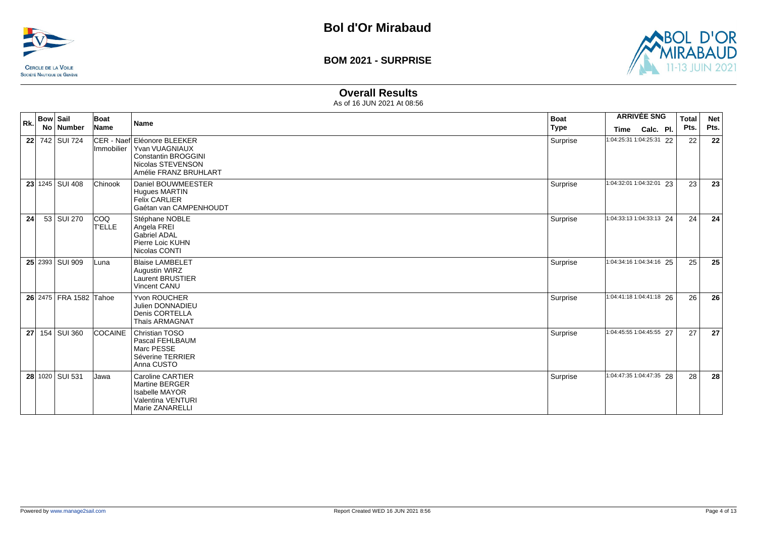



### **Overall Results**

| Rk. | <b>Bow Sail</b> |                        | Boat                 | Name                                                                                                                      | <b>Boat</b> |                          | <b>ARRIVÉE SNG</b> | <b>Total</b> | <b>Net</b> |
|-----|-----------------|------------------------|----------------------|---------------------------------------------------------------------------------------------------------------------------|-------------|--------------------------|--------------------|--------------|------------|
|     |                 | No Number              | Name                 |                                                                                                                           | <b>Type</b> | <b>Time</b>              | Calc. Pl.          | Pts.         | Pts.       |
|     |                 | 22 742 SUI 724         | Immobilier           | CER - Naef Eléonore BLEEKER<br>Yvan VUAGNIAUX<br><b>Constantin BROGGINI</b><br>Nicolas STEVENSON<br>Amélie FRANZ BRUHLART | Surprise    | 1:04:25:31 1:04:25:31 22 |                    | 22           | 22         |
|     |                 | 23 1245 SUI 408        | Chinook              | Daniel BOUWMEESTER<br><b>Hugues MARTIN</b><br><b>Felix CARLIER</b><br>Gaétan van CAMPENHOUDT                              | Surprise    | 1:04:32:01 1:04:32:01 23 |                    | 23           | 23         |
| 24  |                 | 53 SUI 270             | <b>COQ</b><br>T'ELLE | Stéphane NOBLE<br>Angela FREI<br>Gabriel ADAL<br>Pierre Loic KUHN<br>Nicolas CONTI                                        | Surprise    | 1:04:33:13 1:04:33:13 24 |                    | 24           | 24         |
|     |                 | 25 2393 SUI 909        | Luna                 | <b>Blaise LAMBELET</b><br>Augustin WIRZ<br><b>Laurent BRUSTIER</b><br>Vincent CANU                                        | Surprise    | 1:04:34:16 1:04:34:16 25 |                    | 25           | 25         |
|     |                 | 26 2475 FRA 1582 Tahoe |                      | Yvon ROUCHER<br>Julien DONNADIEU<br>Denis CORTELLA<br><b>Thaïs ARMAGNAT</b>                                               | Surprise    | 1:04:41:18 1:04:41:18 26 |                    | 26           | 26         |
|     |                 | 27 154 SUI 360         | <b>COCAINE</b>       | <b>Christian TOSO</b><br>Pascal FEHLBAUM<br>Marc PESSE<br>Séverine TERRIER<br>Anna CUSTO                                  | Surprise    | 1:04:45:55 1:04:45:55 27 |                    | 27           | 27         |
|     |                 | 28 1020 SUI 531        | Jawa                 | <b>Caroline CARTIER</b><br><b>Martine BERGER</b><br><b>Isabelle MAYOR</b><br>Valentina VENTURI<br>Marie ZANARELLI         | Surprise    | 1:04:47:35 1:04:47:35 28 |                    | 28           | 28         |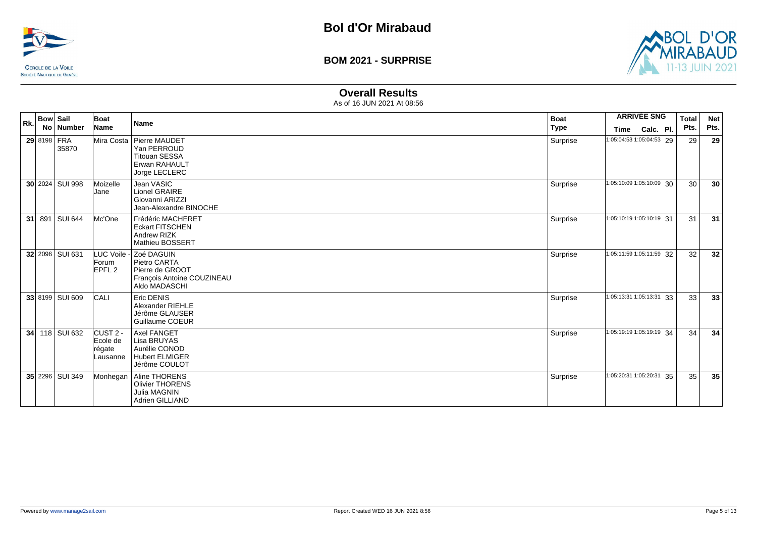



### **Overall Results**

| Rk. | <b>Bow Sail</b> |                 | Boat                                                | <b>Name</b>                                                                                              | <b>Boat</b> |                          | <b>ARRIVÉE SNG</b> | Total | <b>Net</b> |
|-----|-----------------|-----------------|-----------------------------------------------------|----------------------------------------------------------------------------------------------------------|-------------|--------------------------|--------------------|-------|------------|
|     |                 | No Number       | Name                                                |                                                                                                          | <b>Type</b> | Time                     | Calc. Pl.          | Pts.  | Pts.       |
|     | 29 8198 FRA     | 35870           |                                                     | Mira Costa   Pierre MAUDET<br>Yan PERROUD<br><b>Titouan SESSA</b><br>Erwan RAHAULT<br>Jorge LECLERC      | Surprise    | 1:05:04:53 1:05:04:53 29 |                    | 29    | 29         |
|     |                 | 30 2024 SUI 998 | Moizelle<br>Jane                                    | Jean VASIC<br>Lionel GRAIRE<br>Giovanni ARIZZI<br>Jean-Alexandre BINOCHE                                 | Surprise    | 1:05:10:09 1:05:10:09 30 |                    | 30    | 30         |
|     |                 | 31 891 SUI 644  | Mc'One                                              | Frédéric MACHERET<br><b>Eckart FITSCHEN</b><br>Andrew RIZK<br>Mathieu BOSSERT                            | Surprise    | 1:05:10:19 1:05:10:19 31 |                    | 31    | 31         |
|     |                 | 32 2096 SUI 631 | Forum<br>EPFL <sub>2</sub>                          | LUC Voile - Zoé DAGUIN<br>Pietro CARTA<br>Pierre de GROOT<br>François Antoine COUZINEAU<br>Aldo MADASCHI | Surprise    | 1:05:11:59 1:05:11:59 32 |                    | 32    | 32         |
|     |                 | 33 8199 SUI 609 | CALI                                                | Eric DENIS<br>Alexander RIEHLE<br>Jérôme GLAUSER<br>Guillaume COEUR                                      | Surprise    | 1:05:13:31 1:05:13:31 33 |                    | 33    | 33         |
| 34  |                 | 118 SUI 632     | CUST <sub>2</sub><br>Ecole de<br>régate<br>Lausanne | <b>Axel FANGET</b><br>Lisa BRUYAS<br>Aurélie CONOD<br><b>Hubert ELMIGER</b><br>Jérôme COULOT             | Surprise    | 1:05:19:19 1:05:19:19 34 |                    | 34    | 34         |
|     |                 | 35 2296 SUI 349 |                                                     | Monhegan   Aline THORENS<br><b>Olivier THORENS</b><br><b>Julia MAGNIN</b><br>Adrien GILLIAND             | Surprise    | 1:05:20:31 1:05:20:31 35 |                    | 35    | 35         |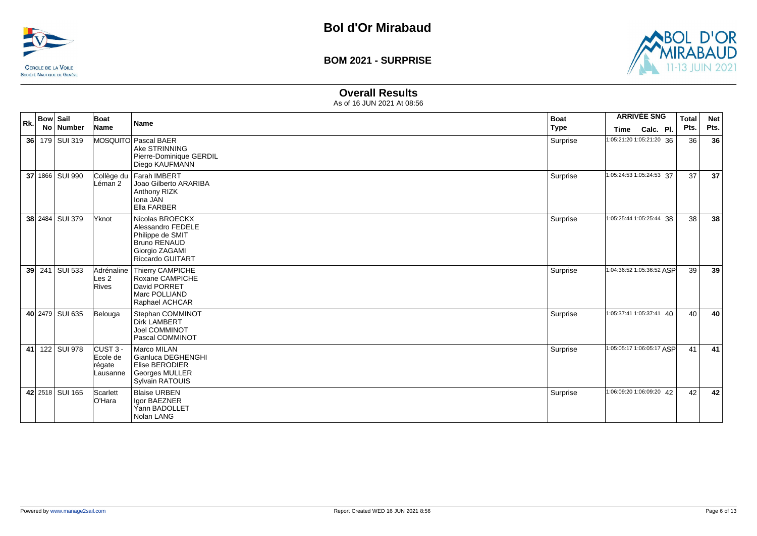



### **Overall Results**

| Rk. | <b>Bow Sail</b><br>No   Number | Boat<br>Name                                | <b>Name</b>                                                                                                                  | <b>Boat</b><br><b>Type</b> | <b>Time</b>                | <b>ARRIVÉE SNG</b><br>Calc. Pl. | <b>Total</b><br>Pts. | <b>Net</b><br>Pts. |
|-----|--------------------------------|---------------------------------------------|------------------------------------------------------------------------------------------------------------------------------|----------------------------|----------------------------|---------------------------------|----------------------|--------------------|
|     | 36 179 SUI 319                 |                                             | MOSQUITO Pascal BAER<br>Ake STRINNING<br>Pierre-Dominique GERDIL<br>Diego KAUFMANN                                           | Surprise                   | 1:05:21:20 1:05:21:20 36   |                                 | 36                   | 36                 |
|     | 37 1866   SUI 990              | Collège du<br>Léman 2                       | Farah IMBERT<br>Joao Gilberto ARARIBA<br>Anthony RIZK<br>Iona JAN<br>Ella FARBER                                             | Surprise                   | 1:05:24:53 1:05:24:53 37   |                                 | 37                   | 37                 |
|     | 38 2484 SUI 379                | <b>Yknot</b>                                | Nicolas BROECKX<br>Alessandro FEDELE<br>Philippe de SMIT<br><b>Bruno RENAUD</b><br>Giorgio ZAGAMI<br><b>Riccardo GUITART</b> | Surprise                   | 1:05:25:44 1:05:25:44 38   |                                 | 38                   | 38                 |
|     | 39 241 SUI 533                 | Adrénaline<br>Les 2<br>Rives                | Thierry CAMPICHE<br>Roxane CAMPICHE<br>David PORRET<br>Marc POLLIAND<br>Raphael ACHCAR                                       | Surprise                   | 1:04:36:52 1:05:36:52 ASP  |                                 | 39                   | 39                 |
|     | 40 2479 SUI 635                | Belouga                                     | Stephan COMMINOT<br><b>Dirk LAMBERT</b><br>Joel COMMINOT<br>Pascal COMMINOT                                                  | Surprise                   | $1:05:37:41$ 1:05:37:41 40 |                                 | 40                   | 40                 |
|     | 41 122 SUI 978                 | $CUST3 -$<br>Ecole de<br>régate<br>Lausanne | Marco MILAN<br>Gianluca DEGHENGHI<br>Elise BERODIER<br><b>Georges MULLER</b><br>Sylvain RATOUIS                              | Surprise                   | 1:05:05:17 1:06:05:17 ASP  |                                 | 41                   | 41                 |
|     | 42 2518 SUI 165                | Scarlett<br>O'Hara                          | <b>Blaise URBEN</b><br>Igor BAEZNER<br>Yann BADOLLET<br>Nolan LANG                                                           | Surprise                   | 1:06:09:20 1:06:09:20 42   |                                 | 42                   | 42                 |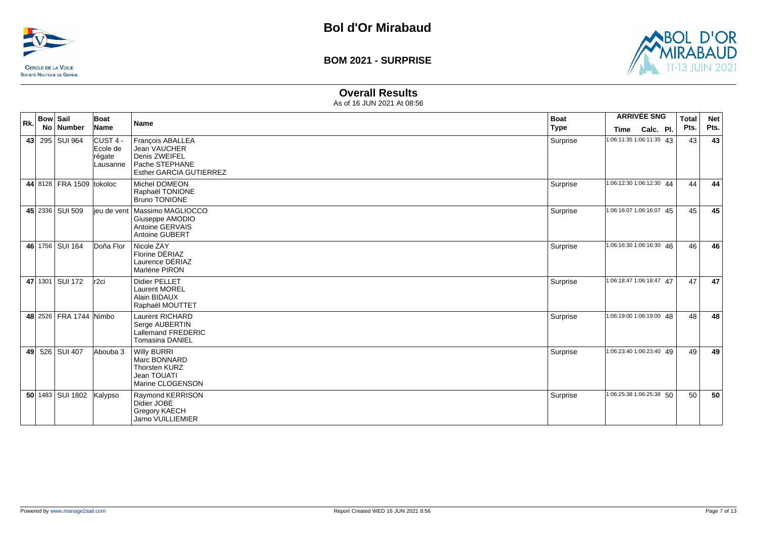



### **Overall Results**

| Rk. | <b>Bow Sail</b> | No Number                | Boat<br>Name                               | <b>Name</b>                                                                                           | <b>Boat</b><br><b>Type</b> | <b>Time</b>              | <b>ARRIVÉE SNG</b><br>Calc. Pl. | Total<br>Pts. | <b>Net</b><br>Pts. |
|-----|-----------------|--------------------------|--------------------------------------------|-------------------------------------------------------------------------------------------------------|----------------------------|--------------------------|---------------------------------|---------------|--------------------|
|     |                 | 43 295 SUI 964           | CUST 4 -<br>Ecole de<br>régate<br>Lausanne | François ABALLEA<br>Jean VAUCHER<br>Denis ZWEIFEL<br>Pache STEPHANE<br><b>Esther GARCIA GUTIERREZ</b> | Surprise                   | 1:06:11:35 1:06:11:35 43 |                                 | 43            | 43                 |
|     |                 | 44 8128 FRA 1509 tokoloc |                                            | Michel DOMEON<br>Raphaël TONIONE<br><b>Bruno TONIONE</b>                                              | Surprise                   | 1:06:12:30 1:06:12:30 44 |                                 | 44            | 44                 |
|     |                 | 45 2336 SUI 509          |                                            | lieu de vent   Massimo MAGLIOCCO<br>Giuseppe AMODIO<br>Antoine GERVAIS<br>Antoine GUBERT              | Surprise                   | 1:06:16:07 1:06:16:07 45 |                                 | 45            | 45                 |
|     |                 | 46 1756 SUI 164          | Doña Flor                                  | Nicole ZAY<br>Florine DÉRIAZ<br>Laurence DÉRIAZ<br>Marlène PIRON                                      | Surprise                   | 1:06:16:30 1:06:16:30 46 |                                 | 46            | 46                 |
|     |                 | 47 1301 SUI 172          | r <sub>2ci</sub>                           | <b>Didier PELLET</b><br><b>Laurent MOREL</b><br>Alain BIDAUX<br>Raphaël MOUTTET                       | Surprise                   | 1:06:18:47 1:06:18:47 47 |                                 | 47            | 47                 |
|     |                 | 48 2526 FRA 1744 Nimbo   |                                            | <b>Laurent RICHARD</b><br>Serge AUBERTIN<br>Lallemand FREDERIC<br><b>Tomasina DANIEL</b>              | Surprise                   | 1:06:19:00 1:06:19:00 48 |                                 | 48            | 48                 |
|     |                 | 49 526 SUI 407           | Abouba 3                                   | <b>Willy BURRI</b><br>Marc BONNARD<br>Thorsten KURZ<br>Jean TOUATI<br>Marine CLOGENSON                | Surprise                   |                          | 1:06:23:40 1:06:23:40 49        | 49            | 49                 |
|     |                 | 50 1483 SUI 1802         | Kalypso                                    | Raymond KERRISON<br>Didier JOBÉ<br><b>Gregory KAECH</b><br>Jarno VUILLIEMIER                          | Surprise                   | 1:06:25:38 1:06:25:38 50 |                                 | 50            | 50                 |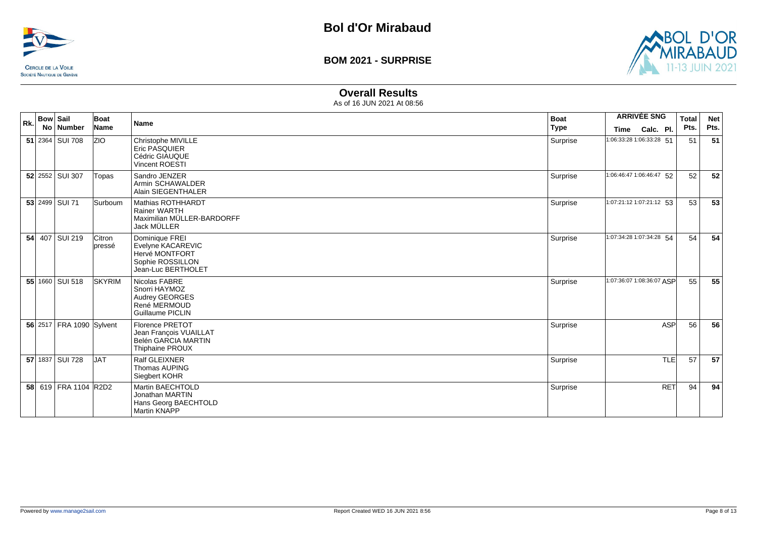



### **Overall Results**

| Rk. | <b>Bow Sail</b> |                          | Boat             | <b>Name</b>                                                                                        | <b>Boat</b> |                           | <b>ARRIVÉE SNG</b> | <b>Total</b> | <b>Net</b> |
|-----|-----------------|--------------------------|------------------|----------------------------------------------------------------------------------------------------|-------------|---------------------------|--------------------|--------------|------------|
|     |                 | No   Number              | Name             |                                                                                                    | <b>Type</b> | Time                      | Calc. Pl.          | Pts.         | Pts.       |
|     |                 | 51 2364 SUI 708          | <b>ZIO</b>       | Christophe MIVILLE<br><b>Eric PASQUIER</b><br>Cédric GIAUQUE<br><b>Vincent ROESTI</b>              | Surprise    | 1:06:33:28 1:06:33:28 51  |                    | 51           | 51         |
|     |                 | 52 2552 SUI 307          | Topas            | Sandro JENZER<br>Armin SCHAWALDER<br>Alain SIEGENTHALER                                            | Surprise    | 1:06:46:47 1:06:46:47 52  |                    | 52           | 52         |
|     |                 | 53 2499 SUI 71           | Surboum          | Mathias ROTHHARDT<br><b>Rainer WARTH</b><br>Maximilian MÜLLER-BARDORFF<br>Jack MÜLLER              | Surprise    | 1:07:21:12 1:07:21:12 53  |                    | 53           | 53         |
|     |                 | 54 407 SUI 219           | Citron<br>pressé | Dominique FREI<br>Evelyne KACAREVIC<br>Hervé MONTFORT<br>Sophie ROSSILLON<br>Jean-Luc BERTHOLET    | Surprise    | 1:07:34:28 1:07:34:28 54  |                    | 54           | 54         |
|     |                 | 55 1660 SUI 518          | SKYRIM           | Nicolas FABRE<br>Snorri HAYMOZ<br><b>Audrey GEORGES</b><br>René MERMOUD<br><b>Guillaume PICLIN</b> | Surprise    | 1:07:36:07 1:08:36:07 ASP |                    | 55           | 55         |
|     |                 | 56 2517 FRA 1090 Sylvent |                  | <b>Florence PRETOT</b><br>Jean François VUAILLAT<br>Belén GARCIA MARTIN<br><b>Thiphaine PROUX</b>  | Surprise    |                           | <b>ASP</b>         | 56           | 56         |
|     |                 | 57 1837 SUI 728          | <b>JAT</b>       | Ralf GLEIXNER<br>Thomas AUPING<br>Siegbert KOHR                                                    | Surprise    |                           | TLE                | 57           | 57         |
|     |                 | 58 619 FRA 1104 R2D2     |                  | <b>Martin BAECHTOLD</b><br>Jonathan MARTIN<br>Hans Georg BAECHTOLD<br>Martin KNAPP                 | Surprise    |                           | <b>RET</b>         | 94           | 94         |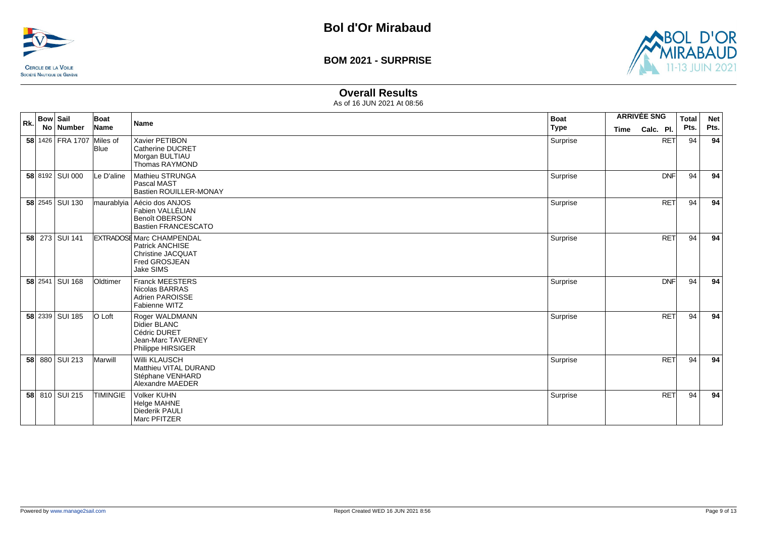



#### **Overall Results**

| Rk. | <b>Bow Sail</b><br>No   Number | Boat<br>Name    | <b>Name</b>                                                                                                   | <b>Boat</b><br><b>Type</b> | Time | <b>ARRIVÉE SNG</b><br>Calc. Pl. | <b>Total</b><br>Pts. | <b>Net</b><br>Pts. |
|-----|--------------------------------|-----------------|---------------------------------------------------------------------------------------------------------------|----------------------------|------|---------------------------------|----------------------|--------------------|
|     | 58 1426 FRA 1707 Miles of      | <b>Blue</b>     | Xavier PETIBON<br>Catherine DUCRET<br>Morgan BULTIAU<br><b>Thomas RAYMOND</b>                                 | Surprise                   |      | <b>RET</b>                      | 94                   | 94                 |
|     | 58 8192 SUI 000                | Le D'aline      | Mathieu STRUNGA<br>Pascal MAST<br><b>Bastien ROUILLER-MONAY</b>                                               | Surprise                   |      | <b>DNF</b>                      | 94                   | 94                 |
|     | 58 2545 SUI 130                |                 | maurablyia   Aécio dos ANJOS<br>Fabien VALLÉLIAN<br><b>Benoît OBERSON</b><br><b>Bastien FRANCESCATO</b>       | Surprise                   |      | <b>RET</b>                      | 94                   | 94                 |
|     | 58 273 SUI 141                 |                 | <b>EXTRADOSE Marc CHAMPENDAL</b><br>Patrick ANCHISE<br><b>Christine JACQUAT</b><br>Fred GROSJEAN<br>Jake SIMS | Surprise                   |      | <b>RET</b>                      | 94                   | 94                 |
|     | 58 2541 SUI 168                | Oldtimer        | <b>Franck MEESTERS</b><br>Nicolas BARRAS<br><b>Adrien PAROISSE</b><br>Fabienne WITZ                           | Surprise                   |      | <b>DNF</b>                      | 94                   | 94                 |
|     | 58 2339 SUI 185                | O Loft          | Roger WALDMANN<br>Didier BLANC<br>Cédric DURET<br>Jean-Marc TAVERNEY<br>Philippe HIRSIGER                     | Surprise                   |      | <b>RET</b>                      | 94                   | 94                 |
|     | 58 880 SUI 213                 | Marwill         | <b>Willi KLAUSCH</b><br>Matthieu VITAL DURAND<br>Stéphane VENHARD<br>Alexandre MAEDER                         | Surprise                   |      | <b>RET</b>                      | 94                   | 94                 |
|     | 58 810 SUI 215                 | <b>TIMINGIE</b> | Volker KUHN<br><b>Helge MAHNE</b><br>Diederik PAULI<br>Marc PFITZER                                           | Surprise                   |      | <b>RET</b>                      | 94                   | 94                 |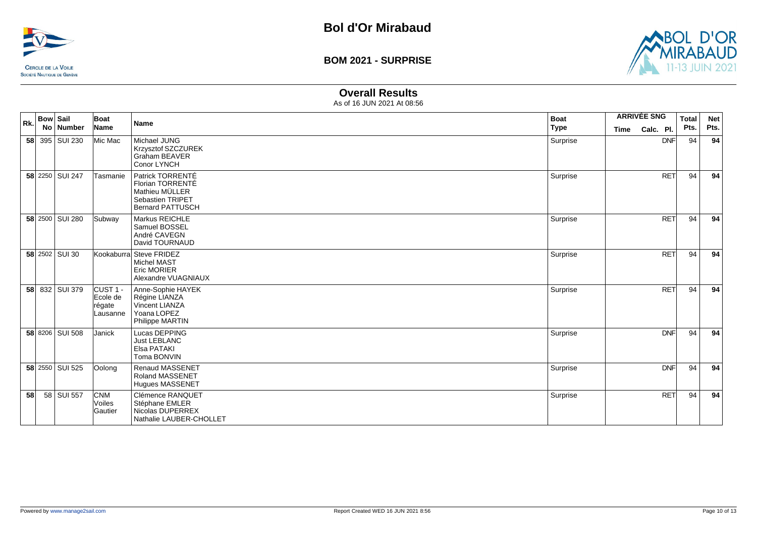



### **Overall Results**

| Rk. | <b>Bow Sail</b><br>No Number | Boat<br>Name                               | Name                                                                                                  | <b>Boat</b><br><b>Type</b> | Time | <b>ARRIVÉE SNG</b><br>Calc. Pl. | <b>Total</b><br>Pts. | <b>Net</b><br>Pts. |
|-----|------------------------------|--------------------------------------------|-------------------------------------------------------------------------------------------------------|----------------------------|------|---------------------------------|----------------------|--------------------|
|     | 58 395 SUI 230               | Mic Mac                                    | Michael JUNG<br>Krzysztof SZCZUREK<br><b>Graham BEAVER</b><br>Conor LYNCH                             | Surprise                   |      | <b>DNF</b>                      | 94                   | 94                 |
|     | 58 2250 SUI 247              | Tasmanie                                   | Patrick TORRENTÉ<br>Florian TORRENTÉ<br>Mathieu MÜLLER<br>Sebastien TRIPET<br><b>Bernard PATTUSCH</b> | Surprise                   |      | <b>RET</b>                      | 94                   | 94                 |
|     | 58 2500 SUI 280              | Subway                                     | Markus REICHLE<br>Samuel BOSSEL<br>André CAVEGN<br>David TOURNAUD                                     | Surprise                   |      | <b>RET</b>                      | 94                   | 94                 |
|     | 58 2502 SUI 30               |                                            | Kookaburra Steve FRIDEZ<br><b>Michel MAST</b><br><b>Eric MORIER</b><br>Alexandre VUAGNIAUX            | Surprise                   |      | <b>RET</b>                      | 94                   | 94                 |
|     | 58 832 SUI 379               | CUST 1 -<br>Ecole de<br>régate<br>Lausanne | Anne-Sophie HAYEK<br>Régine LIANZA<br>Vincent LIANZA<br>Yoana LOPEZ<br>Philippe MARTIN                | Surprise                   |      | <b>RET</b>                      | 94                   | 94                 |
|     | 58 8206 SUI 508              | Janick                                     | Lucas DEPPING<br><b>Just LEBLANC</b><br>Elsa PATAKI<br>Toma BONVIN                                    | Surprise                   |      | <b>DNF</b>                      | 94                   | 94                 |
|     | 58 2550 SUI 525              | Oolong                                     | <b>Renaud MASSENET</b><br><b>Roland MASSENET</b><br><b>Hugues MASSENET</b>                            | Surprise                   |      | DNF                             | 94                   | 94                 |
| 58  | 58 SUI 557                   | <b>CNM</b><br>Voiles<br>Gautier            | Clémence RANQUET<br>Stéphane EMLER<br>Nicolas DUPERREX<br>Nathalie LAUBER-CHOLLET                     | Surprise                   |      | <b>RET</b>                      | 94                   | 94                 |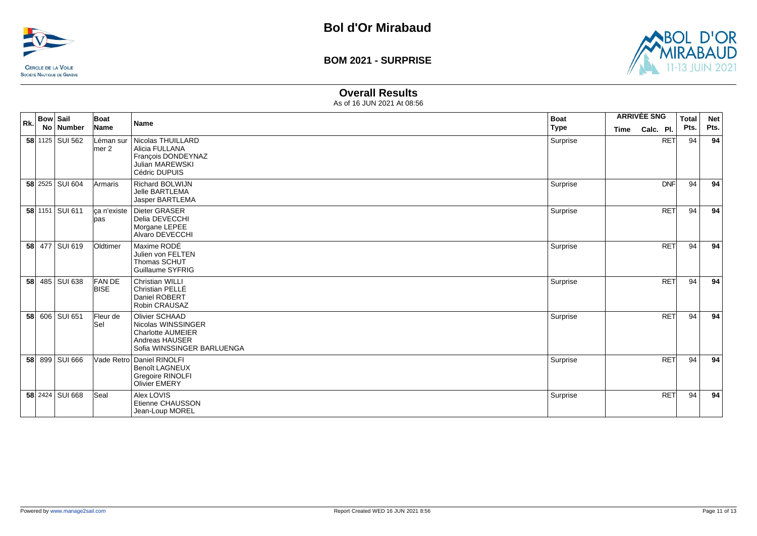



# **Overall Results**

| Rk. | <b>Bow Sail</b><br>No Number | Boat<br>Name                | Name                                                                                                             | <b>Boat</b><br><b>Type</b> | <b>ARRIVÉE SNG</b><br><b>Time</b> | Calc. Pl.  | <b>Total</b><br>Pts. | <b>Net</b><br>Pts. |
|-----|------------------------------|-----------------------------|------------------------------------------------------------------------------------------------------------------|----------------------------|-----------------------------------|------------|----------------------|--------------------|
|     | 58 1125 SUI 562              | Léman sur<br>$l$ mer 2      | Nicolas THUILLARD<br>Alicia FULLANA<br>François DONDEYNAZ<br>Julian MAREWSKI<br>Cédric DUPUIS                    | Surprise                   |                                   | <b>RET</b> | 94                   | 94                 |
|     | 58 2525 SUI 604              | <b>Armaris</b>              | <b>Richard BOLWIJN</b><br>Jelle BARTLEMA<br>Jasper BARTLEMA                                                      | Surprise                   |                                   | <b>DNF</b> | 94                   | 94                 |
|     | 58 1151 SUI 611              | ca n'existe<br>lpas         | Dieter GRASER<br>Delia DEVECCHI<br>Morgane LEPEE<br>Alvaro DEVECCHI                                              | Surprise                   |                                   | <b>RET</b> | 94                   | 94                 |
|     | 58 477 SUI 619               | Oldtimer                    | Maxime RODÉ<br>Julien von FELTEN<br>Thomas SCHUT<br>Guillaume SYFRIG                                             | Surprise                   |                                   | <b>RET</b> | 94                   | 94                 |
|     | 58 485 SUI 638               | <b>FANDE</b><br><b>BISE</b> | <b>Christian WILLI</b><br>Christian PELLE<br>Daniel ROBERT<br>Robin CRAUSAZ                                      | Surprise                   |                                   | <b>RET</b> | 94                   | 94                 |
|     | 58 606 SUI 651               | Fleur de<br>lSel            | Olivier SCHAAD<br>Nicolas WINSSINGER<br><b>Charlotte AUMEIER</b><br>Andreas HAUSER<br>Sofia WINSSINGER BARLUENGA | Surprise                   |                                   | <b>RET</b> | 94                   | 94                 |
|     | 58 899 SUI 666               |                             | Vade Retro Daniel RINOLFI<br><b>Benoît LAGNEUX</b><br>Gregoire RINOLFI<br><b>Olivier EMERY</b>                   | Surprise                   |                                   | <b>RET</b> | 94                   | 94                 |
|     | 58 2424 SUI 668              | Seal                        | Alex LOVIS<br>Etienne CHAUSSON<br>Jean-Loup MOREL                                                                | Surprise                   |                                   | <b>RET</b> | 94                   | 94                 |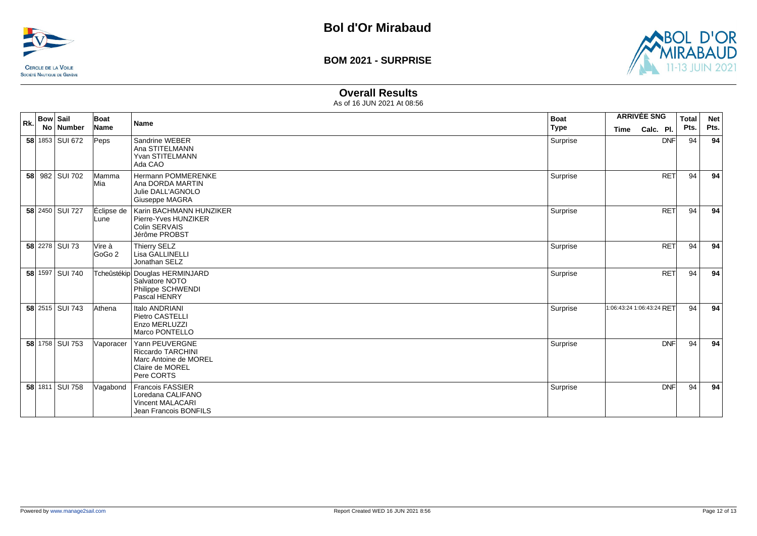



### **Overall Results**

| Rk.             | <b>Bow Sail</b><br>No   Number | Boat<br>Name       | <b>Name</b>                                                                                          | <b>Boat</b><br><b>Type</b> | Time                      | <b>ARRIVÉE SNG</b><br>Calc. Pl. | Total<br>Pts. | <b>Net</b><br>Pts. |
|-----------------|--------------------------------|--------------------|------------------------------------------------------------------------------------------------------|----------------------------|---------------------------|---------------------------------|---------------|--------------------|
|                 | 58 1853 SUI 672                | Peps               | Sandrine WEBER<br>Ana STITELMANN<br>Yvan STITELMANN<br>Ada CAO                                       | Surprise                   |                           | <b>DNF</b>                      | 94            | 94                 |
| 58 <sub>1</sub> | 982   SUI 702                  | Mamma<br>Mia       | Hermann POMMERENKE<br>Ana DORDA MARTIN<br>Julie DALL'AGNOLO<br>Giuseppe MAGRA                        | Surprise                   |                           | <b>RET</b>                      | 94            | 94                 |
|                 | 58 2450 SUI 727                | Éclipse de<br>Lune | Karin BACHMANN HUNZIKER<br>Pierre-Yves HUNZIKER<br><b>Colin SERVAIS</b><br>Jérôme PROBST             | Surprise                   |                           | <b>RET</b>                      | 94            | 94                 |
|                 | 58 2278 SUI 73                 | Vire à<br>GoGo 2   | Thierry SELZ<br>Lisa GALLINELLI<br>Jonathan SELZ                                                     | Surprise                   |                           | <b>RET</b>                      | 94            | 94                 |
|                 | 58 1597 SUI 740                |                    | Tcheûstékip Douglas HERMINJARD<br>Salvatore NOTO<br>Philippe SCHWENDI<br>Pascal HENRY                | Surprise                   |                           | <b>RET</b>                      | 94            | 94                 |
|                 | 58 2515 SUI 743                | Athena             | Italo ANDRIANI<br>Pietro CASTELLI<br>Enzo MERLUZZI<br>Marco PONTELLO                                 | Surprise                   | 1:06:43:24 1:06:43:24 RFT |                                 | 94            | 94                 |
|                 | 58 1758 SUI 753                | Vaporacer          | Yann PEUVERGNE<br><b>Riccardo TARCHINI</b><br>Marc Antoine de MOREL<br>Claire de MOREL<br>Pere CORTS | Surprise                   |                           | <b>DNF</b>                      | 94            | 94                 |
|                 | 58 1811 SUI 758                | Vagabond           | <b>Francois FASSIER</b><br>Loredana CALIFANO<br><b>Vincent MALACARI</b><br>Jean Francois BONFILS     | Surprise                   |                           | <b>DNF</b>                      | 94            | 94                 |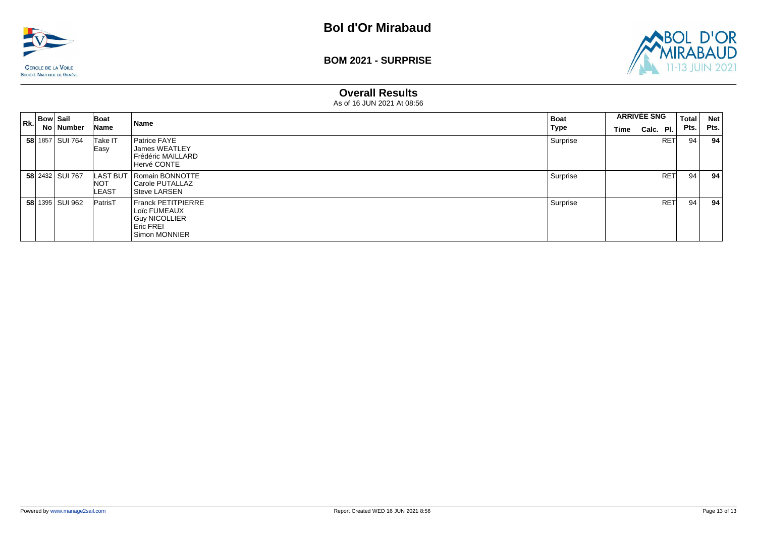



#### **Overall Results**

| $R_k$ Bow Sail |                        | Boat                       | Name                                                                                     | <b>Boat</b> | <b>ARRIVÉE SNG</b> |           |            | <b>Total</b> | <b>Net</b> |
|----------------|------------------------|----------------------------|------------------------------------------------------------------------------------------|-------------|--------------------|-----------|------------|--------------|------------|
|                | No   Number            | Name                       |                                                                                          | Type        | Time               | Calc. Pl. |            | Pts.         | Pts.       |
|                | 58 1857   SUI 764      | Take IT<br>Easy            | Patrice FAYE<br>James WEATLEY<br>Frédéric MAILLARD<br>Hervé CONTE                        | Surprise    |                    |           | <b>RET</b> | 94           | 94         |
|                | 58 2432 SUI 767        | <b>NOT</b><br><b>LEAST</b> | LAST BUT   Romain BONNOTTE<br>Carole PUTALLAZ<br>Steve LARSEN                            | Surprise    |                    |           | <b>RET</b> | 94           | 94         |
|                | <b>58</b> 1395 SUI 962 | <b>PatrisT</b>             | Franck PETITPIERRE<br>Loïc FUMEAUX<br>Guy NICOLLIER<br><b>Eric FREI</b><br>Simon MONNIER | Surprise    |                    |           | <b>RET</b> | 94           | 94         |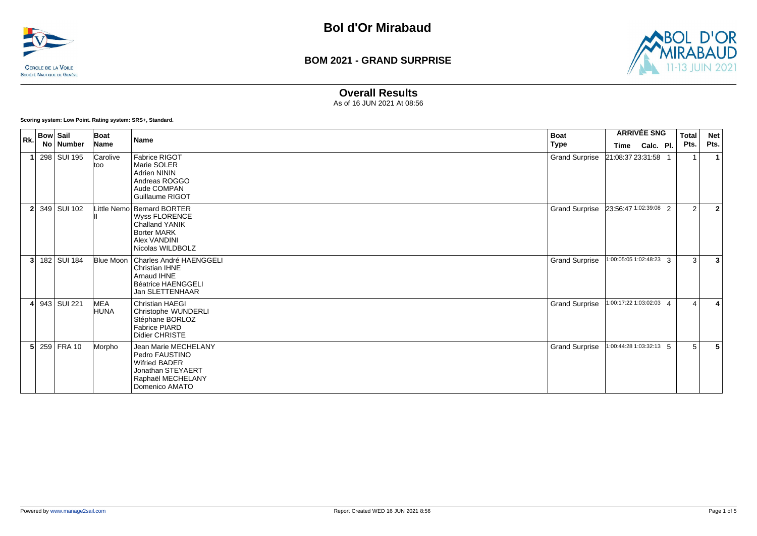



### **Overall Results**

As of 16 JUN 2021 At 08:56

**Scoring system: Low Point. Rating system: SRS+, Standard.**

| Rk.            | <b>Bow Sail</b> | Boat             | <b>Name</b>                                                                                                                           | <b>Boat</b>           |                           | <b>ARRIVÉE SNG</b> | Total                 | <b>Net</b>     |
|----------------|-----------------|------------------|---------------------------------------------------------------------------------------------------------------------------------------|-----------------------|---------------------------|--------------------|-----------------------|----------------|
|                | No Number       | Name             |                                                                                                                                       | Type                  | Time Calc. Pl.            |                    | Pts.                  | Pts.           |
|                | 298 SUI 195     | Carolive<br>ltoo | Fabrice RIGOT<br>Marie SOLER<br><b>Adrien NININ</b><br>Andreas ROGGO<br>Aude COMPAN<br>Guillaume RIGOT                                | <b>Grand Surprise</b> | 21:08:37 23:31:58         |                    |                       |                |
| $\overline{2}$ | 349 SUI 102     |                  | Little Nemo Bernard BORTER<br><b>Wyss FLORENCE</b><br><b>Challand YANIK</b><br><b>Borter MARK</b><br>Alex VANDINI<br>Nicolas WILDBOLZ | <b>Grand Surprise</b> | 23:56:47 1:02:39:08 2     |                    | 2                     | $\overline{2}$ |
| 3              | 182   SUI 184   | Blue Moon        | Charles André HAENGGELI<br>Christian IHNE<br>Arnaud IHNE<br><b>Béatrice HAENGGELI</b><br>Jan SLETTENHAAR                              | <b>Grand Surprise</b> | $1:00:05:05$ 1:02:48:23 3 |                    | 3                     | 3              |
| 4 <sup>1</sup> | 943   SUI 221   | MEA<br>HUNA      | <b>Christian HAEGI</b><br>Christophe WUNDERLI<br>Stéphane BORLOZ<br><b>Fabrice PIARD</b><br>Didier CHRISTE                            | <b>Grand Surprise</b> | 1:00:17:22 1:03:02:03 4   |                    | $\boldsymbol{\Delta}$ |                |
|                | $5$ 259 FRA 10  | Morpho           | Jean Marie MECHELANY<br>Pedro FAUSTINO<br><b>Wifried BADER</b><br>Jonathan STEYAERT<br>Raphaël MECHELANY<br>Domenico AMATO            | <b>Grand Surprise</b> | 1:00:44:28 1:03:32:13 5   |                    | 5                     | 5              |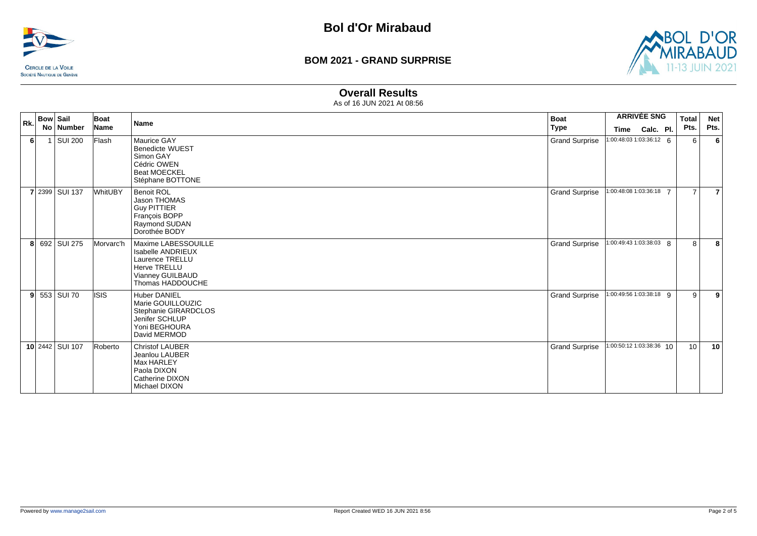



#### **Overall Results**

| Rk.            | <b>Bow Sail</b> | Boat        |                                                                                                                                   | <b>Boat</b>           | <b>ARRIVÉE SNG</b>         |           | <b>Total</b>   | <b>Net</b>     |
|----------------|-----------------|-------------|-----------------------------------------------------------------------------------------------------------------------------------|-----------------------|----------------------------|-----------|----------------|----------------|
|                | No   Number     | <b>Name</b> | <b>Name</b>                                                                                                                       | <b>Type</b>           | <b>Time</b>                | Calc. Pl. | Pts.           | Pts.           |
| 6 <sup>1</sup> | 1 SUI 200       | Flash       | Maurice GAY<br><b>Benedicte WUEST</b><br>Simon GAY<br>Cédric OWEN<br><b>Beat MOECKEL</b><br>Stéphane BOTTONE                      | <b>Grand Surprise</b> | 1:00:48:03 1:03:36:12 6    |           | 6              | 6              |
|                | 7 2399 SUI 137  | WhitUBY     | <b>Benoit ROL</b><br>Jason THOMAS<br><b>Guy PITTIER</b><br>François BOPP<br>Raymond SUDAN<br>Dorothée BODY                        | <b>Grand Surprise</b> | 1:00:48:08 1:03:36:18 7    |           | $\overline{7}$ | $\overline{7}$ |
|                | 8 692 SUI 275   | Morvarc'h   | Maxime LABESSOUILLE<br><b>Isabelle ANDRIEUX</b><br>Laurence TRELLU<br><b>Herve TRELLU</b><br>Vianney GUILBAUD<br>Thomas HADDOUCHE | <b>Grand Surprise</b> | 1:00:49:43 1:03:38:03 8    |           | 8              | 8              |
|                | $9 553 $ SUI 70 | <b>ISIS</b> | <b>Huber DANIEL</b><br>Marie GOUILLOUZIC<br>Stephanie GIRARDCLOS<br>Jenifer SCHLUP<br>Yoni BEGHOURA<br>David MERMOD               | <b>Grand Surprise</b> | 1:00:49:56 1:03:38:18 9    |           | 9              | 9              |
|                | 10 2442 SUI 107 | Roberto     | <b>Christof LAUBER</b><br>Jeanlou LAUBER<br>Max HARLEY<br>Paola DIXON<br>Catherine DIXON<br>Michael DIXON                         | <b>Grand Surprise</b> | $1:00:50:12$ 1:03:38:36 10 |           | 10             | 10             |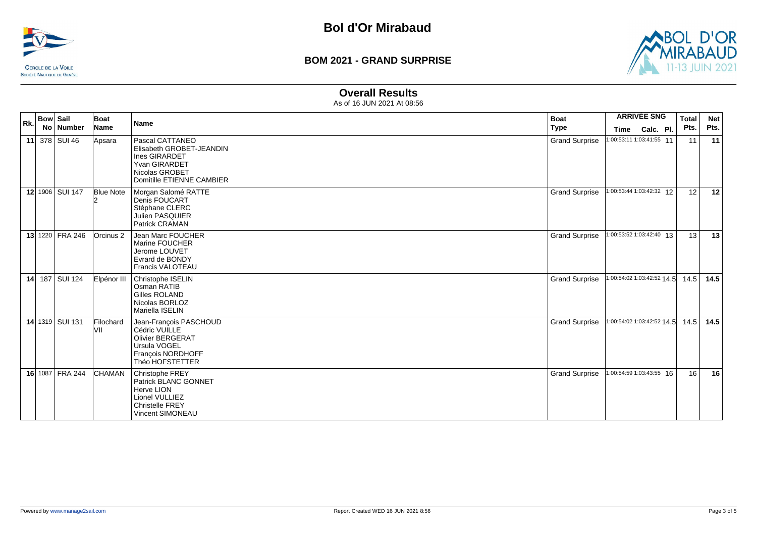



#### **Overall Results**

| Rk. | <b>Bow Sail</b><br>No Number | Boat<br>Name     | <b>Name</b>                                                                                                                  | <b>Boat</b><br><b>Type</b> | <b>ARRIVÉE SNG</b><br>Calc. Pl.<br>Time | Total<br>Pts. | <b>Net</b><br>Pts. |
|-----|------------------------------|------------------|------------------------------------------------------------------------------------------------------------------------------|----------------------------|-----------------------------------------|---------------|--------------------|
|     | 11 378 SUI 46                | Apsara           | Pascal CATTANEO<br>Elisabeth GROBET-JEANDIN<br>Ines GIRARDET<br>Yvan GIRARDET<br>Nicolas GROBET<br>Domitille ETIENNE CAMBIER | <b>Grand Surprise</b>      | 1:00:53:11 1:03:41:55 11                |               | 11<br>11           |
|     | 12 1906 SUI 147              | <b>Blue Note</b> | Morgan Salomé RATTE<br>Denis FOUCART<br>Stéphane CLERC<br><b>Julien PASQUIER</b><br>Patrick CRAMAN                           | <b>Grand Surprise</b>      | 1:00:53:44 1:03:42:32 12                |               | 12<br>12           |
|     | 13 1220 FRA 246              | Orcinus 2        | Jean Marc FOUCHER<br>Marine FOUCHER<br>Jerome LOUVET<br>Evrard de BONDY<br>Francis VALOTEAU                                  | <b>Grand Surprise</b>      | 1:00:53:52 1:03:42:40 13                |               | 13<br>13           |
| 14  | 187 SUI 124                  | Elpénor III      | Christophe ISELIN<br>Osman RATIB<br>Gilles ROLAND<br>Nicolas BORLOZ<br>Mariella ISELIN                                       | <b>Grand Surprise</b>      | 1:00:54:02 1:03:42:52 14.5              | 14.5          | 14.5               |
|     | 14 1319 SUI 131              | Filochard<br>VII | Jean-François PASCHOUD<br>Cédric VUILLE<br><b>Olivier BERGERAT</b><br>Ursula VOGEL<br>François NORDHOFF<br>Théo HOFSTETTER   | <b>Grand Surprise</b>      | 1:00:54:02 1:03:42:52 14.5              | 14.5          | 14.5               |
|     | 16 1087 FRA 244              | <b>CHAMAN</b>    | Christophe FREY<br>Patrick BLANC GONNET<br>Herve LION<br>Lionel VULLIEZ<br><b>Christelle FREY</b><br>Vincent SIMONEAU        | <b>Grand Surprise</b>      | 1:00:54:59 1:03:43:55 16                |               | 16<br>16           |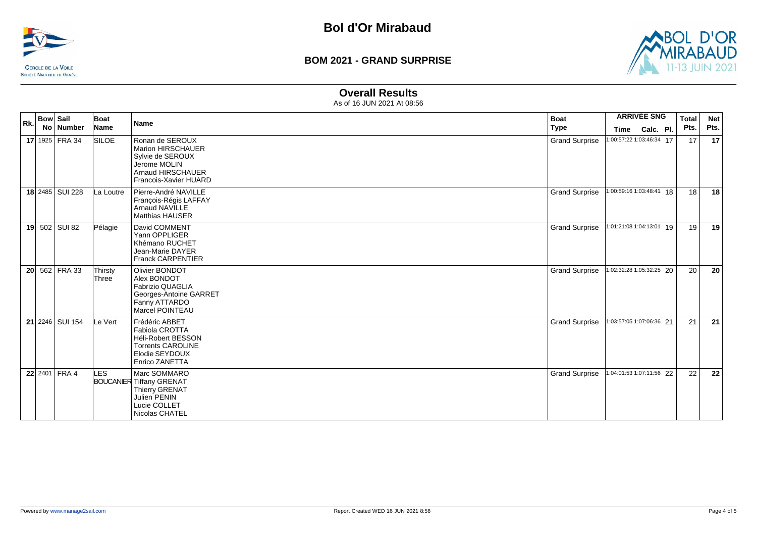



#### **Overall Results**

| Rk. | <b>Bow Sail</b><br>No Number | Boat<br>Name     | <b>Name</b>                                                                                                                   | <b>Boat</b><br><b>Type</b> | <b>ARRIVÉE SNG</b><br>Calc. Pl.<br><b>Time</b> | <b>Total</b><br>Pts. | <b>Net</b><br>Pts. |
|-----|------------------------------|------------------|-------------------------------------------------------------------------------------------------------------------------------|----------------------------|------------------------------------------------|----------------------|--------------------|
|     | 17 1925 FRA 34               | <b>SILOE</b>     | Ronan de SEROUX<br><b>Marion HIRSCHAUER</b><br>Sylvie de SEROUX<br>Jerome MOLIN<br>Arnaud HIRSCHAUER<br>Francois-Xavier HUARD | <b>Grand Surprise</b>      | 1:00:57:22 1:03:46:34 17                       | 17                   | 17                 |
|     | 18 2485 SUI 228              | La Loutre        | Pierre-André NAVILLE<br>François-Régis LAFFAY<br><b>Arnaud NAVILLE</b><br><b>Matthias HAUSER</b>                              | <b>Grand Surprise</b>      | 1:00:59:16 1:03:48:41 18                       | 18                   | 18                 |
|     | 19 502 SUI 82                | Pélagie          | David COMMENT<br>Yann OPPLIGER<br>Khémano RUCHET<br>Jean-Marie DAYER<br><b>Franck CARPENTIER</b>                              | <b>Grand Surprise</b>      | 1:01:21:08 1:04:13:01 19                       | 19                   | 19                 |
|     | 20 562 FRA 33                | Thirsty<br>Three | Olivier BONDOT<br>Alex BONDOT<br>Fabrizio QUAGLIA<br>Georges-Antoine GARRET<br>Fanny ATTARDO<br>Marcel POINTEAU               | <b>Grand Surprise</b>      | 1:02:32:28 1:05:32:25 20                       | 20                   | 20                 |
|     | 21 2246 SUI 154              | Le Vert          | Frédéric ABBET<br>Fabiola CROTTA<br><b>Héli-Robert BESSON</b><br><b>Torrents CAROLINE</b><br>Elodie SEYDOUX<br>Enrico ZANETTA | <b>Grand Surprise</b>      | 1:03:57:05 1:07:06:36 21                       | 21                   | 21                 |
|     | 22 2401 FRA 4                | LES              | Marc SOMMARO<br><b>BOUCANIER Tiffany GRENAT</b><br><b>Thierry GRENAT</b><br>Julien PENIN<br>Lucie COLLET<br>Nicolas CHATEL    | <b>Grand Surprise</b>      | 1:04:01:53 1:07:11:56 22                       | 22                   | 22                 |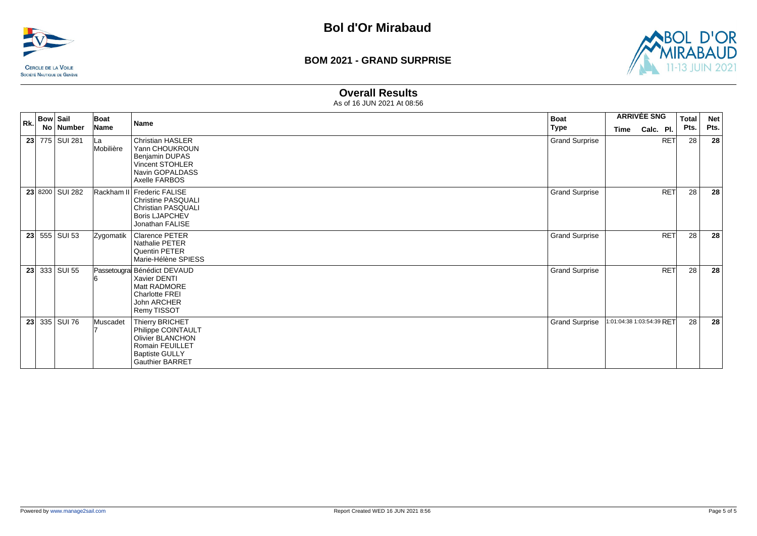



#### **Overall Results**

| Rk. | <b>Bow Sail</b> |                 | Boat             | <b>Name</b>                                                                                                                            | <b>Boat</b>           | <b>ARRIVÉE SNG</b>        | <b>Total</b> | <b>Net</b> |
|-----|-----------------|-----------------|------------------|----------------------------------------------------------------------------------------------------------------------------------------|-----------------------|---------------------------|--------------|------------|
|     |                 | No Number       | Name             |                                                                                                                                        | Type                  | Calc. Pl.<br>Time         | Pts.         | Pts.       |
|     |                 | 23 775 SUI 281  | ∣La<br>Mobilière | <b>Christian HASLER</b><br>Yann CHOUKROUN<br>Benjamin DUPAS<br>Vincent STOHLER<br>Navin GOPALDASS<br>Axelle FARBOS                     | <b>Grand Surprise</b> | <b>RET</b>                | 28           | 28         |
|     |                 | 23 8200 SUI 282 |                  | Rackham II Frederic FALISE<br><b>Christine PASQUALI</b><br><b>Christian PASQUALI</b><br><b>Boris LJAPCHEV</b><br>Jonathan FALISE       | <b>Grand Surprise</b> | <b>RET</b>                | 28           | 28         |
|     |                 | 23 555 SUI 53   | Zygomatik        | Clarence PETER<br>Nathalie PETER<br>Quentin PETER<br>Marie-Hélène SPIESS                                                               | <b>Grand Surprise</b> | <b>RET</b>                | 28           | 28         |
|     |                 | 23 33 SUI 55    |                  | Passetougra Bénédict DEVAUD<br>Xavier DENTI<br>Matt RADMORE<br>Charlotte FREI<br>John ARCHER<br>Remy TISSOT                            | <b>Grand Surprise</b> | <b>RET</b>                | 28           | 28         |
|     |                 | 23 335 SUI 76   | Muscadet         | Thierry BRICHET<br>Philippe COINTAULT<br><b>Olivier BLANCHON</b><br>Romain FEUILLET<br><b>Baptiste GULLY</b><br><b>Gauthier BARRET</b> | <b>Grand Surprise</b> | 1:01:04:38 1:03:54:39 RFT | 28           | 28         |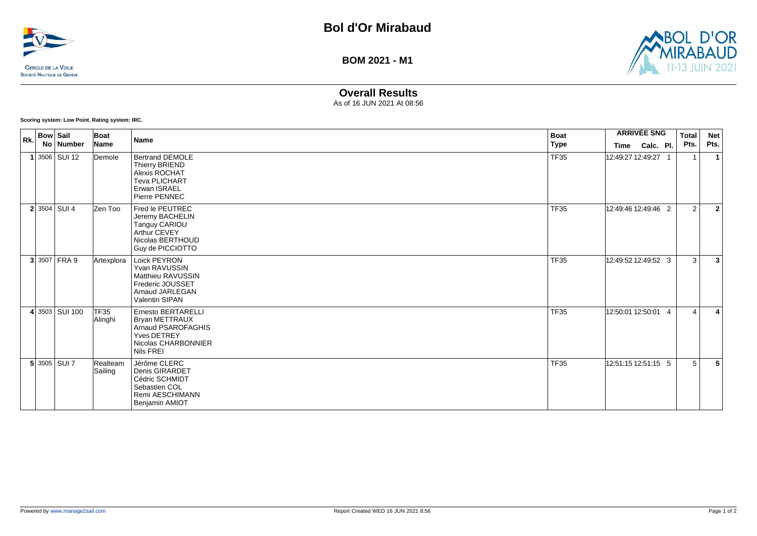



# **Overall Results**

As of 16 JUN 2021 At 08:56

**Scoring system: Low Point. Rating system: IRC.**

| Rk. | <b>Bow Sail</b><br>No Number | Boat<br>Name                | Name                                                                                                          | <b>Boat</b><br>Type | Time                | <b>ARRIVÉE SNG</b><br>Calc. Pl. | Total<br>Pts. | <b>Net</b><br>Pts.               |  |
|-----|------------------------------|-----------------------------|---------------------------------------------------------------------------------------------------------------|---------------------|---------------------|---------------------------------|---------------|----------------------------------|--|
|     | $1 3506 $ SUI 12             | Demole                      | <b>Bertrand DEMOLE</b><br>Thierry BRIEND<br>Alexis ROCHAT<br>Teva PLICHART<br>Erwan ISRAEL<br>Pierre PENNEC   | <b>TF35</b>         | 12:49:27 12:49:27 1 |                                 |               | $\mathbf 1$                      |  |
|     | $2 3504 $ SUI 4              | Zen Too                     | Fred le PEUTREC<br>Jeremy BACHELIN<br>Tanguy CARIOU<br>Arthur CEVEY<br>Nicolas BERTHOUD<br>Guy de PICCIOTTO   | <b>TF35</b>         | 12:49:46 12:49:46 2 |                                 |               | $\overline{2}$<br>$\overline{2}$ |  |
|     | 3 3507 FRA9                  | Artexplora                  | Loick PEYRON<br>Yvan RAVUSSIN<br>Matthieu RAVUSSIN<br>Frederic JOUSSET<br>Arnaud JARLEGAN<br>Valentin SIPAN   | <b>TF35</b>         | 12:49:52 12:49:52 3 |                                 |               | 3<br>$\overline{3}$              |  |
|     | 4 3503 SUI 100               | TF <sub>35</sub><br>Alinghi | Ernesto BERTARELLI<br>Bryan METTRAUX<br>Arnaud PSAROFAGHIS<br>Yves DETREY<br>Nicolas CHARBONNIER<br>Nils FREI | <b>TF35</b>         | 12:50:01 12:50:01 4 |                                 |               | $\overline{4}$<br>4              |  |
|     | $5 3505 $ SUI 7              | Realteam<br>Sailing         | Jérôme CLERC<br>Denis GIRARDET<br>Cédric SCHMIDT<br>Sebastien COL<br>Remi AESCHIMANN<br>Benjamin AMIOT        | <b>TF35</b>         | 12:51:15 12:51:15 5 |                                 |               | 5<br>5                           |  |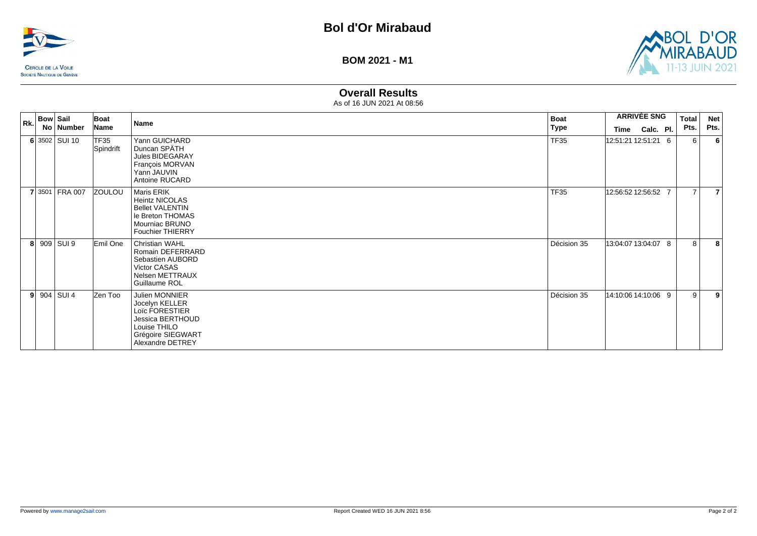



# **Overall Results**

| Rk. | <b>Bow Sail</b><br>No Number | Boat<br>Name      | Name                                                                                                                            | <b>Boat</b><br>Type |                     | <b>ARRIVÉE SNG</b> | <b>Total</b><br>Pts. | <b>Net</b><br>Pts. |
|-----|------------------------------|-------------------|---------------------------------------------------------------------------------------------------------------------------------|---------------------|---------------------|--------------------|----------------------|--------------------|
|     | 6 3502 SUI 10                | TF35<br>Spindrift | Yann GUICHARD<br>Duncan SPÄTH<br>Jules BIDEGARAY<br>François MORVAN<br>Yann JAUVIN<br>Antoine RUCARD                            | <b>TF35</b>         | 12:51:21 12:51:21 6 | Time Calc. Pl.     | 6                    | 6                  |
|     | 7 3501 FRA 007               | <b>ZOULOU</b>     | Maris ERIK<br><b>Heintz NICOLAS</b><br><b>Bellet VALENTIN</b><br>le Breton THOMAS<br>Mourniac BRUNO<br><b>Fouchier THIERRY</b>  | <b>TF35</b>         | 12:56:52 12:56:52 7 |                    | $\overline{7}$       |                    |
|     | 8 909 SUI 9                  | Emil One          | Christian WAHL<br>Romain DEFERRARD<br>Sebastien AUBORD<br>Victor CASAS<br>Nelsen METTRAUX<br>Guillaume ROL                      | Décision 35         | 13:04:07 13:04:07 8 |                    | 8                    | 8                  |
|     | $9 904 $ SUI 4               | Zen Too           | Julien MONNIER<br>Jocelyn KELLER<br>Loïc FORESTIER<br>Jessica BERTHOUD<br>Louise THILO<br>Grégoire SIEGWART<br>Alexandre DETREY | Décision 35         | 14:10:06 14:10:06 9 |                    | 9                    | 9                  |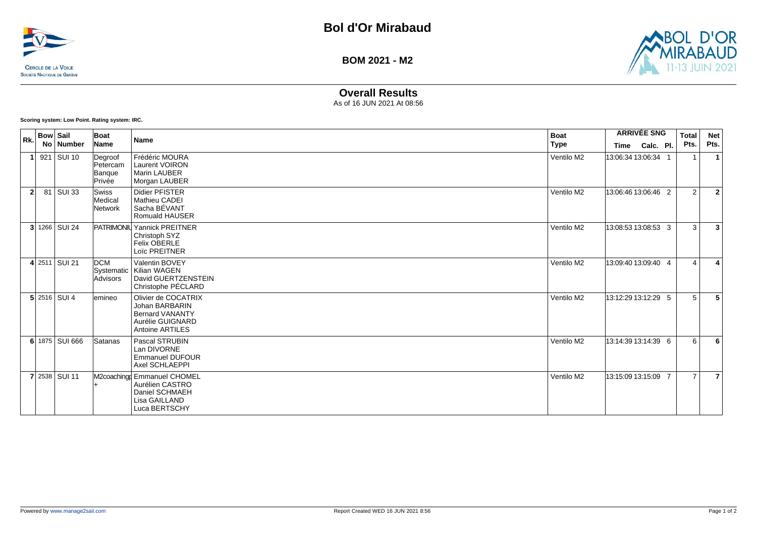



# **Overall Results**

As of 16 JUN 2021 At 08:56

**Scoring system: Low Point. Rating system: IRC.**

| Rk.          | <b>Bow Sail</b> | No Number          | Boat<br>Name                            | <b>Name</b>                                                                                                   | <b>Boat</b><br>Type |                           | <b>ARRIVÉE SNG</b> | Total<br>Pts.  | <b>Net</b><br>Pts. |
|--------------|-----------------|--------------------|-----------------------------------------|---------------------------------------------------------------------------------------------------------------|---------------------|---------------------------|--------------------|----------------|--------------------|
|              |                 | 921 SUI 10         | Degroof<br>Petercam<br>Banque<br>Privée | Frédéric MOURA<br><b>Laurent VOIRON</b><br><b>Marin LAUBER</b><br>Morgan LAUBER                               | Ventilo M2          | Time<br>13:06:34 13:06:34 | Calc. Pl.          |                |                    |
| $\mathbf{2}$ |                 | 81 SUI 33          | Swiss<br>Medical<br>Network             | <b>Didier PFISTER</b><br><b>Mathieu CADEI</b><br>Sacha BÉVANT<br>Romuald HAUSER                               | Ventilo M2          | 13:06:46 13:06:46 2       |                    | 2              | $\overline{2}$     |
|              |                 | 3 1266 SUI 24      |                                         | <b>PATRIMONIU Yannick PREITNER</b><br>Christoph SYZ<br>Felix OBERLE<br>Loïc PREITNER                          | Ventilo M2          | 13:08:53 13:08:53 3       |                    | 3              | 3                  |
|              |                 | 4 2511 SUI 21      | <b>DCM</b><br>Advisors                  | Valentin BOVEY<br>Systematic   Kilian WAGEN<br>David GUERTZENSTEIN<br>Christophe PÉCLARD                      | Ventilo M2          | 13:09:40 13:09:40 4       |                    | $\Delta$       | 4                  |
|              |                 | $5$   2516   SUI 4 | lemineo                                 | Olivier de COCATRIX<br>Johan BARBARIN<br><b>Bernard VANANTY</b><br>Aurélie GUIGNARD<br><b>Antoine ARTILES</b> | Ventilo M2          | 13:12:29 13:12:29 5       |                    | 5              | 5                  |
|              |                 | 6 1875 SUI 666     | Satanas                                 | Pascal STRUBIN<br>Lan DIVORNE<br><b>Emmanuel DUFOUR</b><br>Axel SCHLAEPPI                                     | Ventilo M2          | 13:14:39 13:14:39 6       |                    | 6              | 6                  |
|              |                 | 7 2538 SUI 11      |                                         | M2coaching Emmanuel CHOMEL<br>Aurélien CASTRO<br>Daniel SCHMAEH<br>Lisa GAILLAND<br>Luca BERTSCHY             | Ventilo M2          | 13:15:09 13:15:09 7       |                    | $\overline{7}$ | $\overline{7}$     |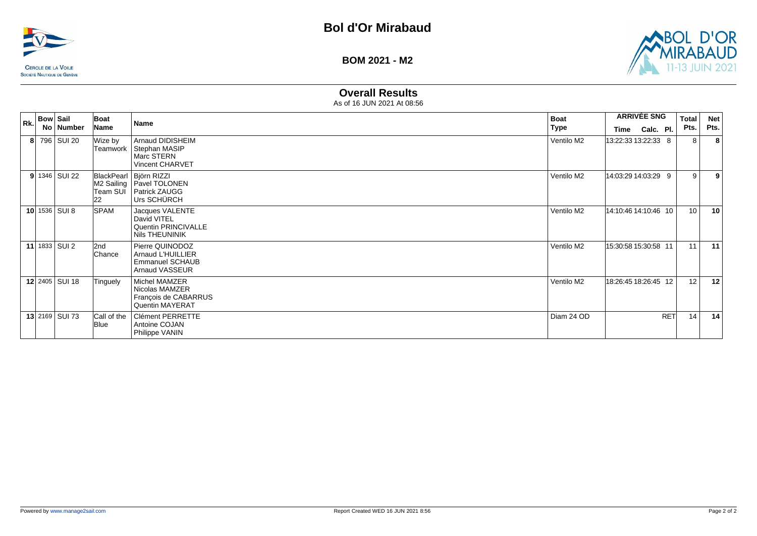



# **Overall Results**

| Rk. | <b>Bow Sail</b> | No   Number           | Boat<br>Name        | Name                                                                                          | <b>Boat</b><br>Type | <b>ARRIVÉE SNG</b><br>Calc. Pl.<br>Time |            | <b>Total</b><br>Pts. | <b>Net</b><br>Pts. |
|-----|-----------------|-----------------------|---------------------|-----------------------------------------------------------------------------------------------|---------------------|-----------------------------------------|------------|----------------------|--------------------|
|     |                 | 8 796 SUI 20          | Wize by<br>Teamwork | <b>Arnaud DIDISHEIM</b><br>Stephan MASIP<br>Marc STERN<br><b>Vincent CHARVET</b>              | Ventilo M2          | 13:22:33 13:22:33 8                     |            | 8                    | 8                  |
|     |                 | $9$ 1346 SUI 22       | Team SUI<br>22      | BlackPearl   Björn RIZZI<br>M2 Sailing   Pavel TOLONEN<br><b>Patrick ZAUGG</b><br>Urs SCHÜRCH | Ventilo M2          | 14:03:29 14:03:29 9                     |            | 9                    | 9                  |
|     |                 | 10 1536 SUI 8         | <b>SPAM</b>         | Jacques VALENTE<br>David VITEL<br>Quentin PRINCIVALLE<br>Nils THEUNINIK                       | Ventilo M2          | 14:10:46 14:10:46 10                    |            | 10                   | 10                 |
|     |                 | 11 1833 SUI 2         | l2nd<br>Chance      | Pierre QUINODOZ<br>Arnaud L'HUILLIER<br><b>Emmanuel SCHAUB</b><br><b>Arnaud VASSEUR</b>       | Ventilo M2          | 15:30:58 15:30:58 11                    |            | 11                   | 11                 |
|     |                 | 12 2405 SUI 18        | Tinguely            | Michel MAMZER<br>Nicolas MAMZER<br>François de CABARRUS<br>Quentin MAYERAT                    | Ventilo M2          | 18:26:45 18:26:45 12                    |            | 12                   | 12                 |
|     |                 | <b>13</b> 2169 SUI 73 | Call of the<br>Blue | Clément PERRETTE<br>Antoine COJAN<br>Philippe VANIN                                           | Diam 24 OD          |                                         | <b>RET</b> | 14                   | 14                 |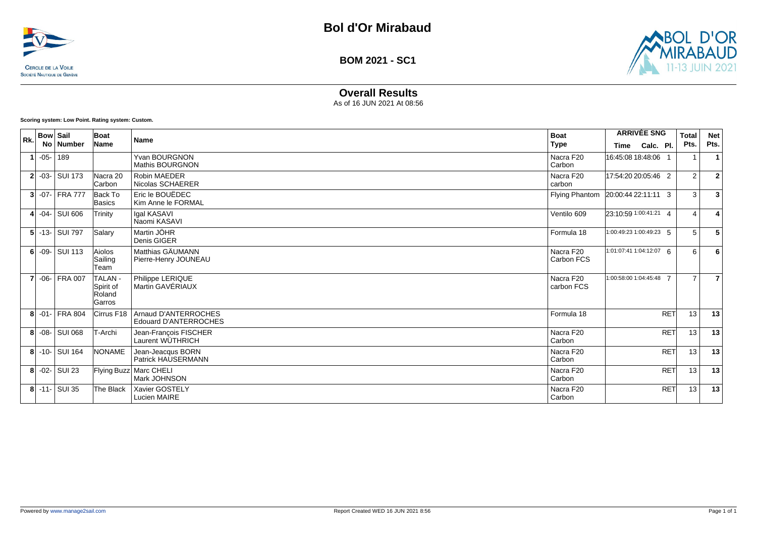



**BOM 2021 - SC1**

# **Overall Results**

As of 16 JUN 2021 At 08:56

**Scoring system: Low Point. Rating system: Custom.**

| Rk. | <b>Bow Sail</b> | No   Number      | Boat<br>Name                             | Name                                                 | <b>Boat</b><br>Type     | <b>ARRIVÉE SNG</b><br>Time | Calc. Pl.  | <b>Total</b><br>Pts. | <b>Net</b><br>Pts.      |
|-----|-----------------|------------------|------------------------------------------|------------------------------------------------------|-------------------------|----------------------------|------------|----------------------|-------------------------|
|     | $1$ -05- 189    |                  |                                          | <b>Yvan BOURGNON</b><br><b>Mathis BOURGNON</b>       | Nacra F20<br>Carbon     | 16:45:08 18:48:06 1        |            |                      | $\mathbf{1}$            |
|     |                 | $2$ -03- SUI 173 | Nacra 20<br>lCarbon.                     | <b>Robin MAEDER</b><br>Nicolas SCHAERER              | Nacra F20<br>carbon     | 17:54:20 20:05:46 2        |            | $\overline{2}$       | $\overline{2}$          |
|     |                 | $3$ -07- FRA 777 | Back To<br>Basics                        | Eric le BOUËDEC<br>Kim Anne le FORMAL                | <b>Flying Phantom</b>   | 20:00:44 22:11:11 3        |            | 3                    | $\overline{\mathbf{3}}$ |
|     |                 | 4 -04 - SUI 606  | Trinity                                  | lgal KASAVI<br>Naomi KASAVI                          | Ventilo 609             | 23:10:59 1:00:41:21 4      |            | $\overline{4}$       | $\overline{\mathbf{4}}$ |
|     |                 | 5 - 13 - SUI 797 | Salary                                   | Martin JÖHR<br>Denis GIGER                           | Formula 18              | 1:00:49:23 1:00:49:23 5    |            | 5                    | 5                       |
|     |                 | $6$ -09-SUI 113  | Aiolos<br>Sailing<br>Team                | Matthias GÄUMANN<br>Pierre-Henry JOUNEAU             | Nacra F20<br>Carbon FCS | 1:01:07:41 1:04:12:07 6    |            | 6                    | 6                       |
|     |                 | 7 -06- FRA 007   | TALAN -<br>Spirit of<br>Roland<br>Garros | Philippe LERIQUE<br>Martin GAVÉRIAUX                 | Nacra F20<br>carbon FCS | 1:00:58:00 1:04:45:48 7    |            | $\overline{7}$       | $\overline{7}$          |
|     |                 | 8 - 01 - FRA 804 | Cirrus F18                               | Arnaud D'ANTERROCHES<br><b>Edouard D'ANTERROCHES</b> | Formula 18              |                            | <b>RET</b> | 13                   | 13                      |
|     |                 | 8 -08- SUI 068   | T-Archi                                  | Jean-François FISCHER<br>Laurent WÜTHRICH            | Nacra F20<br>Carbon     |                            | <b>RET</b> | 13                   | 13                      |
|     |                 | 8 - 10 - SUI 164 | <b>NONAME</b>                            | Jean-Jeacqus BORN<br>Patrick HAUSERMANN              | Nacra F20<br>Carbon     |                            | <b>RET</b> | 13                   | 13                      |
|     |                 | $8$ -02- SUI 23  |                                          | Flying Buzz Marc CHELI<br>Mark JOHNSON               | Nacra F20<br>Carbon     |                            | <b>RET</b> | 13                   | 13                      |
|     |                 | $8$ -11- SUI 35  | The Black                                | Xavier GOSTELY<br>Lucien MAIRE                       | Nacra F20<br>Carbon     |                            | <b>RET</b> | 13                   | 13                      |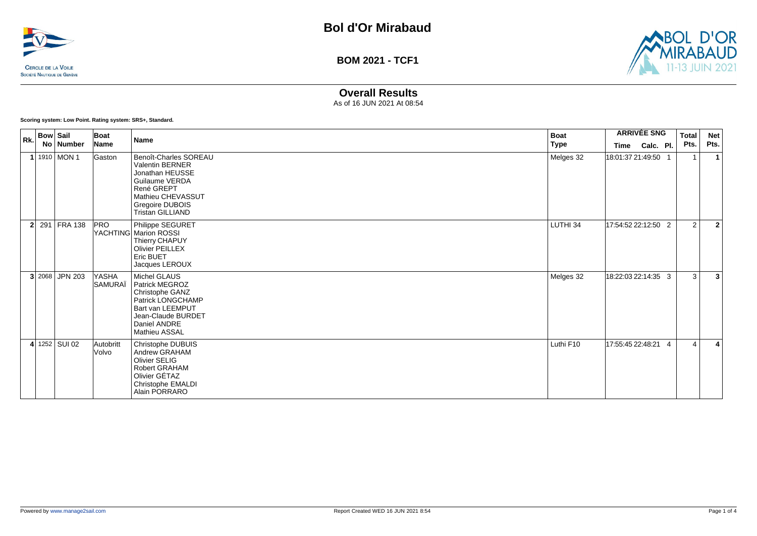



### **Overall Results**

As of 16 JUN 2021 At 08:54

**Scoring system: Low Point. Rating system: SRS+, Standard.**

| Rk.            | <b>Bow Sail</b> | No Number      | <b>Boat</b><br>Name | <b>Name</b>                                                                                                                                                           | <b>Boat</b><br>Type | Time                | <b>ARRIVÉE SNG</b><br>Calc. Pl. | Total<br>Pts.  | <b>Net</b><br>Pts. |
|----------------|-----------------|----------------|---------------------|-----------------------------------------------------------------------------------------------------------------------------------------------------------------------|---------------------|---------------------|---------------------------------|----------------|--------------------|
|                |                 | 1 1910 MON 1   | Gaston              | Benoît-Charles SOREAU<br><b>Valentin BERNER</b><br>Jonathan HEUSSE<br>Guilaume VERDA<br>René GREPT<br>Mathieu CHEVASSUT<br>Gregoire DUBOIS<br><b>Tristan GILLIAND</b> | Melges 32           | 18:01:37 21:49:50 1 |                                 | -1             |                    |
| 2 <sup>1</sup> |                 | 291 FRA 138    | <b>PRO</b>          | Philippe SEGURET<br>YACHTING Marion ROSSI<br>Thierry CHAPUY<br><b>Olivier PEILLEX</b><br>Eric BUET<br>Jacques LEROUX                                                  | LUTHI 34            | 17:54:52 22:12:50 2 |                                 | 2              | $\overline{2}$     |
|                |                 | 3 2068 JPN 203 | YASHA<br>SAMURAÏ    | Michel GLAUS<br>Patrick MEGROZ<br>Christophe GANZ<br>Patrick LONGCHAMP<br>Bart van LEEMPUT<br>Jean-Claude BURDET<br>Daniel ANDRE<br>Mathieu ASSAL                     | Melges 32           | 18:22:03 22:14:35 3 |                                 | 3              | 3                  |
|                |                 | 4 1252 SUI 02  | Autobritt<br>Volvo  | Christophe DUBUIS<br>Andrew GRAHAM<br>Olivier SELIG<br>Robert GRAHAM<br>Olivier GÉTAZ<br>Christophe EMALDI<br>Alain PORRARO                                           | Luthi F10           | 17:55:45 22:48:21 4 |                                 | $\overline{4}$ | 4                  |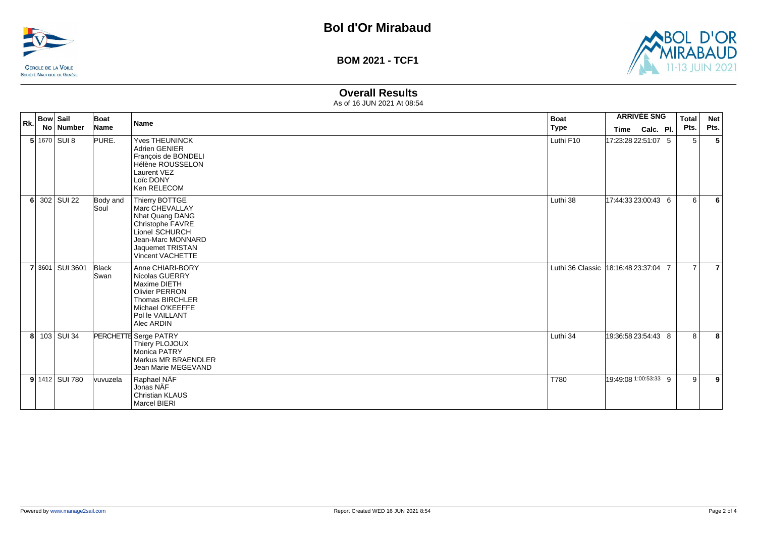



# **Overall Results**

| Rk. | <b>Bow Sail</b><br>No Number | Boat<br>Name         | <b>Name</b>                                                                                                                                                   | <b>Boat</b><br><b>Type</b>           |                                       | <b>ARRIVÉE SNG</b> | <b>Total</b><br>Pts. | <b>Net</b><br>Pts. |
|-----|------------------------------|----------------------|---------------------------------------------------------------------------------------------------------------------------------------------------------------|--------------------------------------|---------------------------------------|--------------------|----------------------|--------------------|
|     | $5$ 1670 SUI 8               | PURE.                | <b>Yves THEUNINCK</b><br><b>Adrien GENIER</b><br>François de BONDELI<br>Hélène ROUSSELON<br>Laurent VEZ<br>Loïc DONY<br>Ken RELECOM                           | Luthi F10                            | Time Calc. Pl.<br>17:23:28 22:51:07 5 |                    | 5                    | 5                  |
| -61 | 302 SUI 22                   | Body and<br>Soul     | Thierry BOTTGE<br>Marc CHEVALLAY<br>Nhat Quang DANG<br>Christophe FAVRE<br>Lionel SCHURCH<br>Jean-Marc MONNARD<br>Jaquemet TRISTAN<br><b>Vincent VACHETTE</b> | Luthi 38                             | 17:44:33 23:00:43 6                   |                    | 6                    | 6                  |
|     | 7 3601 SUI 3601              | Black<br><b>Swan</b> | Anne CHIARI-BORY<br>Nicolas GUERRY<br>Maxime DIETH<br><b>Olivier PERRON</b><br>Thomas BIRCHLER<br>Michael O'KEEFFE<br>Pol le VAILLANT<br>Alec ARDIN           | Luthi 36 Classic 18:16:48 23:37:04 7 |                                       |                    | $\overline{7}$       | $\overline{7}$     |
|     | 8 103 SUI 34                 |                      | PERCHETTE Serge PATRY<br>Thiery PLOJOUX<br>Monica PATRY<br>Markus MR BRAENDLER<br>Jean Marie MEGEVAND                                                         | Luthi 34                             | 19:36:58 23:54:43 8                   |                    | 8                    | 8                  |
|     | 9 1412 SUI 780               | vuvuzela             | Raphael NÄF<br>Jonas NÄF<br><b>Christian KLAUS</b><br>Marcel BIERI                                                                                            | T780                                 | 19:49:08 1:00:53:33 9                 |                    | 9                    | 9                  |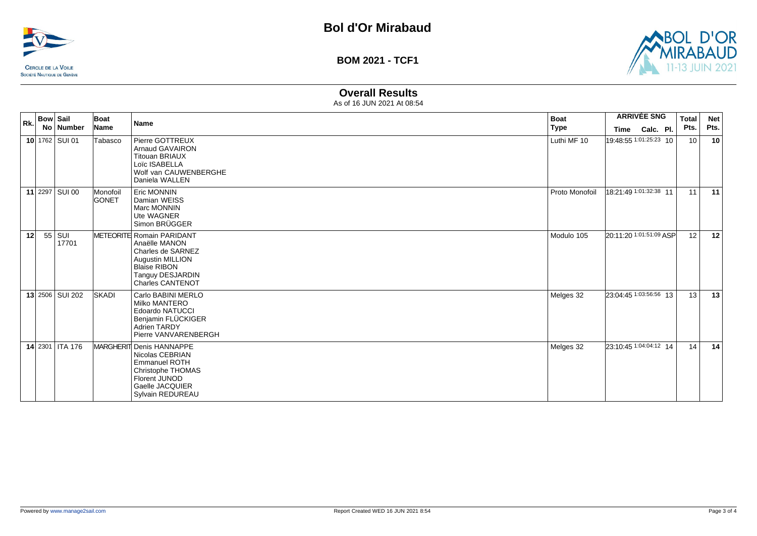



## **Overall Results**

| Rk. | Bow   Sail | No   Number          | Boat<br>Name             | <b>Name</b>                                                                                                                                               | <b>Boat</b><br><b>Type</b> | <b>ARRIVÉE SNG</b><br>Calc. Pl.<br>Time | <b>Total</b><br>Pts. | Net<br>Pts. |
|-----|------------|----------------------|--------------------------|-----------------------------------------------------------------------------------------------------------------------------------------------------------|----------------------------|-----------------------------------------|----------------------|-------------|
|     |            | $10$   1762   SUI 01 | Tabasco                  | Pierre GOTTREUX<br><b>Arnaud GAVAIRON</b><br><b>Titouan BRIAUX</b><br>Loïc ISABELLA<br>Wolf van CAUWENBERGHE<br>Daniela WALLEN                            | Luthi MF 10                | 19:48:55 1:01:25:23 10                  | 10                   | 10          |
|     |            | 11 2297 SUI 00       | Monofoil<br><b>GONET</b> | <b>Eric MONNIN</b><br>Damian WEISS<br>Marc MONNIN<br>Ute WAGNER<br>Simon BRÜGGER                                                                          | Proto Monofoil             | 18:21:49 1:01:32:38 11                  | 11                   | 11          |
| 12  |            | $55$ SUI<br>17701    |                          | METEORITE Romain PARIDANT<br>Anaëlle MANON<br>Charles de SARNEZ<br>Augustin MILLION<br><b>Blaise RIBON</b><br>Tanguy DESJARDIN<br><b>Charles CANTENOT</b> | Modulo 105                 | 20:11:20 1:01:51:09 ASP                 | 12                   | 12          |
|     |            | 13 2506 SUI 202      | SKADI                    | Carlo BABINI MERLO<br>Milko MANTERO<br><b>Edoardo NATUCCI</b><br>Benjamin FLÜCKIGER<br><b>Adrien TARDY</b><br>Pierre VANVARENBERGH                        | Melges 32                  | 23:04:45 1:03:56:56 13                  | 13                   | 13          |
|     |            | 14 2301 ITA 176      |                          | MARGHERIT Denis HANNAPPE<br>Nicolas CEBRIAN<br><b>Emmanuel ROTH</b><br>Christophe THOMAS<br>Florent JUNOD<br>Gaelle JACQUIER<br>Sylvain REDUREAU          | Melges 32                  | 23:10:45 1:04:04:12 14                  | 14                   | 14          |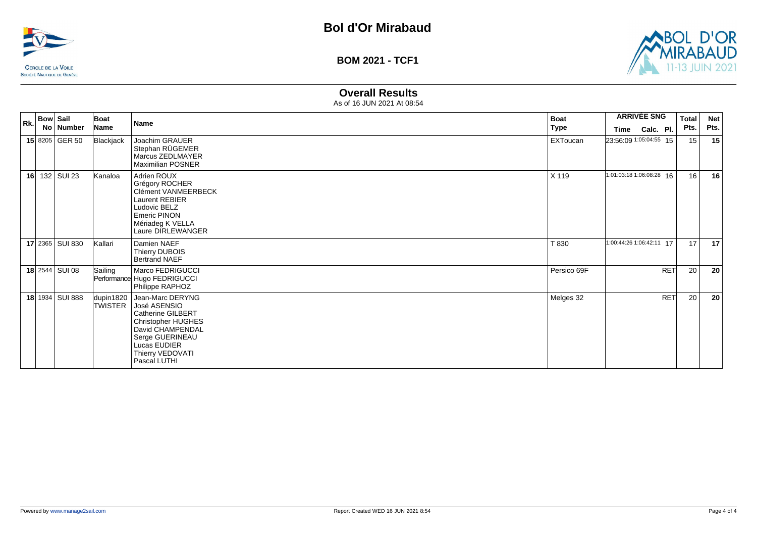



### **Overall Results**

| Rk. | <b>Bow Sail</b> |                 | Boat                        | <b>Name</b>                                                                                                                                                                          | <b>Boat</b>     | <b>ARRIVÉE SNG</b>       |           | <b>Total</b> | <b>Net</b> |      |
|-----|-----------------|-----------------|-----------------------------|--------------------------------------------------------------------------------------------------------------------------------------------------------------------------------------|-----------------|--------------------------|-----------|--------------|------------|------|
|     |                 | No Number       | Name                        |                                                                                                                                                                                      | <b>Type</b>     | Time                     | Calc. Pl. |              | Pts.       | Pts. |
|     |                 | 15 8205 GER 50  | Blackjack                   | Joachim GRAUER<br>Stephan RÜGEMER<br>Marcus ZEDLMAYER<br><b>Maximilian POSNER</b>                                                                                                    | <b>EXToucan</b> | 23:56:09 1:05:04:55 15   |           |              | 15         | 15   |
| 16  |                 | 132 SUI 23      | Kanaloa                     | Adrien ROUX<br>Grégory ROCHER<br>Clément VANMEERBECK<br>Laurent REBIER<br>Ludovic BELZ<br><b>Emeric PINON</b><br>Mériadeg K VELLA<br>Laure DIRLEWANGER                               | X 119           | 1:01:03:18 1:06:08:28 16 |           |              | 16         | 16   |
|     |                 | 17 2365 SUI 830 | Kallari                     | Damien NAEF<br>Thierry DUBOIS<br><b>Bertrand NAEF</b>                                                                                                                                | T 830           | 1:00:44:26 1:06:42:11 17 |           |              | 17         | 17   |
|     |                 | 18 2544 SUI 08  | Sailing                     | Marco FEDRIGUCCI<br>Performance Hugo FEDRIGUCCI<br>Philippe RAPHOZ                                                                                                                   | Persico 69F     |                          |           | <b>RET</b>   | 20         | 20   |
|     |                 | 18 1934 SUI 888 | dupin1820<br><b>TWISTER</b> | Jean-Marc DERYNG<br>José ASENSIO<br><b>Catherine GILBERT</b><br><b>Christopher HUGHES</b><br>David CHAMPENDAL<br>Serge GUERINEAU<br>Lucas EUDIER<br>Thierry VEDOVATI<br>Pascal LUTHI | Melges 32       |                          |           | <b>RET</b>   | 20         | 20   |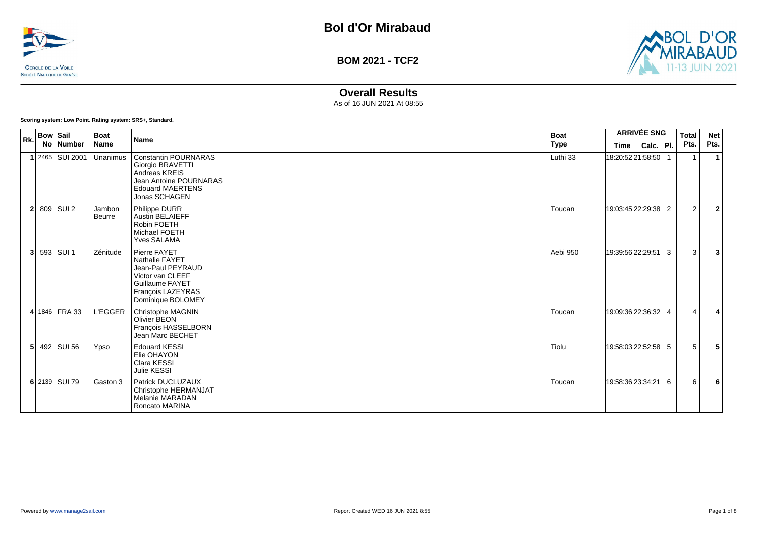



# **Overall Results**

As of 16 JUN 2021 At 08:55

**Scoring system: Low Point. Rating system: SRS+, Standard.**

| Rk.            | <b>Bow Sail</b> | No   Number           | Boat<br>Name     | <b>Name</b>                                                                                                                            | <b>Boat</b><br><b>Type</b> | <b>Time</b>         | <b>ARRIVÉE SNG</b><br>Calc. Pl. | Total<br>Pts. | <b>Net</b><br>Pts. |
|----------------|-----------------|-----------------------|------------------|----------------------------------------------------------------------------------------------------------------------------------------|----------------------------|---------------------|---------------------------------|---------------|--------------------|
|                |                 | $1$   2465   SUI 2001 | Unanimus         | Constantin POURNARAS<br><b>Giorgio BRAVETTI</b><br>Andreas KREIS<br>Jean Antoine POURNARAS<br><b>Edouard MAERTENS</b><br>Jonas SCHAGEN | Luthi 33                   | 18:20:5221:58:50    |                                 |               | -1                 |
|                |                 | $2$ 809 SUI 2         | Jambon<br>Beurre | Philippe DURR<br><b>Austin BELAIEFF</b><br>Robin FOETH<br>Michael FOETH<br><b>Yves SALAMA</b>                                          | Toucan                     | 19:03:45 22:29:38 2 |                                 | 2             | $\overline{2}$     |
| 3 <sup>1</sup> |                 | 593 SUI 1             | Zénitude         | Pierre FAYET<br>Nathalie FAYET<br>Jean-Paul PEYRAUD<br>Victor van CLEEF<br>Guillaume FAYET<br>François LAZEYRAS<br>Dominique BOLOMEY   | Aebi 950                   | 19:39:56 22:29:51 3 |                                 | 3             | 3                  |
|                |                 | 4 1846   FRA 33       | <b>L'EGGER</b>   | Christophe MAGNIN<br>Olivier BEON<br>François HASSELBORN<br>Jean Marc BECHET                                                           | Toucan                     | 19:09:36 22:36:32 4 |                                 | $\Delta$      | 4                  |
| 5 <sup>1</sup> |                 | 492 SUI 56            | Ypso             | <b>Edouard KESSI</b><br>Elie OHAYON<br>Clara KESSI<br>Julie KESSI                                                                      | Tiolu                      | 19:58:03 22:52:58 5 |                                 | 5             | 5                  |
|                |                 | 6 2139 SUI 79         | Gaston 3         | Patrick DUCLUZAUX<br>Christophe HERMANJAT<br><b>Melanie MARADAN</b><br>Roncato MARINA                                                  | Toucan                     | 19:58:36 23:34:21 6 |                                 | 6             | 6                  |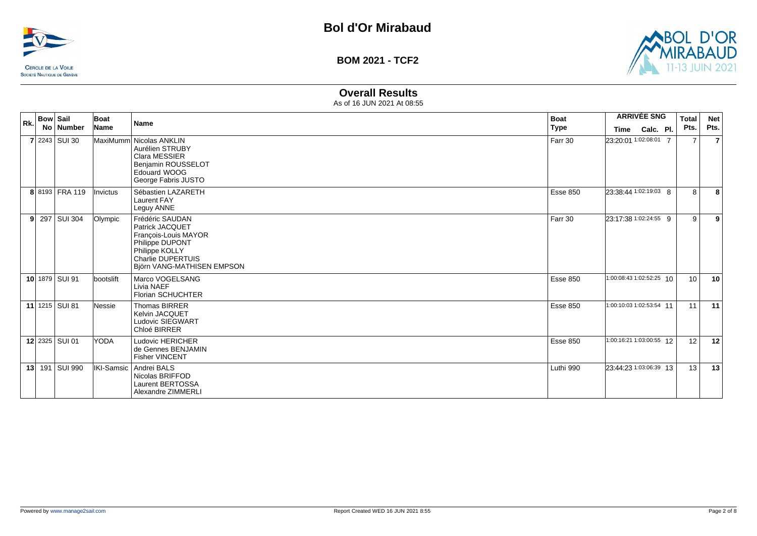



# **Overall Results**

| Rk. | <b>Bow Sail</b><br>No. | Number           | Boat<br>Name    | <b>Name</b>                                                                                                                                               | Boat<br><b>Type</b> | <b>ARRIVÉE SNG</b><br>Calc. Pl.<br>Time | <b>Total</b><br>Pts. | <b>Net</b><br>Pts. |
|-----|------------------------|------------------|-----------------|-----------------------------------------------------------------------------------------------------------------------------------------------------------|---------------------|-----------------------------------------|----------------------|--------------------|
|     |                        | $7 2243 $ SUI 30 |                 | MaxiMumm Nicolas ANKLIN<br>Aurélien STRUBY<br>Clara MESSIER<br>Benjamin ROUSSELOT<br>Edouard WOOG<br>George Fabris JUSTO                                  | Farr 30             | 23:20:01 1:02:08:01 7                   | $\overline{7}$       | $\overline{7}$     |
|     |                        | 8 8193 FRA 119   | <i>Invictus</i> | Sébastien LAZARETH<br><b>Laurent FAY</b><br>Leguy ANNE                                                                                                    | <b>Esse 850</b>     | 23:38:44 1:02:19:03 8                   | 8                    | 8                  |
|     |                        | $9$ 297 SUI 304  | Olympic         | Frédéric SAUDAN<br>Patrick JACQUET<br>François-Louis MAYOR<br>Philippe DUPONT<br>Philippe KOLLY<br><b>Charlie DUPERTUIS</b><br>Björn VANG-MATHISEN EMPSON | Farr 30             | 23:17:38 1:02:24:55 9                   | 9                    | 9                  |
|     |                        | 10 1879 SUI 91   | bootslift       | Marco VOGELSANG<br>Livia NAEF<br><b>Florian SCHUCHTER</b>                                                                                                 | <b>Esse 850</b>     | 1:00:08:43 1:02:52:25 10                | 10 <sup>°</sup>      | 10                 |
|     |                        | 11 1215 SUI 81   | Nessie          | Thomas BIRRER<br><b>Kelvin JACQUET</b><br>Ludovic SIEGWART<br>Chloé BIRRER                                                                                | <b>Esse 850</b>     | 1:00:10:03 1:02:53:54 11                | 11                   | 11                 |
|     |                        | 12 2325 SUI 01   | <b>YODA</b>     | Ludovic HERICHER<br>de Gennes BENJAMIN<br><b>Fisher VINCENT</b>                                                                                           | <b>Esse 850</b>     | 1:00:16:21 1:03:00:55 12                | 12                   | 12                 |
|     |                        | 13 191 SUI 990   |                 | IKI-Samsic   Andrei BALS<br>Nicolas BRIFFOD<br>Laurent BERTOSSA<br>Alexandre ZIMMERLI                                                                     | Luthi 990           | 23:44:23 1:03:06:39 13                  | 13                   | 13                 |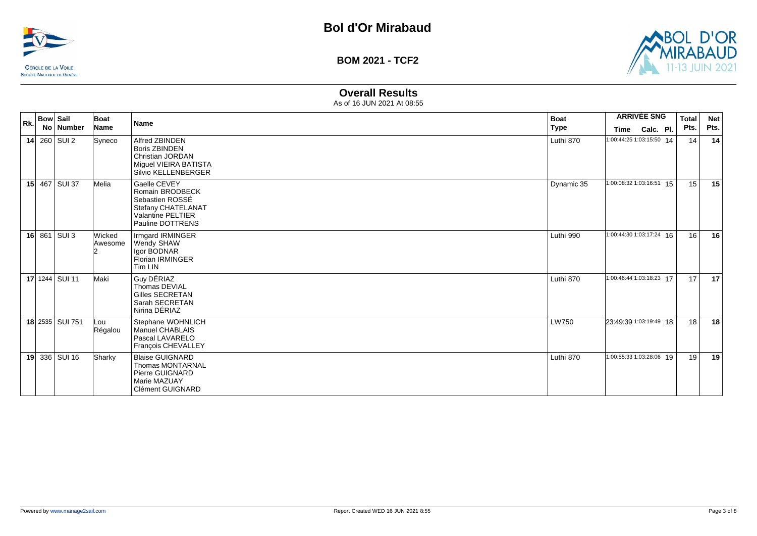



# **Overall Results**

| Rk. | <b>Bow Sail</b> | Boat              | <b>Name</b>                                                                                                              | <b>Boat</b>  | <b>ARRIVÉE SNG</b>       |           | <b>Total</b> | <b>Net</b> |      |
|-----|-----------------|-------------------|--------------------------------------------------------------------------------------------------------------------------|--------------|--------------------------|-----------|--------------|------------|------|
|     | No Number       | Name              |                                                                                                                          | Type         | Time                     | Calc. Pl. |              | Pts.       | Pts. |
|     | 14 $260$ SUI 2  | Syneco            | Alfred ZBINDEN<br><b>Boris ZBINDEN</b><br>Christian JORDAN<br>Miguel VIEIRA BATISTA<br>Silvio KELLENBERGER               | Luthi 870    | 1:00:44:25 1:03:15:50 14 |           |              | 14         | 14   |
|     | 15 467 SUI 37   | Melia             | Gaelle CEVEY<br>Romain BRODBECK<br>Sebastien ROSSÉ<br>Stefany CHATELANAT<br><b>Valantine PELTIER</b><br>Pauline DOTTRENS | Dynamic 35   | 1:00:08:32 1:03:16:51 15 |           |              | 15         | 15   |
|     | 16 $861$ SUI 3  | Wicked<br>Awesome | Irmgard IRMINGER<br>Wendy SHAW<br>Igor BODNAR<br><b>Florian IRMINGER</b><br>Tim LIN                                      | Luthi 990    | 1:00:44:30 1:03:17:24 16 |           |              | 16         | 16   |
|     | 17 1244 SUI 11  | Maki              | Guy DÉRIAZ<br>Thomas DEVIAL<br><b>Gilles SECRETAN</b><br>Sarah SECRETAN<br>Nirina DÉRIAZ                                 | Luthi 870    | 1:00:46:44 1:03:18:23 17 |           |              | 17         | 17   |
|     | 18 2535 SUI 751 | Lou<br>Régalou    | Stephane WOHNLICH<br>Manuel CHABLAIS<br>Pascal LAVARELO<br>François CHEVALLEY                                            | <b>LW750</b> | 23:49:39 1:03:19:49 18   |           |              | 18         | 18   |
|     | 19 336 SUI 16   | Sharky            | <b>Blaise GUIGNARD</b><br><b>Thomas MONTARNAL</b><br>Pierre GUIGNARD<br>Marie MAZUAY<br>Clément GUIGNARD                 | Luthi 870    | 1:00:55:33 1:03:28:06 19 |           |              | 19         | 19   |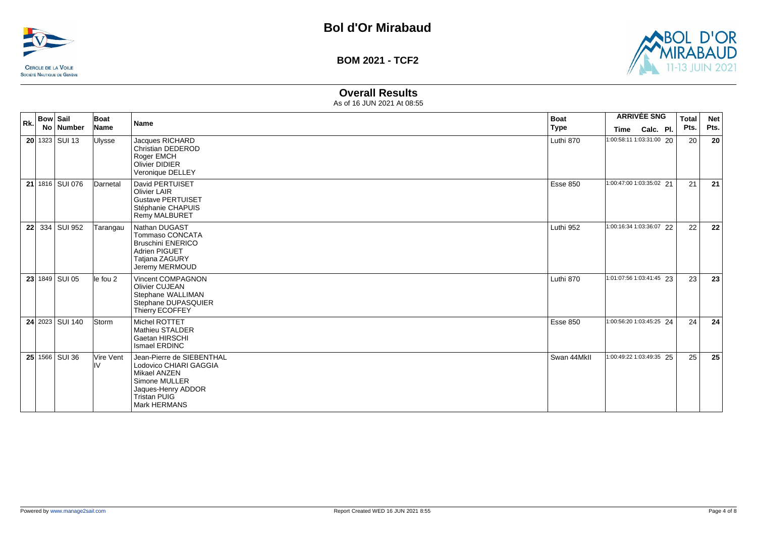



# **Overall Results**

| Rk. | <b>Bow Sail</b> | No   Number            | Boat<br>Name     | <b>Name</b>                                                                                                                                | <b>Boat</b><br>Type | Time                     | <b>ARRIVÉE SNG</b><br>Calc. Pl. | <b>Total</b><br>Pts. | <b>Net</b><br>Pts. |
|-----|-----------------|------------------------|------------------|--------------------------------------------------------------------------------------------------------------------------------------------|---------------------|--------------------------|---------------------------------|----------------------|--------------------|
|     |                 | $20$   1323   SUI 13   | <b>Ulysse</b>    | Jacques RICHARD<br><b>Christian DEDEROD</b><br>Roger EMCH<br><b>Olivier DIDIER</b><br>Veronique DELLEY                                     | Luthi 870           |                          | 1:00:58:11 1:03:31:00 20        | 20                   | 20                 |
|     |                 | 21 1816   SUI 076      | Darnetal         | David PERTUISET<br><b>Olivier LAIR</b><br><b>Gustave PERTUISET</b><br>Stéphanie CHAPUIS<br><b>Remy MALBURET</b>                            | <b>Esse 850</b>     | 1:00:47:00 1:03:35:02 21 |                                 | 21                   | 21                 |
|     |                 | 22 334 SUI 952         | Tarangau         | Nathan DUGAST<br>Tommaso CONCATA<br><b>Bruschini ENERICO</b><br><b>Adrien PIGUET</b><br><b>Tatjana ZAGURY</b><br>Jeremy MERMOUD            | Luthi 952           |                          | 1:00:16:34 1:03:36:07 22        | 22                   | 22                 |
|     |                 | 23 1849 SUI 05         | lle fou 2        | Vincent COMPAGNON<br><b>Olivier CUJEAN</b><br>Stephane WALLIMAN<br>Stephane DUPASQUIER<br>Thierry ECOFFEY                                  | Luthi 870           | 1:01:07:56 1:03:41:45 23 |                                 | 23                   | 23                 |
|     |                 | <b>24</b> 2023 SUI 140 | Storm            | Michel ROTTET<br>Mathieu STALDER<br>Gaetan HIRSCHI<br>Ismael ERDINC                                                                        | <b>Esse 850</b>     |                          | 1:00:56:20 1:03:45:25 24        | 24                   | 24                 |
|     |                 | 25 1566 SUI 36         | Vire Vent<br>lıv | Jean-Pierre de SIEBENTHAL<br>Lodovico CHIARI GAGGIA<br>Mikael ANZEN<br>Simone MULLER<br>Jaques-Henry ADDOR<br>Tristan PUIG<br>Mark HERMANS | Swan 44MkII         |                          | 1:00:49:22 1:03:49:35 25        | 25                   | 25                 |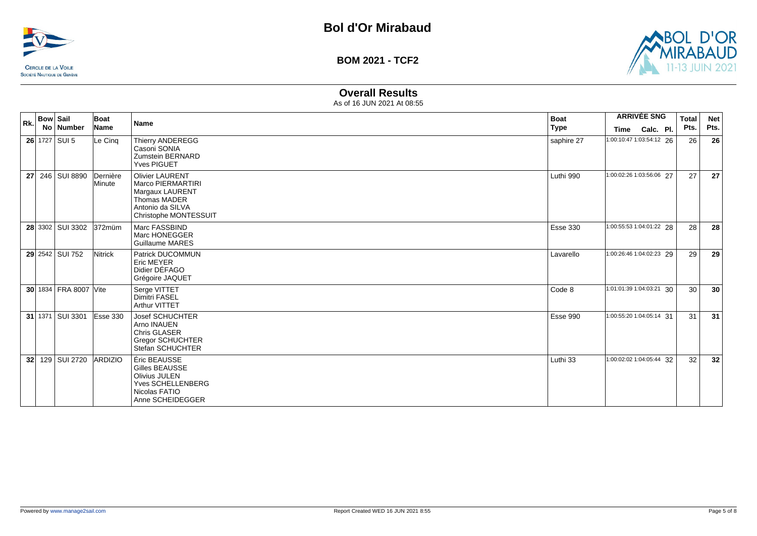



# **Overall Results**

| Rk.             | <b>Bow Sail</b><br>No   Number | Boat<br>Name         | <b>Name</b>                                                                                                                        | <b>Boat</b><br><b>Type</b> | <b>Time</b> | <b>ARRIVÉE SNG</b><br>Calc. Pl. | <b>Total</b><br>Pts. | <b>Net</b><br>Pts. |
|-----------------|--------------------------------|----------------------|------------------------------------------------------------------------------------------------------------------------------------|----------------------------|-------------|---------------------------------|----------------------|--------------------|
|                 | $26$ 1727 SUI 5                | Le Cinq              | <b>Thierry ANDEREGG</b><br>Casoni SONIA<br>Zumstein BERNARD<br><b>Yves PIGUET</b>                                                  | saphire 27                 |             | 1:00:10:47 1:03:54:12 26        | 26                   | 26                 |
|                 | 27 246 SUI 8890                | Dernière<br>Minute   | <b>Olivier LAURENT</b><br>Marco PIERMARTIRI<br>Margaux LAURENT<br><b>Thomas MADER</b><br>Antonio da SILVA<br>Christophe MONTESSUIT | Luthi 990                  |             | 1:00:02:26 1:03:56:06 27        | 27                   | 27                 |
|                 | 28 3302   SUI 3302 372 müm     |                      | Marc FASSBIND<br>Marc HONEGGER<br>Guillaume MARES                                                                                  | <b>Esse 330</b>            |             | 1:00:55:53 1:04:01:22 28        | 28                   | 28                 |
|                 | 29 2542 SUI 752                | Nitrick              | Patrick DUCOMMUN<br><b>Eric MEYER</b><br>Didier DÉFAGO<br>Grégoire JAQUET                                                          | Lavarello                  |             | 1:00:26:46 1:04:02:23 29        | 29                   | 29                 |
|                 | 30 1834 FRA 8007 Vite          |                      | Serge VITTET<br><b>Dimitri FASEL</b><br>Arthur VITTET                                                                              | Code 8                     |             | 1:01:01:39 1:04:03:21 30        | 30                   | 30                 |
|                 | 31 1371 SUI 3301               | $\textsf{Esse}\,330$ | <b>Josef SCHUCHTER</b><br>Arno INAUEN<br><b>Chris GLASER</b><br><b>Gregor SCHUCHTER</b><br>Stefan SCHUCHTER                        | <b>Esse 990</b>            |             | 1:00:55:20 1:04:05:14 31        | 31                   | 31                 |
| 32 <sub>1</sub> | 129 SUI 2720                   | <b>ARDIZIO</b>       | Éric BEAUSSE<br>Gilles BEAUSSE<br>Olivius JULEN<br>Yves SCHELLENBERG<br>Nicolas FATIO<br>Anne SCHEIDEGGER                          | Luthi 33                   |             | 1:00:02:02 1:04:05:44 32        | 32                   | 32                 |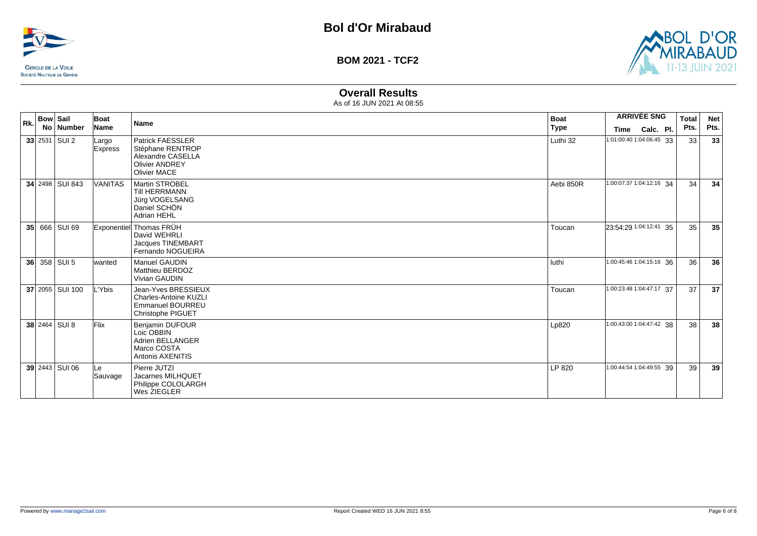



# **Overall Results**

| Rk. | <b>Bow Sail</b><br>No   Number | Boat<br>Name            | <b>Name</b>                                                                                                      | <b>Boat</b><br>Type | <b>ARRIVÉE SNG</b><br>Calc. Pl.<br>Time |  | <b>Total</b><br>Pts. | <b>Net</b><br>Pts. |
|-----|--------------------------------|-------------------------|------------------------------------------------------------------------------------------------------------------|---------------------|-----------------------------------------|--|----------------------|--------------------|
|     | $33$ 2531 SUI 2                | Largo<br><b>Express</b> | <b>Patrick FAESSLER</b><br>Stéphane RENTROP<br>Alexandre CASELLA<br><b>Olivier ANDREY</b><br><b>Olivier MACE</b> | Luthi 32            | 1:01:00:40 1:04:06:45 33                |  | 33                   | 33                 |
|     | 34 2498 SUI 843                | <b>VANITAS</b>          | <b>Martin STROBEL</b><br><b>Till HERRMANN</b><br>Jürg VOGELSANG<br>Daniel SCHON<br>Adrian HEHL                   | Aebi 850R           | 1:00:07:37 1:04:12:16 34                |  | 34                   | 34                 |
|     | 35 666 SUI 69                  |                         | Exponentiel Thomas FRÜH<br>David WEHRLI<br>Jacques TINEMBART<br>Fernando NOGUEIRA                                | Toucan              | 23:54:29 1:04:12:41 35                  |  | 35                   | 35                 |
|     | $36$ 358 SUI 5                 | lwanted                 | <b>Manuel GAUDIN</b><br>Matthieu BERDOZ<br><b>Vivian GAUDIN</b>                                                  | l luthi             | 1:00:45:46 1:04:15:16 36                |  | 36                   | 36                 |
|     | 37 2055   SUI 100              | L'Ybis                  | Jean-Yves BRESSIEUX<br><b>Charles-Antoine KUZLI</b><br><b>Emmanuel BOURREU</b><br>Christophe PIGUET              | Toucan              | 1:00:23:48 1:04:47:17 37                |  | 37                   | 37                 |
|     | 38 2464 SUI 8                  | Flix                    | Benjamin DUFOUR<br>Loic OBBIN<br>Adrien BELLANGER<br>Marco COSTA<br>Antonis AXENITIS                             | Lp820               | 1:00:43:00 1:04:47:42 38                |  | 38                   | 38                 |
|     | 39 2443 SUI 06                 | Le<br>Sauvage           | Pierre JUTZI<br>Jacarnes MILHQUET<br>Philippe COLOLARGH<br>Wes ZIEGLER                                           | LP 820              | 1:00:44:54 1:04:49:55 39                |  | 39                   | 39                 |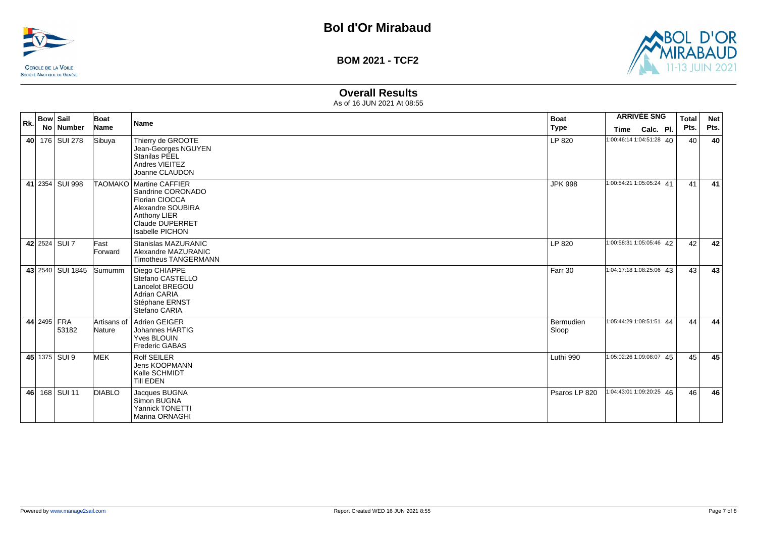



# **Overall Results**

| Rk. | <b>Bow Sail</b><br>No Number | Boat<br>Name          | Name                                                                                                                                                      | <b>Boat</b><br><b>Type</b> | <b>ARRIVÉE SNG</b><br><b>Time</b><br>Calc. Pl. | <b>Total</b><br>Pts. | <b>Net</b><br>Pts. |
|-----|------------------------------|-----------------------|-----------------------------------------------------------------------------------------------------------------------------------------------------------|----------------------------|------------------------------------------------|----------------------|--------------------|
|     | 40 176 SUI 278               | Sibuya                | Thierry de GROOTE<br>Jean-Georges NGUYEN<br>Stanilas PEEL<br>Andres VIEITEZ<br>Joanne CLAUDON                                                             | LP 820                     | 1:00:46:14 1:04:51:28 40                       | 40                   | 40                 |
|     | 41 2354 SUI 998              |                       | TAOMAKO   Martine CAFFIER<br>Sandrine CORONADO<br>Florian CIOCCA<br>Alexandre SOUBIRA<br>Anthony LIER<br><b>Claude DUPERRET</b><br><b>Isabelle PICHON</b> | <b>JPK 998</b>             | 1:00:54:21 1:05:05:24 41                       | 41                   | 41                 |
|     | 42 2524 SUI 7                | Fast<br>Forward       | Stanislas MAZURANIC<br>Alexandre MAZURANIC<br><b>Timotheus TANGERMANN</b>                                                                                 | LP 820                     | 1:00:58:31 1:05:05:46 42                       | 42                   | 42                 |
|     | 43 2540 SUI 1845             | <b>Sumumm</b>         | Diego CHIAPPE<br>Stefano CASTELLO<br>Lancelot BREGOU<br><b>Adrian CARIA</b><br>Stéphane ERNST<br>Stefano CARIA                                            | Farr 30                    | 1:04:17:18 1:08:25:06 43                       | 43                   | 43                 |
|     | 44 2495 FRA<br>53182         | Artisans of<br>Nature | Adrien GEIGER<br>Johannes HARTIG<br>Yves BLOUIN<br><b>Frederic GABAS</b>                                                                                  | Bermudien<br>Sloop         | 1:05:44:29 1:08:51:51 44                       | 44                   | 44                 |
|     | 45 1375 SUI 9                | <b>MEK</b>            | <b>Rolf SEILER</b><br><b>Jens KOOPMANN</b><br>Kalle SCHMIDT<br><b>Till EDEN</b>                                                                           | Luthi 990                  | 1:05:02:26 1:09:08:07 45                       | 45                   | 45                 |
|     | 46 168 SUI 11                | <b>DIABLO</b>         | Jacques BUGNA<br>Simon BUGNA<br>Yannick TONETTI<br>Marina ORNAGHI                                                                                         | Psaros LP 820              | 1:04:43:01 1:09:20:25 46                       | 46                   | 46                 |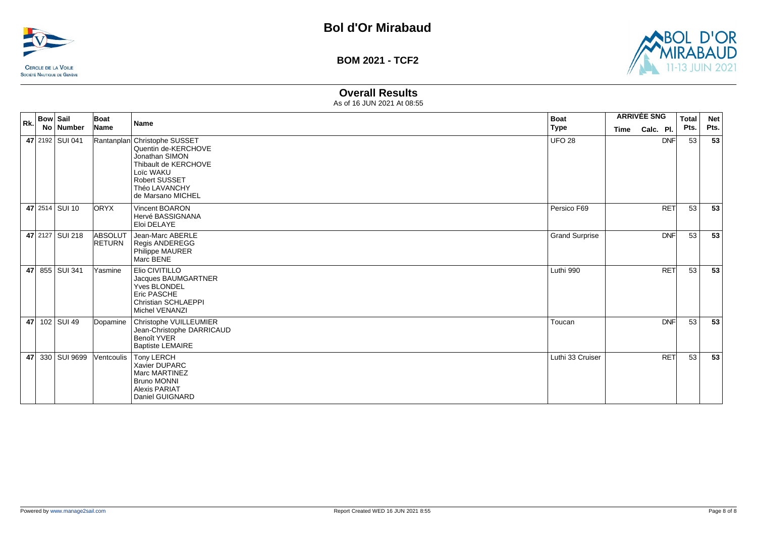



# **Overall Results**

| Rk. | <b>Bow Sail</b> |                 | Boat                     | <b>Name</b>                                                                                                                                                              | <b>Boat</b>           |      | <b>ARRIVÉE SNG</b> |            | <b>Total</b> | <b>Net</b> |
|-----|-----------------|-----------------|--------------------------|--------------------------------------------------------------------------------------------------------------------------------------------------------------------------|-----------------------|------|--------------------|------------|--------------|------------|
|     |                 | No Number       | Name                     |                                                                                                                                                                          | <b>Type</b>           | Time | Calc. Pl.          |            | Pts.         | Pts.       |
|     |                 | 47 2192 SUI 041 |                          | Rantanplan Christophe SUSSET<br>Quentin de-KERCHOVE<br>Jonathan SIMON<br>Thibault de KERCHOVE<br>Loïc WAKU<br><b>Robert SUSSET</b><br>Théo LAVANCHY<br>de Marsano MICHEL | <b>UFO 28</b>         |      |                    | <b>DNF</b> | 53           | 53         |
|     |                 | 47 2514 SUI 10  | <b>ORYX</b>              | Vincent BOARON<br>Hervé BASSIGNANA<br>Eloi DELAYE                                                                                                                        | Persico F69           |      |                    | <b>RET</b> | 53           | 53         |
|     |                 | 47 2127 SUI 218 | ABSOLUT<br><b>RETURN</b> | Jean-Marc ABERLE<br>Regis ANDEREGG<br>Philippe MAURER<br>Marc BENE                                                                                                       | <b>Grand Surprise</b> |      |                    | <b>DNF</b> | 53           | 53         |
|     |                 | 47 855 SUI 341  | Yasmine                  | Elio CIVITILLO<br>Jacques BAUMGARTNER<br><b>Yves BLONDEL</b><br>Eric PASCHE<br><b>Christian SCHLAEPPI</b><br>Michel VENANZI                                              | Luthi 990             |      |                    | <b>RET</b> | 53           | 53         |
|     |                 | 47 102 SUI 49   | Dopamine                 | Christophe VUILLEUMIER<br>Jean-Christophe DARRICAUD<br>Benoît YVER<br><b>Baptiste LEMAIRE</b>                                                                            | Toucan                |      |                    | <b>DNF</b> | 53           | 53         |
|     |                 | 47 330 SUI 9699 | Ventcoulis               | Tony LERCH<br>Xavier DUPARC<br><b>Marc MARTINEZ</b><br><b>Bruno MONNI</b><br><b>Alexis PARIAT</b><br>Daniel GUIGNARD                                                     | Luthi 33 Cruiser      |      |                    | <b>RET</b> | 53           | 53         |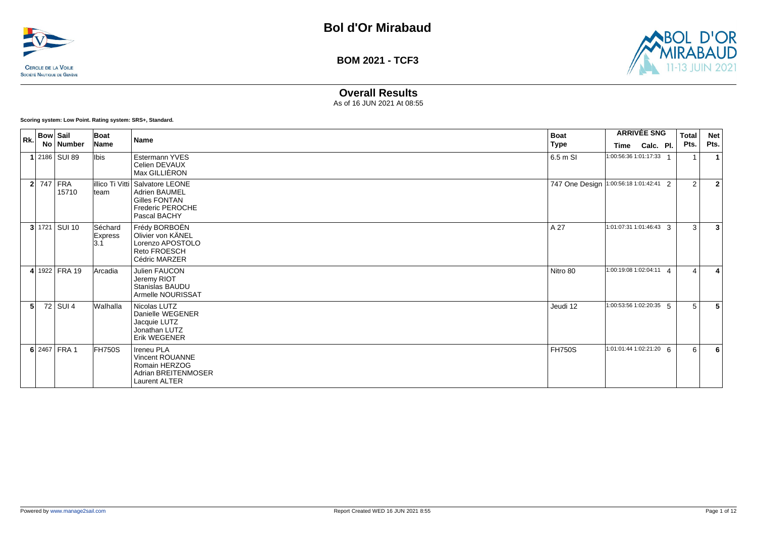



# **Overall Results**

As of 16 JUN 2021 At 08:55

**Scoring system: Low Point. Rating system: SRS+, Standard.**

|                | $\vert_{\text{Rk}}\vert$ Bow Sail<br>No Number | Boat<br><b>Name</b>        | Name                                                                                                                       | <b>Boat</b><br>Type                    | Time                      | <b>ARRIVÉE SNG</b><br>Calc. Pl. | Total<br>Pts.  | <b>Net</b><br>Pts. |
|----------------|------------------------------------------------|----------------------------|----------------------------------------------------------------------------------------------------------------------------|----------------------------------------|---------------------------|---------------------------------|----------------|--------------------|
|                | 1 2186 SUI 89                                  | lbis                       | Estermann YVES<br>Celien DEVAUX<br>Max GILLIÈRON                                                                           | 6.5 m SI                               | 1:00:56:36 1:01:17:33     |                                 |                |                    |
|                | <b>2</b> 747 FRA<br>15710                      | team                       | illico Ti Vitti Salvatore LEONE<br><b>Adrien BAUMEL</b><br><b>Gilles FONTAN</b><br><b>Frederic PEROCHE</b><br>Pascal BACHY | 747 One Design 1:00:56:18 1:01:42:41 2 |                           |                                 | $\overline{2}$ | $\overline{2}$     |
|                | $3 1721 $ SUI 10                               | Séchard<br>Express<br>l3.1 | Frédy BORBOËN<br>Olivier von KÄNEL<br>Lorenzo APOSTOLO<br><b>Reto FROESCH</b><br>Cédric MARZER                             | A 27                                   | 1:01:07:31 1:01:46:43 3   |                                 | 3              | 3                  |
|                | 4 1922 FRA 19                                  | Arcadia                    | Julien FAUCON<br>Jeremy RIOT<br>Stanislas BAUDU<br>Armelle NOURISSAT                                                       | Nitro 80                               | 1:00:19:08 1:02:04:11 4   |                                 | $\Delta$       |                    |
| 5 <sup>1</sup> | 72 SUI 4                                       | Walhalla                   | Nicolas LUTZ<br>Danielle WEGENER<br>Jacquie LUTZ<br>Jonathan LUTZ<br>Erik WEGENER                                          | Jeudi 12                               | $1:00:53:56$ 1:02:20:35 5 |                                 | 5              | 5                  |
|                | 6 2467 FRA 1                                   | FH750S                     | <b>Ireneu PLA</b><br>Vincent ROUANNE<br>Romain HERZOG<br>Adrian BREITENMOSER<br><b>Laurent ALTER</b>                       | <b>FH750S</b>                          | 1:01:01:44 1:02:21:20 6   |                                 | 6              | 6                  |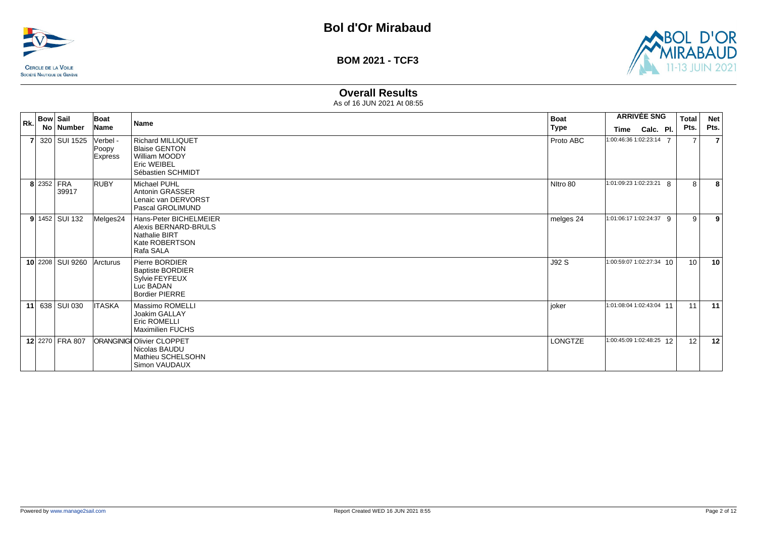



# **Overall Results**

| Rk.            | <b>Bow Sail</b> |                  | Boat                         | <b>Name</b>                                                                                           | <b>Boat</b> |      | <b>ARRIVÉE SNG</b>       | <b>Total</b>    | <b>Net</b> |
|----------------|-----------------|------------------|------------------------------|-------------------------------------------------------------------------------------------------------|-------------|------|--------------------------|-----------------|------------|
|                |                 | No   Number      | Name                         |                                                                                                       | <b>Type</b> | Time | Calc. Pl.                | Pts.            | Pts.       |
| $\overline{7}$ |                 | 320 SUI 1525     | Verbel -<br>Poopy<br>Express | <b>Richard MILLIQUET</b><br><b>Blaise GENTON</b><br>William MOODY<br>Eric WEIBEL<br>Sébastien SCHMIDT | Proto ABC   |      | 1:00:46:36 1:02:23:14 7  | $\overline{7}$  | 7          |
|                | 8 2352 FRA      | 39917            | RUBY                         | Michael PUHL<br>Antonin GRASSER<br>Lenaic van DERVORST<br>Pascal GROLIMUND                            | Nitro 80    |      | 1:01:09:23 1:02:23:21 8  | 8               | 8          |
|                |                 | $9$ 1452 SUI 132 | Melges24                     | Hans-Peter BICHELMEIER<br>Alexis BERNARD-BRULS<br><b>Nathalie BIRT</b><br>Kate ROBERTSON<br>Rafa SALA | melges 24   |      | 1:01:06:17 1:02:24:37 9  | 9               | 9          |
|                |                 | 10 2208 SUI 9260 | Arcturus                     | Pierre BORDIER<br><b>Baptiste BORDIER</b><br>Sylvie FEYFEUX<br>Luc BADAN<br><b>Bordier PIERRE</b>     | J92 S       |      | 1:00:59:07 1:02:27:34 10 | 10 <sup>1</sup> | 10         |
|                |                 | 11 638 SUI 030   | <b>ITASKA</b>                | Massimo ROMELLI<br>Joakim GALLAY<br><b>Eric ROMELLI</b><br><b>Maximilien FUCHS</b>                    | joker       |      | 1:01:08:04 1:02:43:04 11 | 11              | 11         |
|                |                 | 12 2270 FRA 807  |                              | <b>ORANGINIGI Olivier CLOPPET</b><br>Nicolas BAUDU<br>Mathieu SCHELSOHN<br>Simon VAUDAUX              | LONGTZE     |      | 1:00:45:09 1:02:48:25 12 | 12              | 12         |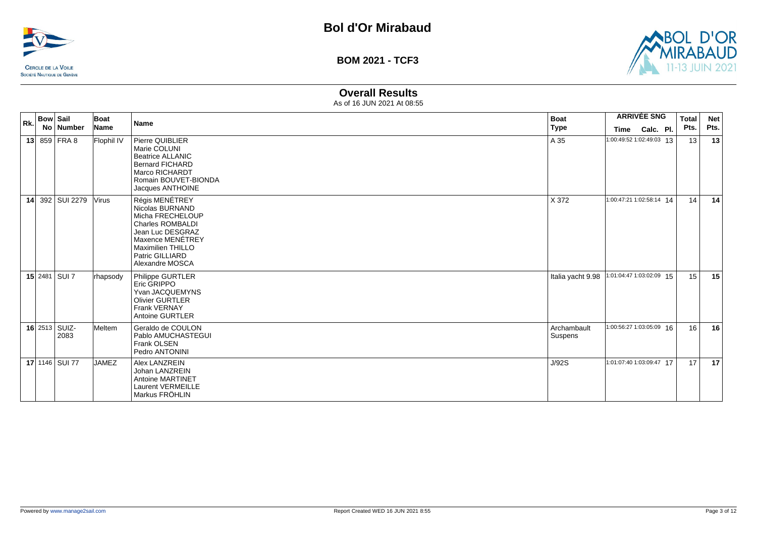



# **Overall Results**

| Rk. | <b>Bow Sail</b> |                       | Boat         | Name                                                                                                                                                                                       | <b>Boat</b>            |                          | <b>ARRIVÉE SNG</b> | <b>Total</b>    | <b>Net</b> |
|-----|-----------------|-----------------------|--------------|--------------------------------------------------------------------------------------------------------------------------------------------------------------------------------------------|------------------------|--------------------------|--------------------|-----------------|------------|
|     |                 | No   Number           | Name         |                                                                                                                                                                                            | <b>Type</b>            | Time                     | Calc. Pl.          | Pts.            | Pts.       |
|     |                 | 13 859 FRA 8          | Flophil IV   | Pierre QUIBLIER<br>Marie COLUNI<br><b>Beatrice ALLANIC</b><br><b>Bernard FICHARD</b><br>Marco RICHARDT<br>Romain BOUVET-BIONDA<br>Jacques ANTHOINE                                         | A 35                   | 1:00:49:52 1:02:49:03 13 |                    | 13              | 13         |
|     |                 | 14 392 SUI 2279       | <b>Virus</b> | Régis MENÉTREY<br>Nicolas BURNAND<br>Micha FRECHELOUP<br><b>Charles ROMBALDI</b><br>Jean Luc DESGRAZ<br>Maxence MENÉTREY<br><b>Maximilien THILLO</b><br>Patric GILLIARD<br>Alexandre MOSCA | X 372                  | 1:00:47:21 1:02:58:14 14 |                    | 14              | 14         |
|     |                 | 15 2481 SUI 7         | rhapsody     | Philippe GURTLER<br>Eric GRIPPO<br>Yvan JACQUEMYNS<br><b>Olivier GURTLER</b><br><b>Frank VERNAY</b><br><b>Antoine GURTLER</b>                                                              | Italia yacht 9.98      | 1:01:04:47 1:03:02:09 15 |                    | 15              | 15         |
|     |                 | 16 2513 SUIZ-<br>2083 | Meltem       | Geraldo de COULON<br>Pablo AMUCHASTEGUI<br>Frank OLSEN<br>Pedro ANTONINI                                                                                                                   | Archambault<br>Suspens | 1:00:56:27 1:03:05:09 16 |                    | 16              | 16         |
|     |                 | 17 1146 SUI 77        | <b>JAMEZ</b> | Alex LANZREIN<br>Johan LANZREIN<br><b>Antoine MARTINET</b><br><b>Laurent VERMEILLE</b><br>Markus FRÖHLIN                                                                                   | J/92S                  | 1:01:07:40 1:03:09:47 17 |                    | 17 <sup>1</sup> | 17         |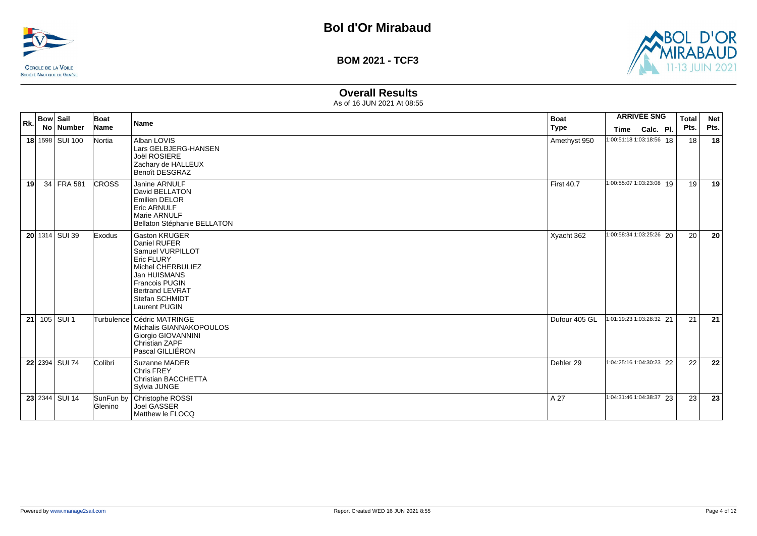



# **Overall Results**

| Rk. | <b>Bow Sail</b> | No Number       | Boat<br>Name   | <b>Name</b>                                                                                                                                                                                              | <b>Boat</b><br><b>Type</b> | <b>ARRIVÉE SNG</b><br>Calc. Pl.<br>Time | <b>Total</b><br>Pts. | <b>Net</b><br>Pts. |
|-----|-----------------|-----------------|----------------|----------------------------------------------------------------------------------------------------------------------------------------------------------------------------------------------------------|----------------------------|-----------------------------------------|----------------------|--------------------|
|     |                 | 18 1598 SUI 100 | Nortia         | Alban LOVIS<br>Lars GELBJERG-HANSEN<br>Joël ROSIERE<br>Zachary de HALLEUX<br>Benoît DESGRAZ                                                                                                              | Amethyst 950               | 1:00:51:18 1:03:18:56 18                | 18                   | 18                 |
| 19  |                 | 34 FRA 581      | <b>CROSS</b>   | Janine ARNULF<br>David BELLATON<br><b>Emilien DELOR</b><br><b>Eric ARNULF</b><br>Marie ARNULF<br>Bellaton Stéphanie BELLATON                                                                             | <b>First 40.7</b>          | 1:00:55:07 1:03:23:08 19                | 19                   | 19                 |
|     |                 | 20 1314 SUI 39  | Exodus         | <b>Gaston KRUGER</b><br>Daniel RUFER<br>Samuel VURPILLOT<br><b>Eric FLURY</b><br>Michel CHERBULIEZ<br>Jan HUISMANS<br><b>Francois PUGIN</b><br><b>Bertrand LEVRAT</b><br>Stefan SCHMIDT<br>Laurent PUGIN | Xyacht 362                 | 1:00:58:34 1:03:25:26 20                | 20                   | 20                 |
| 21  |                 | 105 SUI 1       |                | Turbulence   Cédric MATRINGE<br>Michalis GIANNAKOPOULOS<br>Giorgio GIOVANNINI<br>Christian ZAPF<br>Pascal GILLIÉRON                                                                                      | Dufour 405 GL              | 1:01:19:23 1:03:28:32 21                | 21                   | 21                 |
|     |                 | 22 2394 SUI 74  | Colibri        | Suzanne MADER<br>Chris FREY<br>Christian BACCHETTA<br>Sylvia JUNGE                                                                                                                                       | Dehler 29                  | 1:04:25:16 1:04:30:23 22                | 22                   | 22                 |
|     |                 | 23 2344 SUI 14  | <b>Glenino</b> | SunFun by   Christophe ROSSI<br><b>Joel GASSER</b><br>Matthew le FLOCQ                                                                                                                                   | A 27                       | 1:04:31:46 1:04:38:37 23                | 23                   | 23                 |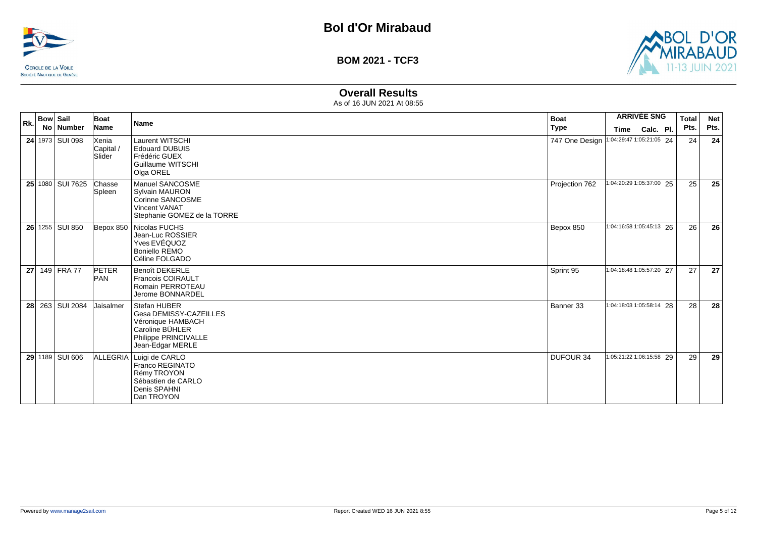



# **Overall Results**

| Rk. | <b>Bow Sail</b><br>No   Number | Boat<br>Name                 | <b>Name</b>                                                                                                                | <b>Boat</b><br><b>Type</b> | <b>ARRIVÉE SNG</b><br>Calc. Pl.<br>Time | <b>Total</b><br>Pts. | <b>Net</b><br>Pts. |
|-----|--------------------------------|------------------------------|----------------------------------------------------------------------------------------------------------------------------|----------------------------|-----------------------------------------|----------------------|--------------------|
|     | 24 1973 SUI 098                | Xenia<br>Capital /<br>Slider | <b>Laurent WITSCHI</b><br><b>Edouard DUBUIS</b><br>Frédéric GUEX<br>Guillaume WITSCHI<br>Olga OREL                         | 747 One Design             | 1:04:29:47 1:05:21:05 24                | 24                   | 24                 |
|     | 25 1080 SUI 7625               | Chasse<br>Spleen             | Manuel SANCOSME<br><b>Sylvain MAURON</b><br>Corinne SANCOSME<br><b>Vincent VANAT</b><br>Stephanie GOMEZ de la TORRE        | Projection 762             | 1:04:20:29 1:05:37:00 25                | 25                   | 25                 |
|     | 26 1255 SUI 850                |                              | Bepox 850   Nicolas FUCHS<br>Jean-Luc ROSSIER<br>Yves EVÉQUOZ<br><b>Boniello REMO</b><br>Céline FOLGADO                    | Bepox 850                  | 1:04:16:58 1:05:45:13 26                | 26                   | 26                 |
|     | 27 149 FRA 77                  | <b>PETER</b><br><b>PAN</b>   | <b>Benoît DEKERLE</b><br><b>Francois COIRAULT</b><br>Romain PERROTEAU<br>Jerome BONNARDEL                                  | Sprint 95                  | 1:04:18:48 1:05:57:20 27                | 27                   | 27                 |
|     | 28 263 SUI 2084                | Jaisalmer                    | Stefan HUBER<br>Gesa DEMISSY-CAZEILLES<br>Véronique HAMBACH<br>Caroline BÜHLER<br>Philippe PRINCIVALLE<br>Jean-Edgar MERLE | Banner 33                  | 1:04:18:03 1:05:58:14 28                | 28                   | 28                 |
|     | 29 1189 SUI 606                |                              | ALLEGRIA   Luigi de CARLO<br>Franco REGINATO<br>Rémy TROYON<br>Sébastien de CARLO<br>Denis SPAHNI<br>Dan TROYON            | DUFOUR 34                  | 1:05:21:22 1:06:15:58 29                | 29                   | 29                 |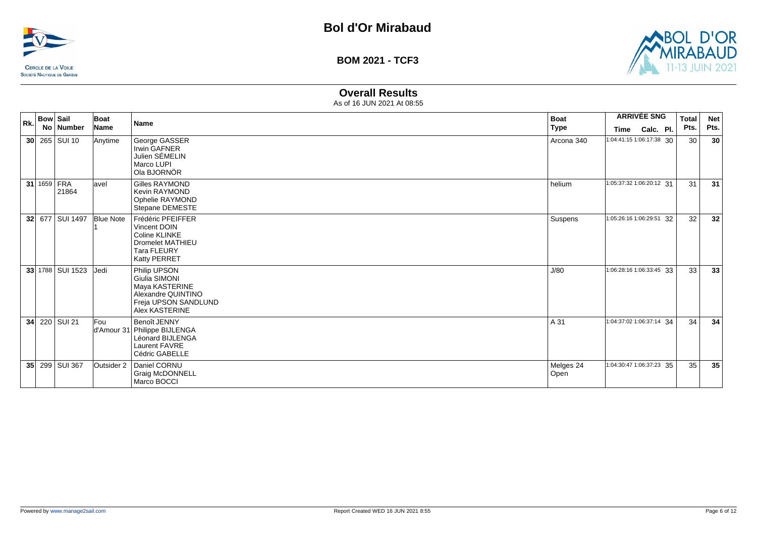



# **Overall Results**

| Rk. | Bow   Sail | No   Number            | Boat<br>Name     | <b>Name</b>                                                                                                         | <b>Boat</b><br>Type | Time                     | <b>ARRIVÉE SNG</b><br>Calc. Pl. | <b>Total</b><br>Pts. | <b>Net</b><br>Pts. |
|-----|------------|------------------------|------------------|---------------------------------------------------------------------------------------------------------------------|---------------------|--------------------------|---------------------------------|----------------------|--------------------|
|     |            | $30$ 265 SUI 10        | Anytime          | George GASSER<br>Irwin GAFNER<br>Julien SÉMELIN<br>Marco LUPI<br>Ola BJORNÖR                                        | Arcona 340          | 1:04:41:15 1:06:17:38 30 |                                 | 30                   | 30                 |
|     |            | 31 $1659$ FRA<br>21864 | lavel            | Gilles RAYMOND<br>Kevin RAYMOND<br>Ophelie RAYMOND<br>Stepane DEMESTE                                               | helium              | 1:05:37:32 1:06:20:12 31 |                                 | 31                   | 31                 |
|     |            | 32 677 SUI 1497        | <b>Blue Note</b> | Frédéric PFEIFFER<br>Vincent DOIN<br>Coline KLINKE<br><b>Dromelet MATHIEU</b><br><b>Tara FLEURY</b><br>Katty PERRET | Suspens             | 1:05:26:16 1:06:29:51 32 |                                 | 32                   | 32                 |
|     |            | 33 1788 SUI 1523       | Jedi             | Philip UPSON<br>Giulia SIMONI<br>Maya KASTERINE<br>Alexandre QUINTINO<br>Freja UPSON SANDLUND<br>Alex KASTERINE     | J/80                | 1:06:28:16 1:06:33:45 33 |                                 | 33                   | 33                 |
|     |            | 34 220 SUI 21          | Fou              | Benoît JENNY<br>d'Amour 31 Philippe BIJLENGA<br>Léonard BIJLENGA<br><b>Laurent FAVRE</b><br>Cédric GABELLE          | A 31                | 1:04:37:02 1:06:37:14 34 |                                 | 34                   | 34                 |
|     |            | 35 299 SUI 367         | Outsider 2       | Daniel CORNU<br><b>Graig McDONNELL</b><br>Marco BOCCI                                                               | Melges 24<br>Open   | 1:04:30:47 1:06:37:23 35 |                                 | 35                   | 35                 |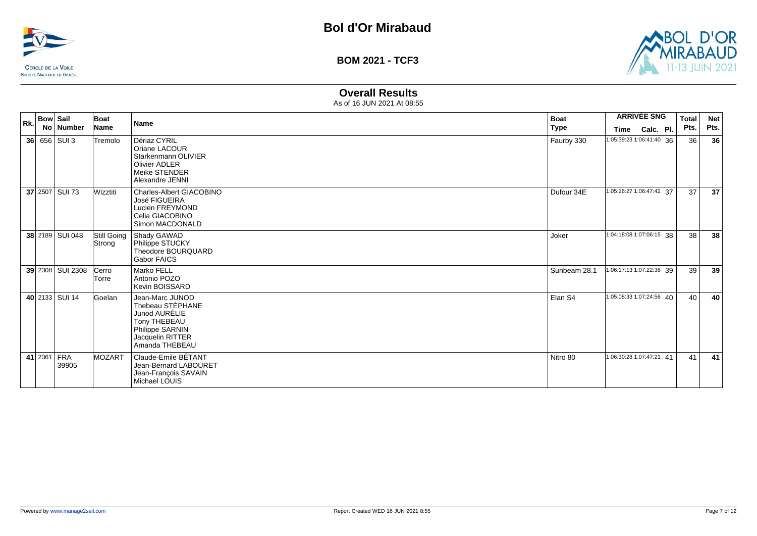



# **Overall Results**

| Rk. | <b>Bow Sail</b> |                      | Boat           | <b>Name</b>                                                                                                                   | <b>Boat</b>  |                          | <b>ARRIVÉE SNG</b> | <b>Total</b> | <b>Net</b> |
|-----|-----------------|----------------------|----------------|-------------------------------------------------------------------------------------------------------------------------------|--------------|--------------------------|--------------------|--------------|------------|
|     |                 | No   Number          | Name           |                                                                                                                               | Type         | Time                     | Calc. Pl.          | Pts.         | Pts.       |
|     |                 | 36 656 SUI 3         | Tremolo        | Dériaz CYRIL<br>Oriane LACOUR<br>Starkenmann OLIVIER<br>Olivier ADLER<br>Meike STENDER<br>Alexandre JENNI                     | Faurby 330   | 1:05:39:23 1:06:41:40 36 |                    | 36           | 36         |
|     |                 | 37 2507 SUI 73       | Wizztiti       | Charles-Albert GIACOBINO<br>José FIGUEIRA<br>Lucien FREYMOND<br>Celia GIACOBINO<br>Simon MACDONALD                            | Dufour 34E   | 1:05:26:27 1:06:47:42 37 |                    | 37           | 37         |
|     |                 | 38 2189 SUI 048      | Strong         | Still Going   Shady GAWAD<br>Philippe STUCKY<br>Theodore BOURQUARD<br><b>Gabor FAICS</b>                                      | Joker        | 1:04:18:08 1:07:06:15 38 |                    | 38           | 38         |
|     |                 | 39 2308 SUI 2308     | Cerro<br>Torre | Marko FELL<br>Antonio POZO<br>Kevin BOISSARD                                                                                  | Sunbeam 28.1 | 1:06:17:13 1:07:22:38 39 |                    | 39           | 39         |
|     |                 | 40 2133 SUI 14       | Goelan         | Jean-Marc JUNOD<br>Thebeau STÉPHANE<br>Junod AURÉLIE<br>Tony THEBEAU<br>Philippe SARNIN<br>Jacquelin RITTER<br>Amanda THEBEAU | Elan S4      | 1:05:08:33 1:07:24:56 40 |                    | 40           | 40         |
|     |                 | 41 2361 FRA<br>39905 | MOZART         | Claude-Emile BÉTANT<br>Jean-Bernard LABOURET<br>Jean-François SAVAIN<br>Michael LOUIS                                         | Nitro 80     | 1:06:30:28 1:07:47:21 41 |                    | 41           | 41         |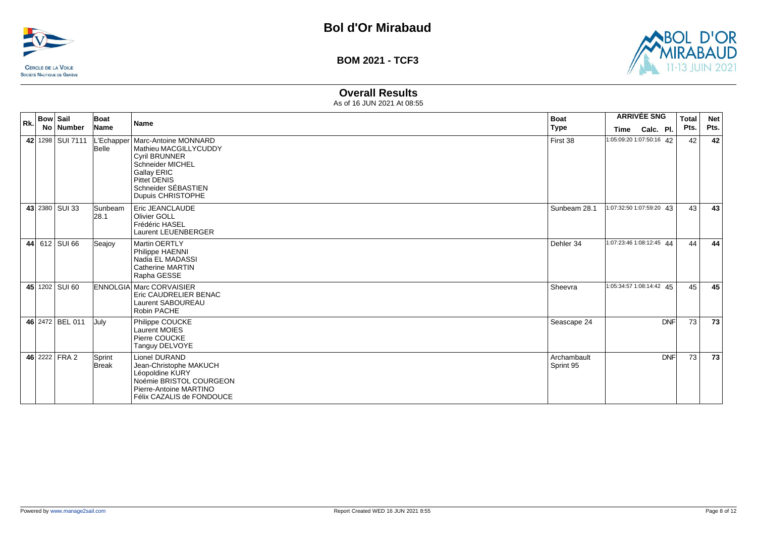



# **Overall Results**

| Rk. | <b>Bow Sail</b><br>No   Number  | Boat<br>Name           | <b>Name</b>                                                                                                                                                                               | <b>Boat</b><br><b>Type</b> | <b>ARRIVÉE SNG</b><br>Calc. Pl.<br><b>Time</b> | <b>Total</b><br>Pts. | <b>Net</b><br>Pts. |
|-----|---------------------------------|------------------------|-------------------------------------------------------------------------------------------------------------------------------------------------------------------------------------------|----------------------------|------------------------------------------------|----------------------|--------------------|
|     | 42 1298   SUI 7111   L'Echapper | Belle                  | Marc-Antoine MONNARD<br>Mathieu MACGILLYCUDDY<br><b>Cyril BRUNNER</b><br><b>Schneider MICHEL</b><br><b>Gallay ERIC</b><br><b>Pittet DENIS</b><br>Schneider SÉBASTIEN<br>Dupuis CHRISTOPHE | First 38                   | 1:05:09:20 1:07:50:16 42                       | 42                   | 42                 |
|     | 43 2380 SUI 33                  | Sunbeam<br> 28.1       | Eric JEANCLAUDE<br><b>Olivier GOLL</b><br>Frédéric HASEL<br>Laurent LEUENBERGER                                                                                                           | Sunbeam 28.1               | 1:07:32:50 1:07:59:20 43                       | 43                   | 43                 |
|     | 44 612 SUI 66                   | Seajoy                 | <b>Martin OERTLY</b><br>Philippe HAENNI<br>Nadia EL MADASSI<br><b>Catherine MARTIN</b><br>Rapha GESSE                                                                                     | Dehler 34                  | 1:07:23:46 1:08:12:45 44                       | 44                   | 44                 |
|     | 45 1202 SUI 60                  |                        | <b>ENNOLGIA Marc CORVAISIER</b><br>Eric CAUDRELIER BENAC<br><b>Laurent SABOUREAU</b><br>Robin PACHE                                                                                       | Sheevra                    | 1:05:34:57 1:08:14:42 45                       | 45                   | 45                 |
|     | 46 2472 BEL 011                 | July                   | Philippe COUCKE<br><b>Laurent MOIES</b><br>Pierre COUCKE<br>Tanguy DELVOYE                                                                                                                | Seascape 24                | <b>DNF</b>                                     | 73                   | 73                 |
|     | 46 2222 FRA 2                   | Sprint<br><b>Break</b> | Lionel DURAND<br>Jean-Christophe MAKUCH<br>Léopoldine KURY<br>Noémie BRISTOL COURGEON<br>Pierre-Antoine MARTINO<br>Félix CAZALIS de FONDOUCE                                              | Archambault<br>Sprint 95   | <b>DNF</b>                                     | 73                   | 73                 |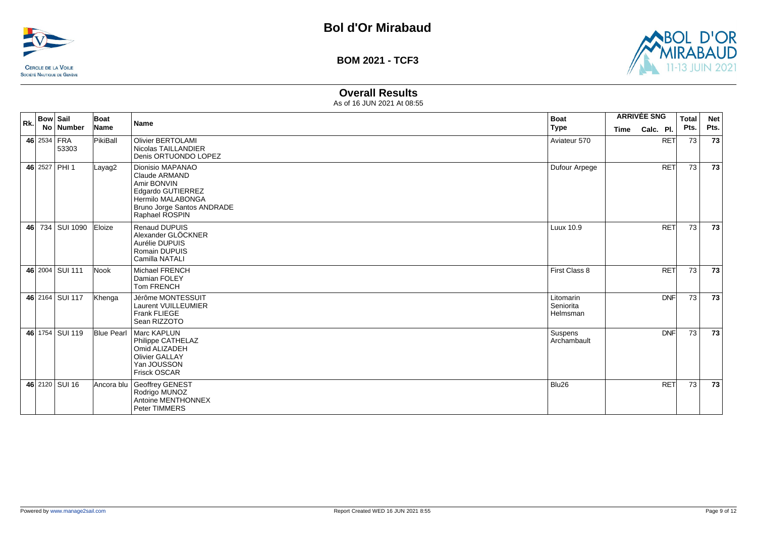



# **Overall Results**

| Rk. | <b>Bow Sail</b> | No Number            | Boat<br>Name      | <b>Name</b>                                                                                                                                | <b>Boat</b><br><b>Type</b>         |             | <b>ARRIVÉE SNG</b>      | <b>Total</b><br>Pts. | <b>Net</b><br>Pts. |
|-----|-----------------|----------------------|-------------------|--------------------------------------------------------------------------------------------------------------------------------------------|------------------------------------|-------------|-------------------------|----------------------|--------------------|
|     |                 | 46 2534 FRA<br>53303 | PikiBall          | <b>Olivier BERTOLAMI</b><br>Nicolas TAILLANDIER<br>Denis ORTUONDO LOPEZ                                                                    | Aviateur 570                       | <b>Time</b> | Calc. Pl.<br><b>RET</b> | 73                   | 73                 |
|     |                 | 46 2527 PHI 1        | Layag2            | Dionisio MAPANAO<br>Claude ARMAND<br>Amir BONVIN<br>Edgardo GUTIERREZ<br>Hermilo MALABONGA<br>Bruno Jorge Santos ANDRADE<br>Raphael ROSPIN | Dufour Arpege                      |             | <b>RET</b>              | 73                   | 73                 |
|     |                 | 46 734 SUI 1090      | Eloize            | <b>Renaud DUPUIS</b><br>Alexander GLÖCKNER<br>Aurélie DUPUIS<br>Romain DUPUIS<br>Camilla NATALI                                            | Luux 10.9                          |             | <b>RET</b>              | 73                   | 73                 |
|     |                 | 46 2004 SUI 111      | Nook              | <b>Michael FRENCH</b><br>Damian FOLEY<br><b>Tom FRENCH</b>                                                                                 | First Class 8                      |             | <b>RET</b>              | 73                   | 73                 |
|     |                 | 46 2164 SUI 117      | Khenga            | Jérôme MONTESSUIT<br>Laurent VUILLEUMIER<br>Frank FLIEGE<br>Sean RIZZOTO                                                                   | Litomarin<br>Seniorita<br>Helmsman |             | <b>DNF</b>              | 73                   | 73                 |
|     |                 | 46 1754 SUI 119      | <b>Blue Pearl</b> | Marc KAPLUN<br>Philippe CATHELAZ<br>Omid ALIZADEH<br><b>Olivier GALLAY</b><br>Yan JOUSSON<br>Frisck OSCAR                                  | Suspens<br>Archambault             |             | DNF                     | 73                   | 73                 |
|     |                 | 46 2120 SUI 16       | Ancora blu        | Geoffrey GENEST<br>Rodrigo MUNOZ<br>Antoine MENTHONNEX<br><b>Peter TIMMERS</b>                                                             | Blu26                              |             | <b>RET</b>              | 73                   | 73                 |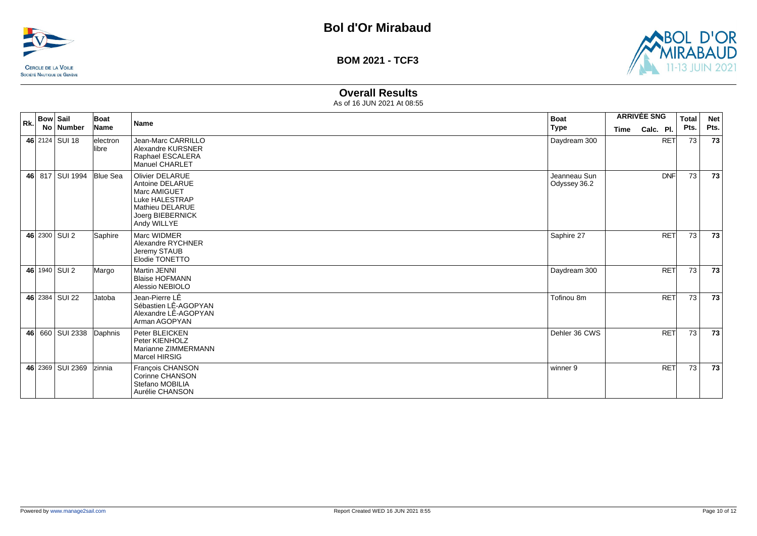



## **Overall Results**

| Rk. | <b>Bow Sail</b><br>No Number | Boat<br>Name       | Name                                                                                                                              | <b>Boat</b><br><b>Type</b>   | <b>ARRIVÉE SNG</b><br><b>Time</b> | Calc. Pl.  | <b>Total</b><br>Pts. | <b>Net</b><br>Pts. |
|-----|------------------------------|--------------------|-----------------------------------------------------------------------------------------------------------------------------------|------------------------------|-----------------------------------|------------|----------------------|--------------------|
|     | 46 2124 SUI 18               | electron<br>llibre | Jean-Marc CARRILLO<br>Alexandre KURSNER<br>Raphael ESCALERA<br><b>Manuel CHARLET</b>                                              | Daydream 300                 |                                   | <b>RET</b> | 73                   | 73                 |
|     | 46 817 SUI 1994              | <b>Blue Sea</b>    | <b>Olivier DELARUE</b><br>Antoine DELARUE<br>Marc AMIGUET<br>Luke HALESTRAP<br>Mathieu DELARUE<br>Joerg BIEBERNICK<br>Andy WILLYE | Jeanneau Sun<br>Odyssey 36.2 |                                   | <b>DNF</b> | 73                   | 73                 |
|     | 46 2300 SUI 2                | Saphire            | Marc WIDMER<br>Alexandre RYCHNER<br>Jeremy STAUB<br>Elodie TONETTO                                                                | Saphire 27                   |                                   | <b>RET</b> | 73                   | 73                 |
|     | 46 1940 SUI 2                | Margo              | <b>Martin JENNI</b><br><b>Blaise HOFMANN</b><br>Alessio NEBIOLO                                                                   | Daydream 300                 |                                   | <b>RET</b> | 73                   | 73                 |
|     | 46 2384 SUI 22               | Jatoba             | Jean-Pierre LÊ<br>Sébastien LÊ-AGOPYAN<br>Alexandre LÊ-AGOPYAN<br>Arman AGOPYAN                                                   | Tofinou 8m                   |                                   | <b>RET</b> | 73                   | 73                 |
|     | 46 660 SUI 2338              | Daphnis            | Peter BLEICKEN<br>Peter KIENHOLZ<br>Marianne ZIMMERMANN<br>Marcel HIRSIG                                                          | Dehler 36 CWS                |                                   | <b>RET</b> | 73                   | 73                 |
|     | 46 2369 SUI 2369             | <b>zinnia</b>      | François CHANSON<br>Corinne CHANSON<br>Stefano MOBILIA<br>Aurélie CHANSON                                                         | winner 9                     |                                   | <b>RET</b> | 73                   | 73                 |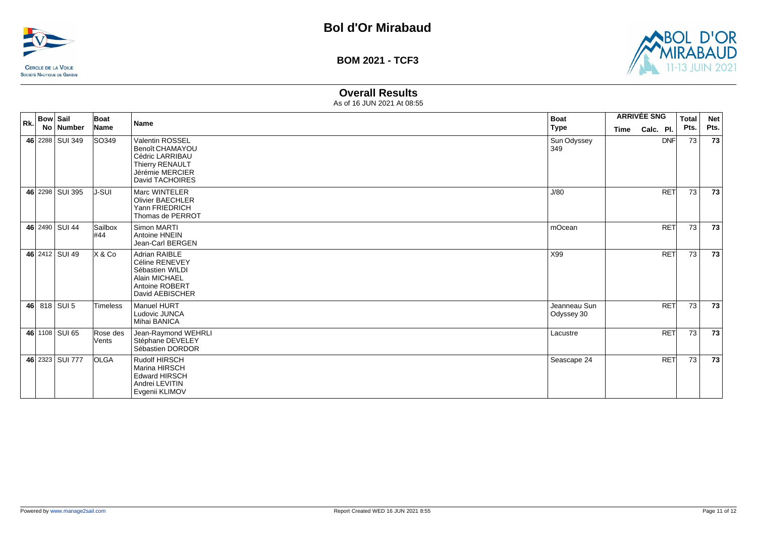



### **Overall Results**

| Rk. | <b>Bow Sail</b> | No Number       | Boat<br>Name      | <b>Name</b>                                                                                                           | <b>Boat</b><br><b>Type</b> | <b>ARRIVÉE SNG</b><br>Calc. Pl.<br>Time | <b>Total</b><br>Pts. | <b>Net</b><br>Pts. |
|-----|-----------------|-----------------|-------------------|-----------------------------------------------------------------------------------------------------------------------|----------------------------|-----------------------------------------|----------------------|--------------------|
|     |                 | 46 2288 SUI 349 | SO349             | <b>Valentin ROSSEL</b><br>Benoît CHAMAYOU<br>Cédric LARRIBAU<br>Thierry RENAULT<br>Jérémie MERCIER<br>David TACHOIRES | Sun Odyssey<br>349         | <b>DNF</b>                              | 73                   | 73                 |
|     |                 | 46 2298 SUI 395 | J-SUI             | Marc WINTELER<br><b>Olivier BAECHLER</b><br>Yann FRIEDRICH<br>Thomas de PERROT                                        | J/80                       | <b>RET</b>                              | 73                   | 73                 |
|     |                 | 46 2490 SUI 44  | Sailbox<br>#44    | Simon MARTI<br>Antoine HNEIN<br>Jean-Carl BERGEN                                                                      | mOcean                     | <b>RET</b>                              | 73                   | 73                 |
|     |                 | 46 2412 SUI 49  | X & Co            | <b>Adrian RAIBLE</b><br>Céline RENEVEY<br>Sébastien WILDI<br>Alain MICHAEL<br>Antoine ROBERT<br>David AEBISCHER       | X99                        | <b>RET</b>                              | 73                   | 73                 |
|     |                 | 46 818 SUI 5    | Timeless          | Manuel HURT<br>Ludovic JUNCA<br>Mihai BANICA                                                                          | Jeanneau Sun<br>Odyssey 30 | <b>RET</b>                              | 73                   | 73                 |
|     |                 | 46 1108 SUI 65  | Rose des<br>Vents | Jean-Raymond WEHRLI<br>Stéphane DEVELEY<br>Sébastien DORDOR                                                           | Lacustre                   | <b>RET</b>                              | 73                   | 73                 |
|     |                 | 46 2323 SUI 777 | <b>OLGA</b>       | Rudolf HIRSCH<br>Marina HIRSCH<br><b>Edward HIRSCH</b><br>Andrei LEVITIN<br>Evgenii KLIMOV                            | Seascape 24                | <b>RET</b>                              | 73                   | 73                 |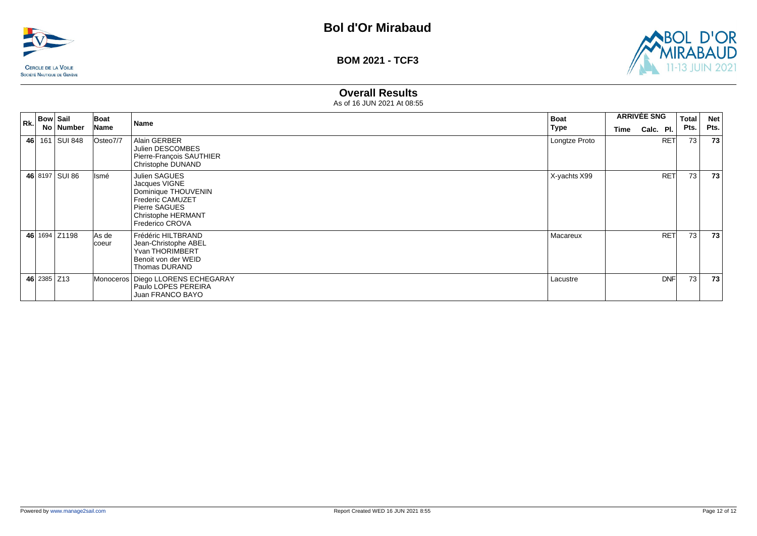



# **Overall Results**

| Rk. | <b>Bow Sail</b> | No   Number    | Boat<br>Name   | Name                                                                                                                                                            | <b>Boat</b><br>Type | <b>ARRIVÉE SNG</b><br>Time | Calc. Pl.  | <b>Total</b><br>Pts. | <b>Net</b><br>Pts. |
|-----|-----------------|----------------|----------------|-----------------------------------------------------------------------------------------------------------------------------------------------------------------|---------------------|----------------------------|------------|----------------------|--------------------|
| 46  |                 | 161 SUI 848    | Osteo7/7       | Alain GERBER<br>Julien DESCOMBES<br>Pierre-François SAUTHIER<br>Christophe DUNAND                                                                               | Longtze Proto       |                            | <b>RET</b> | 73                   | 73                 |
|     |                 | 46 8197 SUI 86 | Ismé           | <b>Julien SAGUES</b><br>Jacques VIGNE<br>Dominique THOUVENIN<br><b>Frederic CAMUZET</b><br>Pierre SAGUES<br><b>Christophe HERMANT</b><br><b>Frederico CROVA</b> | X-yachts X99        |                            | <b>RET</b> | 73                   | 73                 |
|     |                 | 46 1694 Z1198  | As de<br>coeur | Frédéric HILTBRAND<br>Jean-Christophe ABEL<br>Yvan THORIMBERT<br>Benoit von der WEID<br>Thomas DURAND                                                           | Macareux            |                            | <b>RET</b> | 73                   | 73                 |
|     | 46 2385 Z13     |                |                | Monoceros   Diego LLORENS ECHEGARAY<br>Paulo LOPES PEREIRA<br>Juan FRANCO BAYO                                                                                  | Lacustre            |                            | <b>DNF</b> | 73                   | 73                 |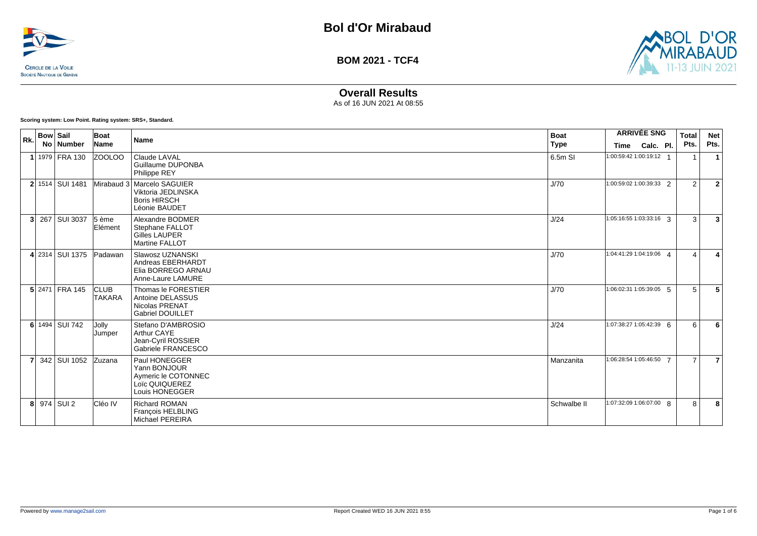



# **Overall Results**

As of 16 JUN 2021 At 08:55

**Scoring system: Low Point. Rating system: SRS+, Standard.**

| Rk.            | <b>Bow Sail</b> |                 | Boat                         | <b>Name</b>                                                                                 | <b>Boat</b> |                          | <b>ARRIVÉE SNG</b> | Total          | <b>Net</b>              |
|----------------|-----------------|-----------------|------------------------------|---------------------------------------------------------------------------------------------|-------------|--------------------------|--------------------|----------------|-------------------------|
|                |                 | No Number       | Name                         |                                                                                             | <b>Type</b> | <b>Time</b>              | Calc. Pl.          | Pts.           | Pts.                    |
|                |                 | 1 1979 FRA 130  | ZOOLOO                       | Claude LAVAL<br>Guillaume DUPONBA<br>Philippe REY                                           | 6.5m SI     | 1:00:59:42 1:00:19:12 1  |                    |                |                         |
|                |                 | 2 1514 SUI 1481 |                              | Mirabaud 3 Marcelo SAGUIER<br>Viktoria JEDLINSKA<br><b>Boris HIRSCH</b><br>Léonie BAUDET    | J/70        | 1:00:59:02 1:00:39:33 2  |                    | 2              | $\overline{2}$          |
|                |                 | 3 267 SUI 3037  | $5$ ème<br>Elément           | Alexandre BODMER<br>Stephane FALLOT<br><b>Gilles LAUPER</b><br>Martine FALLOT               | J/24        | $1:05:16:551:03:33:16$ 3 |                    | 3              | $\overline{\mathbf{3}}$ |
|                |                 | 4 2314 SUI 1375 | Padawan                      | Slawosz UZNANSKI<br>Andreas EBERHARDT<br>Elia BORREGO ARNAU<br>Anne-Laure LAMURE            | J/70        | 1:04:41:29 1:04:19:06 4  |                    | $\overline{a}$ | 4                       |
|                |                 | 5 2471 FRA 145  | <b>CLUB</b><br><b>TAKARA</b> | Thomas le FORESTIER<br>Antoine DELASSUS<br><b>Nicolas PRENAT</b><br><b>Gabriel DOUILLET</b> | J/70        | $1:06:02:311:05:39:05$ 5 |                    | 5              | 5                       |
|                |                 | 6 1494 SUI 742  | Jolly<br>Jumper              | Stefano D'AMBROSIO<br>Arthur CAYE<br>Jean-Cyril ROSSIER<br>Gabriele FRANCESCO               | J/24        | 1:07:38:27 1:05:42:39 6  |                    | 6              | 6                       |
| $\overline{7}$ |                 | 342 SUI 1052    | <b>Zuzana</b>                | Paul HONEGGER<br>Yann BONJOUR<br>Aymeric le COTONNEC<br>Loïc QUIQUEREZ<br>Louis HONEGGER    | Manzanita   | 1:06:28:54 1:05:46:50 7  |                    | $\overline{7}$ | $\overline{7}$          |
|                |                 | 8 974 SUI 2     | Cléo IV                      | <b>Richard ROMAN</b><br>François HELBLING<br><b>Michael PEREIRA</b>                         | Schwalbe II | 1:07:32:09 1:06:07:00 8  |                    | 8              | 8                       |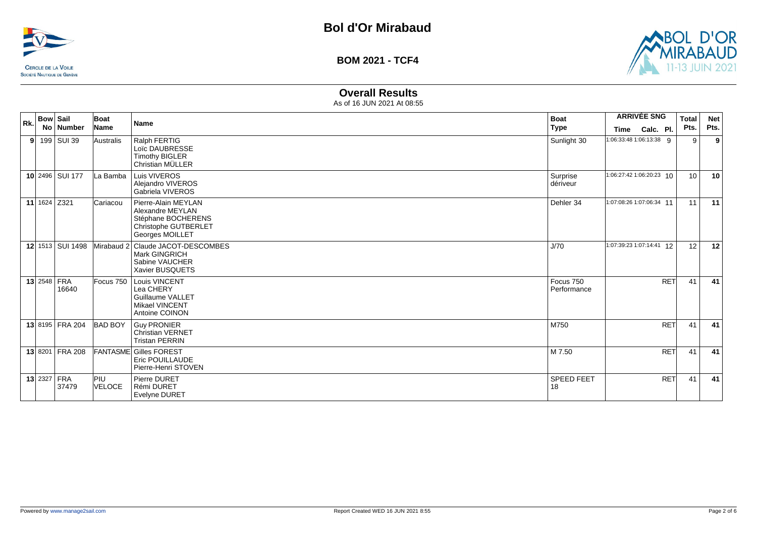



# **Overall Results**

| Rk. | <b>Bow Sail</b><br>No   Number | Boat<br>Name         | <b>Name</b>                                                                                              | <b>Boat</b><br><b>Type</b> | <b>ARRIVÉE SNG</b><br>Calc. Pl.<br>Time | <b>Total</b><br>Pts. | <b>Net</b><br>Pts. |
|-----|--------------------------------|----------------------|----------------------------------------------------------------------------------------------------------|----------------------------|-----------------------------------------|----------------------|--------------------|
| 91  | 199 SUI 39                     | Australis            | Ralph FERTIG<br>Loïc DAUBRESSE<br><b>Timothy BIGLER</b><br>Christian MÜLLER                              | Sunlight 30                | 1:06:33:48 1:06:13:38 9                 | 9                    | 9                  |
|     | 10 2496 SUI 177                | La Bamba             | Luis VIVEROS<br>Alejandro VIVEROS<br>Gabriela VIVEROS                                                    | Surprise<br>dériveur       | 1:06:27:42 1:06:20:23 10                | 10 <sup>°</sup>      | 10                 |
|     | 11 $1624$ Z321                 | Cariacou             | Pierre-Alain MEYLAN<br>Alexandre MEYLAN<br>Stéphane BOCHERENS<br>Christophe GUTBERLET<br>Georges MOILLET | Dehler 34                  | 1:07:08:26 1:07:06:34 11                | 11                   | 11                 |
|     | 12 1513 SUI 1498               |                      | Mirabaud 2 Claude JACOT-DESCOMBES<br><b>Mark GINGRICH</b><br>Sabine VAUCHER<br>Xavier BUSQUETS           | J/70                       | 1:07:39:23 1:07:14:41 12                | 12                   | 12                 |
|     | $13$ 2548 FRA<br>16640         |                      | Focus 750   Louis VINCENT<br>Lea CHERY<br>Guillaume VALLET<br><b>Mikael VINCENT</b><br>Antoine COINON    | Focus 750<br>Performance   | <b>RET</b>                              | 41                   | 41                 |
|     | 13 8195 FRA 204                | <b>BAD BOY</b>       | <b>Guy PRONIER</b><br><b>Christian VERNET</b><br><b>Tristan PERRIN</b>                                   | M750                       | <b>RET</b>                              | 41                   | 41                 |
|     | 13 8201 FRA 208                |                      | <b>FANTASME Gilles FOREST</b><br>Eric POUILLAUDE<br>Pierre-Henri STOVEN                                  | M 7.50                     | <b>RET</b>                              | 41                   | 41                 |
|     | <b>13 2327 FRA</b><br>37479    | <b>PIU</b><br>VELOCE | Pierre DURET<br>Rémi DURET<br><b>Evelyne DURET</b>                                                       | <b>SPEED FEET</b><br>18    | <b>RET</b>                              | 41                   | 41                 |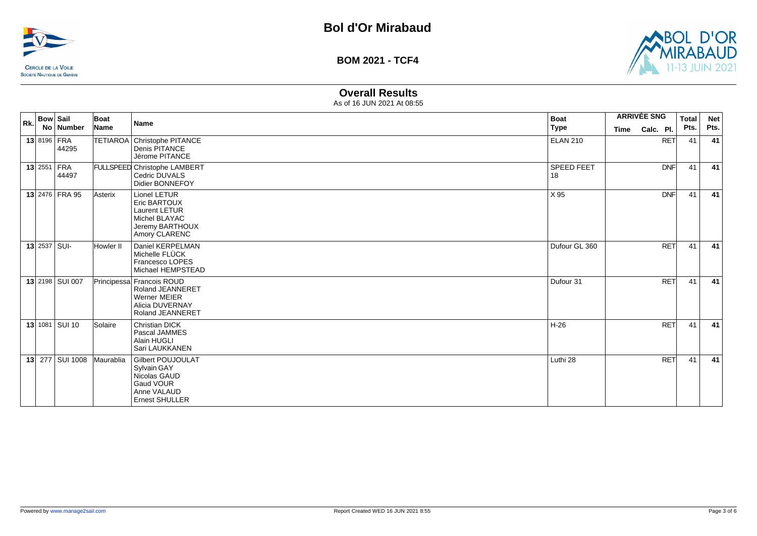



### **Overall Results**

| Rk. | <b>Bow Sail</b> | No Number       | Boat<br>Name | <b>Name</b>                                                                                                               | <b>Boat</b><br><b>Type</b> | Time | <b>ARRIVÉE SNG</b><br>Calc. Pl. | <b>Total</b><br>Pts. | <b>Net</b><br>Pts. |
|-----|-----------------|-----------------|--------------|---------------------------------------------------------------------------------------------------------------------------|----------------------------|------|---------------------------------|----------------------|--------------------|
|     | 13 8196 FRA     | 44295           |              | TETIAROA Christophe PITANCE<br>Denis PITANCE<br>Jérome PITANCE                                                            | <b>ELAN 210</b>            |      | <b>RET</b>                      | 41                   | 41                 |
|     | $13$ 2551 FRA   | 44497           |              | <b>FULLSPEED Christophe LAMBERT</b><br>Cedric DUVALS<br>Didier BONNEFOY                                                   | SPEED FEET<br>18           |      | DNF                             | 41                   | 41                 |
|     |                 | 13 2476 FRA 95  | Asterix      | Lionel LETUR<br><b>Eric BARTOUX</b><br><b>Laurent LETUR</b><br>Michel BLAYAC<br>Jeremy BARTHOUX<br>Amory CLARENC          | X 95                       |      | DNF                             | 41                   | 41                 |
|     | $13$ 2537 SUI-  |                 | Howler II    | Daniel KERPELMAN<br>Michelle FLÜCK<br>Francesco LOPES<br>Michael HEMPSTEAD                                                | Dufour GL 360              |      | <b>RET</b>                      | 41                   | 41                 |
|     |                 | 13 2198 SUI 007 |              | Principessa Francois ROUD<br><b>Roland JEANNERET</b><br><b>Werner MEIER</b><br>Alicia DUVERNAY<br><b>Roland JEANNERET</b> | Dufour 31                  |      | <b>RET</b>                      | 41                   | 41                 |
|     |                 | 13 1081 SUI 10  | Solaire      | <b>Christian DICK</b><br>Pascal JAMMES<br>Alain HUGLI<br>Sari LAUKKANEN                                                   | H-26                       |      | <b>RET</b>                      | 41                   | 41                 |
|     |                 | 13 277 SUI 1008 | Maurablia    | <b>Gilbert POUJOULAT</b><br>Sylvain GAY<br>Nicolas GAUD<br>Gaud VOUR<br>Anne VALAUD<br><b>Ernest SHULLER</b>              | Luthi 28                   |      | <b>RET</b>                      | 41                   | 41                 |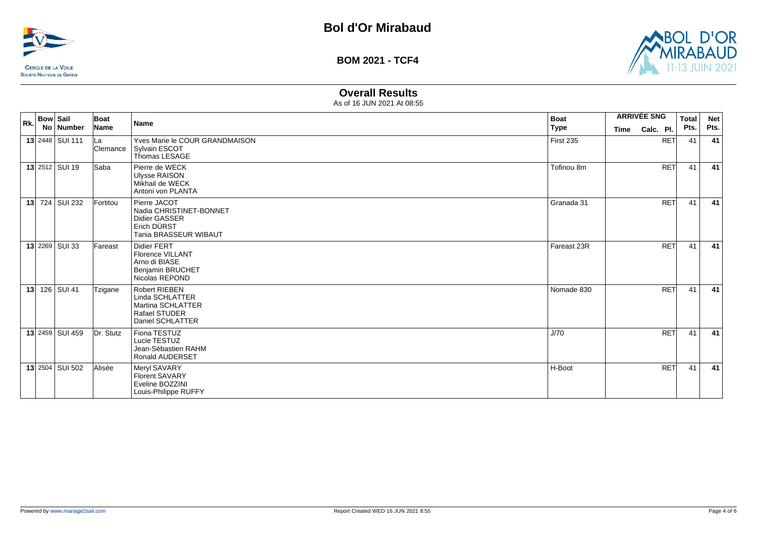



# **Overall Results**

| Rk. | <b>Bow Sail</b> |                        | Boat            | <b>Name</b>                                                                                             | <b>Boat</b> |             | <b>ARRIVÉE SNG</b> | <b>Total</b> | <b>Net</b> |
|-----|-----------------|------------------------|-----------------|---------------------------------------------------------------------------------------------------------|-------------|-------------|--------------------|--------------|------------|
|     |                 | No   Number            | Name            |                                                                                                         | Type        | <b>Time</b> | Calc. Pl.          | Pts.         | Pts.       |
|     |                 | 13 2448 SUI 111        | lLa<br>Clemance | Yves Marie le COUR GRANDMAISON<br>Svlvain ESCOT<br>Thomas LESAGE                                        | First 235   |             | <b>RET</b>         | 41           | 41         |
|     |                 | <b>13 2512 SUI 19</b>  | <b>Saba</b>     | Pierre de WECK<br><b>Ulysse RAISON</b><br>Mikhail de WECK<br>Antoni von PLANTA                          | Tofinou 8m  |             | <b>RET</b>         | 41           | 41         |
|     |                 | 13 724 SUI 232         | Fortitou        | Pierre JACOT<br>Nadia CHRISTINET-BONNET<br><b>Didier GASSER</b><br>Erich DÜRST<br>Tania BRASSEUR WIBAUT | Granada 31  |             | <b>RET</b>         | 41           | 41         |
|     |                 | 13 2269 SUI 33         | Fareast         | Didier FERT<br>Florence VILLANT<br>Arno di BIASE<br><b>Benjamin BRUCHET</b><br>Nicolas REPOND           | Fareast 23R |             | <b>RET</b>         | 41           | 41         |
| 13  |                 | 126 SUI 41             | Tzigane         | <b>Robert RIEBEN</b><br>Linda SCHLATTER<br>Martina SCHLATTER<br>Rafael STUDER<br>Daniel SCHLATTER       | Nomade 830  |             | <b>RET</b>         | 41           | 41         |
|     |                 | 13 2459 SUI 459        | Dr. Stutz       | Fiona TESTUZ<br>Lucie TESTUZ<br>Jean-Sébastien RAHM<br><b>Ronald AUDERSET</b>                           | J/70        |             | <b>RET</b>         | 41           | 41         |
|     |                 | <b>13 2504 SUI 502</b> | Alisée          | Meryl SAVARY<br>Florent SAVARY<br>Eveline BOZZINI<br>Louis-Philippe RUFFY                               | H-Boot      |             | <b>RET</b>         | 41           | 41         |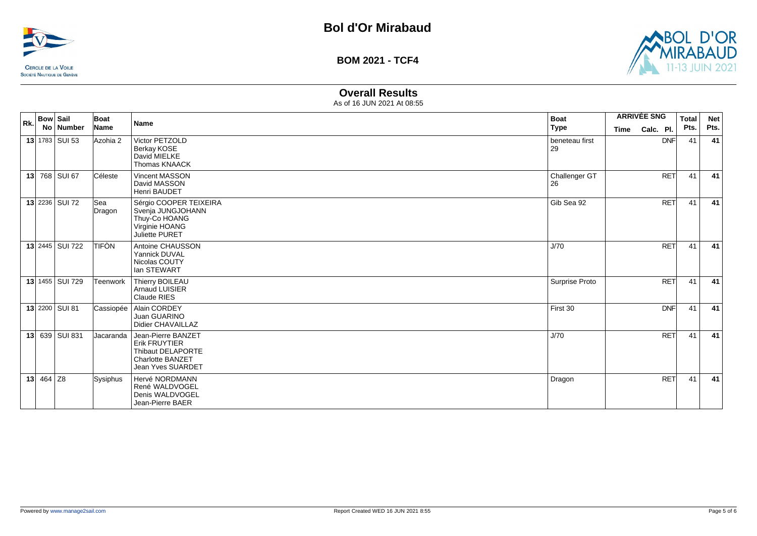



## **Overall Results**

| Rk. | <b>Bow Sail</b>   | No   Number | Boat<br>Name  | Name                                                                                                                   | <b>Boat</b><br><b>Type</b> | <b>Time</b> | <b>ARRIVÉE SNG</b><br>Calc. Pl. | <b>Total</b><br>Pts. | <b>Net</b><br>Pts. |
|-----|-------------------|-------------|---------------|------------------------------------------------------------------------------------------------------------------------|----------------------------|-------------|---------------------------------|----------------------|--------------------|
|     | 13 $1783$ SUI 53  |             | Azohia 2      | Victor PETZOLD<br>Berkay KOSE<br>David MIELKE<br>Thomas KNAACK                                                         | beneteau first<br>29       |             | <b>DNF</b>                      | 41                   | 41                 |
|     | 13 768 SUI 67     |             | Céleste       | Vincent MASSON<br>David MASSON<br>Henri BAUDET                                                                         | Challenger GT<br>26        |             | <b>RET</b>                      | 41                   | 41                 |
|     | 13 2236 SUI 72    |             | Sea<br>Dragon | Sérgio COOPER TEIXEIRA<br>Svenja JUNGJOHANN<br>Thuy-Co HOANG<br>Virginie HOANG<br>Juliette PURET                       | Gib Sea 92                 |             | <b>RET</b>                      | 41                   | 41                 |
|     | 13 2445 SUI 722   |             | <b>TIFÒN</b>  | Antoine CHAUSSON<br>Yannick DUVAL<br>Nicolas COUTY<br>lan STEWART                                                      | J/70                       |             | <b>RET</b>                      | 41                   | 41                 |
|     | 13 1455   SUI 729 |             | Teenwork      | Thierry BOILEAU<br>Arnaud LUISIER<br>Claude RIES                                                                       | Surprise Proto             |             | <b>RET</b>                      | 41                   | 41                 |
|     | 13 2200 SUI 81    |             | Cassiopée     | Alain CORDEY<br>Juan GUARINO<br>Didier CHAVAILLAZ                                                                      | First 30                   |             | <b>DNF</b>                      | 41                   | 41                 |
|     | 13 639 SUI 831    |             | Jacaranda     | Jean-Pierre BANZET<br><b>Erik FRUYTIER</b><br><b>Thibaut DELAPORTE</b><br><b>Charlotte BANZET</b><br>Jean Yves SUARDET | J/70                       |             | <b>RET</b>                      | 41                   | 41                 |
|     | 13 464 Z8         |             | Sysiphus      | Hervé NORDMANN<br>René WALDVOGEL<br>Denis WALDVOGEL<br>Jean-Pierre BAER                                                | Dragon                     |             | <b>RET</b>                      | 41                   | 41                 |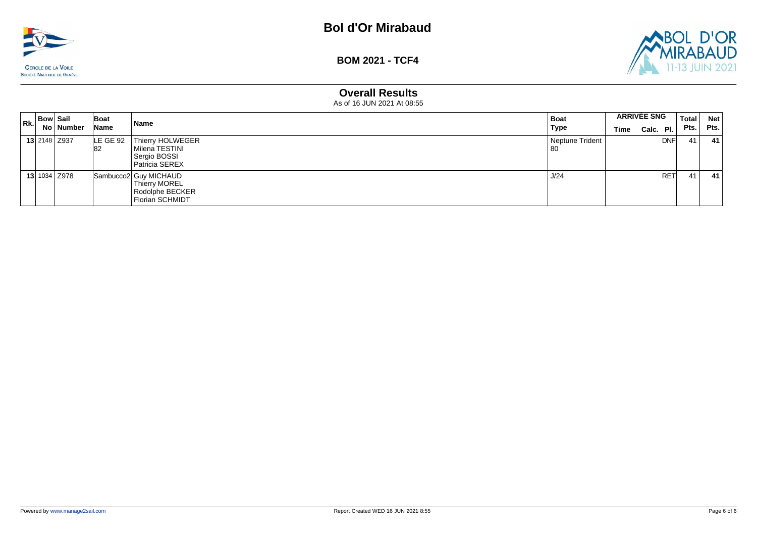



### **Overall Results**

| Rk. | <b>Bow Sail</b> |                     | Boat            | Name                                                                          | Boat                    |      | <b>ARRIVÉE SNG</b> |            | <b>Total</b> | <b>Net</b> |
|-----|-----------------|---------------------|-----------------|-------------------------------------------------------------------------------|-------------------------|------|--------------------|------------|--------------|------------|
|     |                 | No   Number         | Name            |                                                                               | <b>Type</b>             | Time | Calc. $PI.$        |            | Pts.         | Pts.       |
|     |                 | <b>13 2148 Z937</b> | LE GE 92<br>182 | Thierry HOLWEGER<br>  Milena TESTINI<br>Sergio BOSSI<br><b>Patricia SEREX</b> | Neptune Trident<br>  80 |      |                    | <b>DNF</b> | 41'          | 41         |
|     |                 | 13 1034 Z978        |                 | Sambucco2 Guy MICHAUD<br>Thierry MOREL<br>Rodolphe BECKER<br>Florian SCHMIDT  | J/24                    |      |                    | <b>RET</b> | 41           | -41        |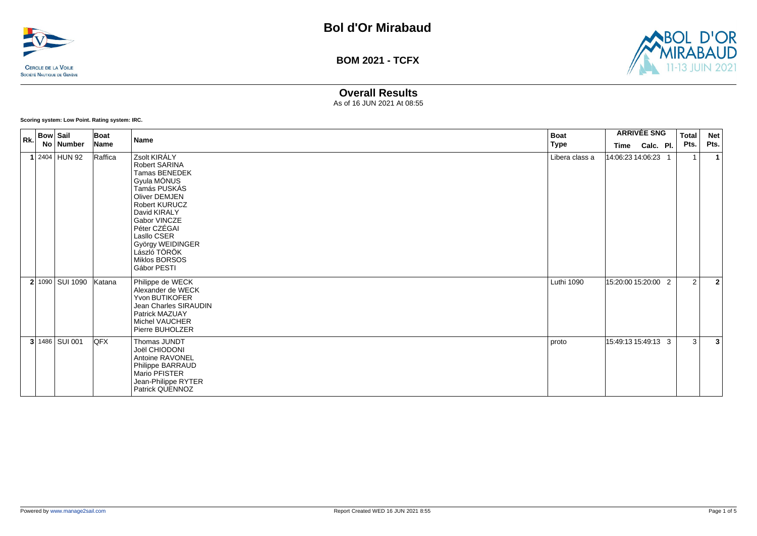



### **Overall Results**

As of 16 JUN 2021 At 08:55

**Scoring system: Low Point. Rating system: IRC.**

| Rk. | <b>Bow Sail</b> | No Number         | Boat<br>Name | <b>Name</b>                                                                                                                                                                                                                                               | <b>Boat</b><br><b>Type</b> |                           | <b>ARRIVÉE SNG</b> | <b>Total</b><br>Pts. | <b>Net</b><br>Pts. |
|-----|-----------------|-------------------|--------------|-----------------------------------------------------------------------------------------------------------------------------------------------------------------------------------------------------------------------------------------------------------|----------------------------|---------------------------|--------------------|----------------------|--------------------|
|     |                 | 1 2404 HUN 92     | Raffica      | Zsolt KIRÁLY<br>Robert SARINA<br><b>Tamas BENEDEK</b><br>Gyula MÓNUS<br>Tamás PUSKÁS<br>Oliver DEMJEN<br>Robert KURUCZ<br>David KIRALY<br>Gabor VINCZE<br>Péter CZÉGAI<br>Lasllo CSER<br>György WEIDINGER<br>László TÖRÖK<br>Miklos BORSOS<br>Gábor PESTI | Libera class a             | Time<br>14:06:23 14:06:23 | Calc. Pl.          |                      | $\mathbf{1}$       |
|     |                 | 2 1090 SUI 1090   | Katana       | Philippe de WECK<br>Alexander de WECK<br>Yvon BUTIKOFER<br>Jean Charles SIRAUDIN<br>Patrick MAZUAY<br>Michel VAUCHER<br>Pierre BUHOLZER                                                                                                                   | Luthi 1090                 | 15:20:00 15:20:00 2       |                    | 2                    | $\overline{2}$     |
|     |                 | $3 1486 $ SUI 001 | <b>QFX</b>   | Thomas JUNDT<br>Joël CHIODONI<br>Antoine RAVONEL<br>Philippe BARRAUD<br>Mario PFISTER<br>Jean-Philippe RYTER<br>Patrick QUENNOZ                                                                                                                           | proto                      | 15:49:13 15:49:13 3       |                    | 3                    | 3                  |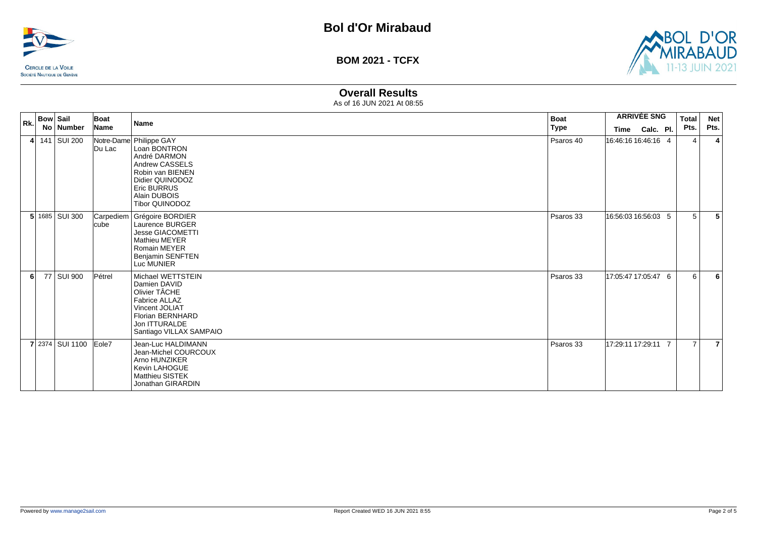



# **Overall Results**

| $ Rk$ . | <b>Bow Sail</b> | No Number         | Boat<br>Name | <b>Name</b>                                                                                                                                                                     | <b>Boat</b><br><b>Type</b> | Time                | <b>ARRIVÉE SNG</b><br>Calc. Pl. | <b>Total</b><br>Pts. | <b>Net</b><br>Pts. |
|---------|-----------------|-------------------|--------------|---------------------------------------------------------------------------------------------------------------------------------------------------------------------------------|----------------------------|---------------------|---------------------------------|----------------------|--------------------|
|         |                 | 4 $141$ SUI 200   | Du Lac       | Notre-Dame Philippe GAY<br>Loan BONTRON<br>André DARMON<br>Andrew CASSELS<br>Robin van BIENEN<br>Didier QUINODOZ<br><b>Eric BURRUS</b><br>Alain DUBOIS<br><b>Tibor QUINODOZ</b> | Psaros 40                  | 16:46:16 16:46:16 4 |                                 | 4                    | 4                  |
|         |                 | $5 1685 $ SUI 300 | <b>cube</b>  | Carpediem   Grégoire BORDIER<br>Laurence BURGER<br><b>Jesse GIACOMETTI</b><br><b>Mathieu MEYER</b><br><b>Romain MEYER</b><br><b>Benjamin SENFTEN</b><br>Luc MUNIER              | Psaros 33                  | 16:56:03 16:56:03 5 |                                 | 5                    | 5                  |
| 6       |                 | 77 SUI 900        | Pétrel       | Michael WETTSTEIN<br>Damien DAVID<br>Olivier TÂCHE<br><b>Fabrice ALLAZ</b><br>Vincent JOLIAT<br>Florian BERNHARD<br>Jon ITTURALDE<br>Santiago VILLAX SAMPAIO                    | Psaros 33                  | 17:05:47 17:05:47 6 |                                 | 6                    | 6                  |
|         |                 | 7 2374 SUI 1100   | Eole7        | Jean-Luc HALDIMANN<br>Jean-Michel COURCOUX<br>Arno HUNZIKER<br>Kevin LAHOGUE<br>Matthieu SISTEK<br>Jonathan GIRARDIN                                                            | Psaros 33                  | 17:29:11 17:29:11 7 |                                 | $\overline{7}$       | $\overline{7}$     |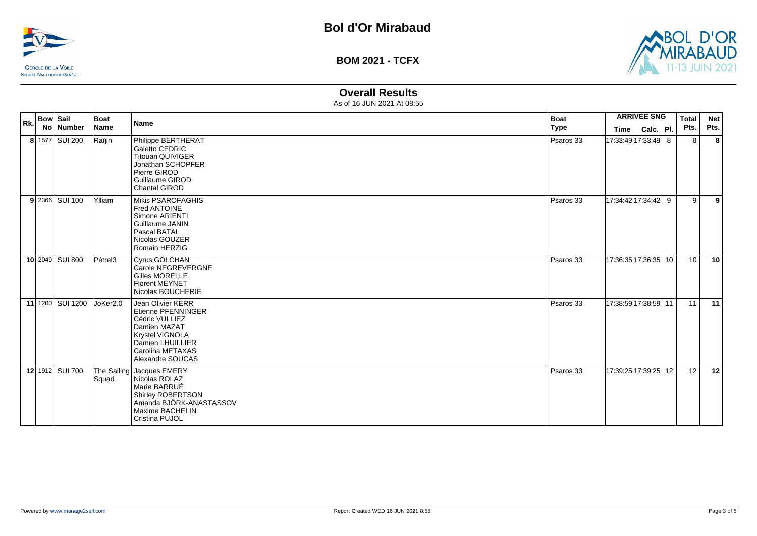



# **Overall Results**

| Rk. | <b>Bow Sail</b><br>No Number | Boat<br>Name         | <b>Name</b>                                                                                                                                              | <b>Boat</b><br><b>Type</b> | Time                 | <b>ARRIVÉE SNG</b><br>Calc. Pl. | Total<br>Pts.   | <b>Net</b><br>Pts. |
|-----|------------------------------|----------------------|----------------------------------------------------------------------------------------------------------------------------------------------------------|----------------------------|----------------------|---------------------------------|-----------------|--------------------|
|     | 8 1577 SUI 200               | Raïjin               | Philippe BERTHERAT<br>Galetto CEDRIC<br><b>Titouan QUIVIGER</b><br>Jonathan SCHOPFER<br>Pierre GIROD<br>Guillaume GIROD<br><b>Chantal GIROD</b>          | Psaros 33                  | 17:33:49 17:33:49 8  |                                 | 8               | 8                  |
|     | 9 2366 SUI 100               | Ylliam               | Mikis PSAROFAGHIS<br>Fred ANTOINE<br>Simone ARIENTI<br>Guillaume JANIN<br>Pascal BATAL<br>Nicolas GOUZER<br>Romain HERZIG                                | Psaros 33                  | 17:34:42 17:34:42 9  |                                 | 9               | 9                  |
|     | 10 2049 SUI 800              | $Pe$ trel3           | Cyrus GOLCHAN<br>Carole NEGREVERGNE<br><b>Gilles MORELLE</b><br><b>Florent MEYNET</b><br>Nicolas BOUCHERIE                                               | Psaros 33                  | 17:36:35 17:36:35 10 |                                 | 10 <sup>1</sup> | 10                 |
|     | 11 1200 SUI 1200             | JoKer <sub>2.0</sub> | Jean Olivier KERR<br>Etienne PFENNINGER<br>Cédric VULLIEZ<br>Damien MAZAT<br>Krystel VIGNOLA<br>Damien LHUILLIER<br>Carolina METAXAS<br>Alexandre SOUCAS | Psaros 33                  | 17:38:59 17:38:59 11 |                                 | 11              | 11                 |
|     | 12 1912 SUI 700              | Squad                | The Sailing Jacques EMERY<br>Nicolas ROLAZ<br>Marie BARRUÉ<br>Shirley ROBERTSON<br>Amanda BJÖRK-ANASTASSOV<br>Maxime BACHELIN<br>Cristina PUJOL          | Psaros 33                  | 17:39:25 17:39:25 12 |                                 | 12              | 12                 |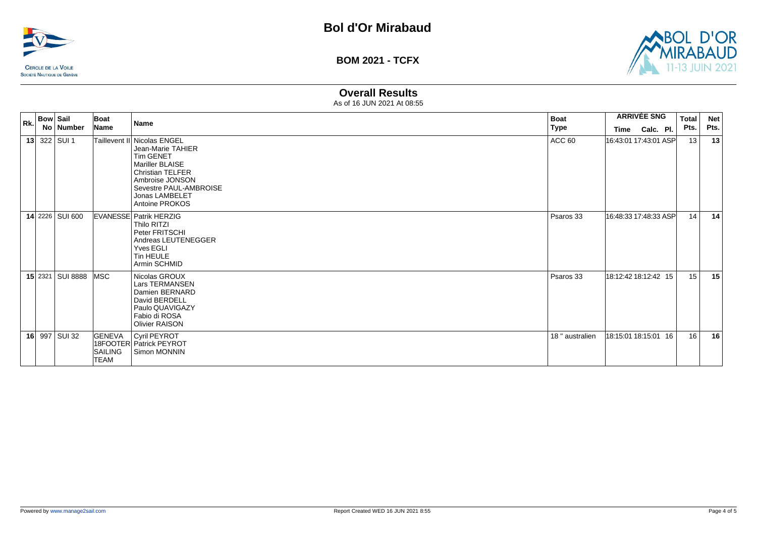



# **Overall Results**

| Rk. | <b>Bow Sail</b>         | Boat                             | <b>Name</b>                                                                                                                                                                                         | <b>Boat</b>     | <b>ARRIVÉE SNG</b> |                       | <b>Total</b> | <b>Net</b> |
|-----|-------------------------|----------------------------------|-----------------------------------------------------------------------------------------------------------------------------------------------------------------------------------------------------|-----------------|--------------------|-----------------------|--------------|------------|
|     | No Number               | Name                             |                                                                                                                                                                                                     | <b>Type</b>     |                    | Time Calc. Pl.        | Pts.         | Pts.       |
|     | 13 322 SUI 1            |                                  | Taillevent II Nicolas ENGEL<br>Jean-Marie TAHIER<br><b>Tim GENET</b><br>Mariller BLAISE<br><b>Christian TELFER</b><br>Ambroise JONSON<br>Sevestre PAUL-AMBROISE<br>Jonas LAMBELET<br>Antoine PROKOS | ACC 60          |                    | 16:43:01 17:43:01 ASP | 13           | 13         |
|     | 14 2226 SUI 600         |                                  | <b>EVANESSE Patrik HERZIG</b><br>Thilo RITZI<br>Peter FRITSCHI<br>Andreas LEUTENEGGER<br>Yves EGLI<br><b>Tin HEULE</b><br>Armin SCHMID                                                              | Psaros 33       |                    | 16:48:33 17:48:33 ASP | 14           | 14         |
|     | <b>15 2321 SUI 8888</b> | lMSC                             | Nicolas GROUX<br>Lars TERMANSEN<br>Damien BERNARD<br>David BERDELL<br>Paulo QUAVIGAZY<br>Fabio di ROSA<br><b>Olivier RAISON</b>                                                                     | Psaros 33       |                    | 18:12:42 18:12:42 15  | 15           | 15         |
|     | 16 997 SUI 32           | GENEVA<br>SAILING<br><b>TEAM</b> | Cyril PEYROT<br>18FOOTER Patrick PEYROT<br>Simon MONNIN                                                                                                                                             | 18 " australien |                    | 18:15:01 18:15:01 16  | 16           | 16         |